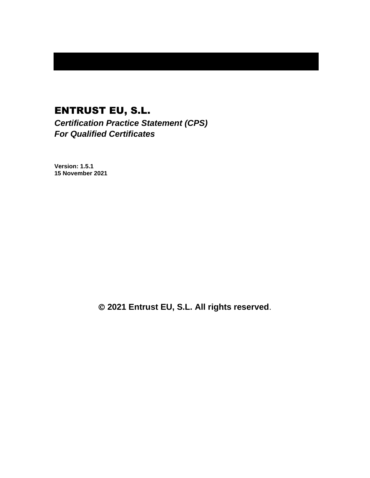# ENTRUST EU, S.L.

*Certification Practice Statement (CPS) For Qualified Certificates*

**Version: 1.5.1 15 November 2021**

© **2021 Entrust EU, S.L. All rights reserved**.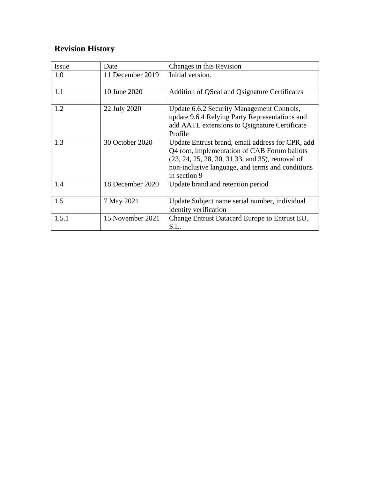# **Revision History**

| Issue | Date             | Changes in this Revision                                                                                                                                                                                                |
|-------|------------------|-------------------------------------------------------------------------------------------------------------------------------------------------------------------------------------------------------------------------|
| 1.0   | 11 December 2019 | Initial version.                                                                                                                                                                                                        |
| 1.1   | 10 June 2020     | Addition of QSeal and Qsignature Certificates                                                                                                                                                                           |
| 1.2   | 22 July 2020     | Update 6.6.2 Security Management Controls,<br>update 9.6.4 Relying Party Representations and<br>add AATL extensions to Qsignature Certificate<br>Profile                                                                |
| 1.3   | 30 October 2020  | Update Entrust brand, email address for CPR, add<br>Q4 root, implementation of CAB Forum ballots<br>(23, 24, 25, 28, 30, 31 33, and 35), removal of<br>non-inclusive language, and terms and conditions<br>in section 9 |
| 1.4   | 18 December 2020 | Update brand and retention period                                                                                                                                                                                       |
| 1.5   | 7 May 2021       | Update Subject name serial number, individual<br>identity verification                                                                                                                                                  |
| 1.5.1 | 15 November 2021 | Change Entrust Datacard Europe to Entrust EU,<br>S.L.                                                                                                                                                                   |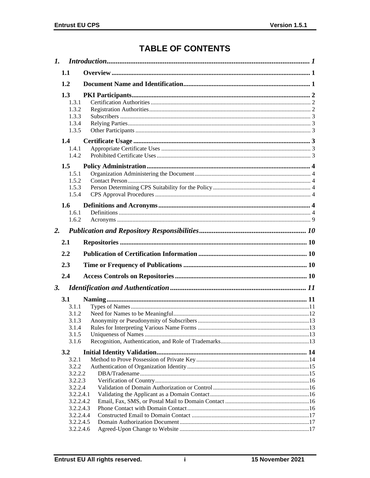# **TABLE OF CONTENTS**

|    | 1.1                    |  |
|----|------------------------|--|
|    | 1.2                    |  |
|    | 1.3                    |  |
|    | 1.3.1                  |  |
|    | 1.3.2                  |  |
|    | 1.3.3                  |  |
|    | 1.3.4                  |  |
|    | 1.3.5                  |  |
|    | 1.4                    |  |
|    | 1.4.1                  |  |
|    | 1.4.2                  |  |
|    | 1.5                    |  |
|    | 1.5.1                  |  |
|    | 1.5.2                  |  |
|    | 1.5.3<br>1.5.4         |  |
|    |                        |  |
|    | 1.6                    |  |
|    | 1.6.1                  |  |
|    | 1.6.2                  |  |
| 2. |                        |  |
|    | 2.1                    |  |
|    | 2.2                    |  |
|    | 2.3                    |  |
|    | 2.4                    |  |
| 3. |                        |  |
|    |                        |  |
|    | 3.1                    |  |
|    | 3.1.1                  |  |
|    | 3.1.2<br>3.1.3         |  |
|    | 3.1.4                  |  |
|    | 3.1.5                  |  |
|    | 3.1.6                  |  |
|    | 3.2                    |  |
|    | 3.2.1                  |  |
|    | 3.2.2                  |  |
|    | 3.2.2.2                |  |
|    | 3.2.2.3                |  |
|    | 3.2.2.4                |  |
|    | 3.2.2.4.1              |  |
|    | 3.2.2.4.2              |  |
|    | 3.2.2.4.3              |  |
|    | 3.2.2.4.4<br>3.2.2.4.5 |  |
|    | 3.2.2.4.6              |  |
|    |                        |  |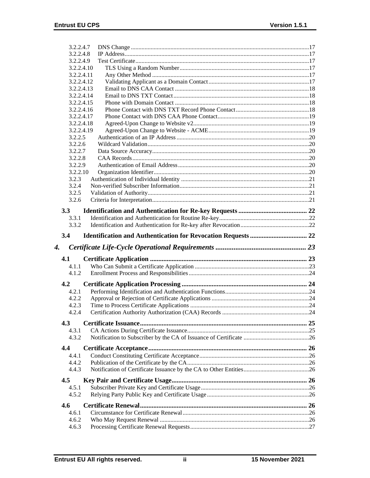|    | 3.2.2.4.7      |  |
|----|----------------|--|
|    | 3.2.2.4.8      |  |
|    | 3.2.2.4.9      |  |
|    | 3.2.2.4.10     |  |
|    | 3.2.2.4.11     |  |
|    | 3.2.2.4.12     |  |
|    | 3.2.2.4.13     |  |
|    | 3.2.2.4.14     |  |
|    | 3.2.2.4.15     |  |
|    | 3.2.2.4.16     |  |
|    | 3.2.2.4.17     |  |
|    | 3.2.2.4.18     |  |
|    | 3.2.2.4.19     |  |
|    | 3.2.2.5        |  |
|    | 3.2.2.6        |  |
|    | 3.2.2.7        |  |
|    | 3.2.2.8        |  |
|    | 3.2.2.9        |  |
|    | 3.2.2.10       |  |
|    | 3.2.3          |  |
|    | 3.2.4          |  |
|    | 3.2.5          |  |
|    | 3.2.6          |  |
|    |                |  |
|    | 3.3            |  |
|    | 3.3.1          |  |
|    | 3.3.2          |  |
|    | 3.4            |  |
|    |                |  |
| 4. |                |  |
|    |                |  |
|    | 4.1            |  |
|    | 4.1.1          |  |
|    | 4.1.2          |  |
|    | 4.2            |  |
|    | 4.2.1          |  |
|    | 4.2.2          |  |
|    | 4.2.3          |  |
|    | 4.2.4          |  |
|    |                |  |
|    | 4.3            |  |
|    | 4.3.1          |  |
|    | 4.3.2          |  |
|    | 4.4            |  |
|    | 4.4.1          |  |
|    | 4.4.2          |  |
|    |                |  |
|    | 4.4.3          |  |
|    | 4.5            |  |
|    | 4.5.1          |  |
|    | 4.5.2          |  |
|    | 4.6            |  |
|    | 4.6.1          |  |
|    |                |  |
|    | 4.6.2<br>4.6.3 |  |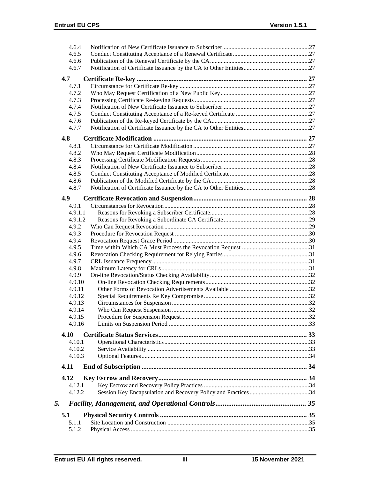| 4.6.4            |  |
|------------------|--|
| 4.6.5            |  |
| 4.6.6            |  |
| 4.6.7            |  |
| 4.7              |  |
| 4.7.1            |  |
| 4.7.2            |  |
| 4.7.3            |  |
| 4.7.4            |  |
| 4.7.5            |  |
| 4.7.6            |  |
| 4.7.7            |  |
|                  |  |
| 4.8              |  |
| 4.8.1            |  |
| 4.8.2            |  |
| 4.8.3            |  |
| 4.8.4<br>4.8.5   |  |
|                  |  |
| 4.8.6            |  |
| 4.8.7            |  |
| 4.9              |  |
| 4.9.1            |  |
| 4.9.1.1          |  |
| 4.9.1.2          |  |
| 4.9.2            |  |
| 4.9.3            |  |
| 4.9.4            |  |
| 4.9.5            |  |
| 4.9.6            |  |
| 4.9.7            |  |
| 4.9.8            |  |
| 4.9.9            |  |
| 4.9.10           |  |
| 4.9.11           |  |
| 4.9.12<br>4.9.13 |  |
|                  |  |
| 4.9.14           |  |
| 4.9.15<br>4.9.16 |  |
|                  |  |
| 4.10             |  |
| 4.10.1           |  |
| 4.10.2           |  |
| 4.10.3           |  |
| 4.11             |  |
| 4.12             |  |
| 4.12.1           |  |
| 4.12.2           |  |
| 5.               |  |
|                  |  |
| 5.1              |  |
| 5.1.1            |  |
| 5.1.2            |  |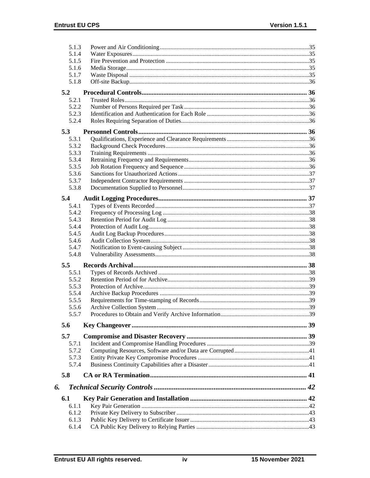|    | 5.1.3          |  |
|----|----------------|--|
|    | 5.1.4          |  |
|    | 5.1.5          |  |
|    | 5.1.6          |  |
|    | 5.1.7          |  |
|    | 5.1.8          |  |
|    | 5.2            |  |
|    |                |  |
|    | 5.2.1<br>5.2.2 |  |
|    |                |  |
|    | 5.2.3          |  |
|    | 5.2.4          |  |
|    | 5.3            |  |
|    | 5.3.1          |  |
|    | 5.3.2          |  |
|    | 5.3.3          |  |
|    | 5.3.4          |  |
|    | 5.3.5          |  |
|    | 5.3.6          |  |
|    | 5.3.7          |  |
|    | 5.3.8          |  |
|    |                |  |
|    | 5.4            |  |
|    | 5.4.1          |  |
|    | 5.4.2          |  |
|    | 5.4.3          |  |
|    | 5.4.4          |  |
|    | 5.4.5          |  |
|    | 5.4.6          |  |
|    | 5.4.7          |  |
|    | 5.4.8          |  |
|    | 5.5            |  |
|    | 5.5.1          |  |
|    | 5.5.2          |  |
|    | 5.5.3          |  |
|    | 5.5.4          |  |
|    | 5.5.5          |  |
|    | 5.5.6          |  |
|    | 5.5.7          |  |
|    |                |  |
|    | 5.6            |  |
|    | 5.7            |  |
|    | 5.7.1          |  |
|    | 5.7.2          |  |
|    | 5.7.3          |  |
|    |                |  |
|    |                |  |
|    | 5.7.4          |  |
|    | 5.8            |  |
| 6. |                |  |
|    | 6.1            |  |
|    | 6.1.1          |  |
|    | 6.1.2          |  |
|    | 6.1.3          |  |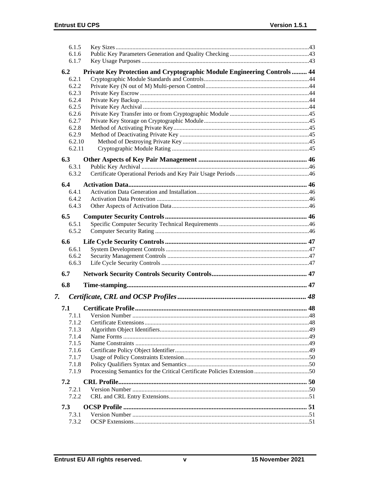| Private Key Protection and Cryptographic Module Engineering Controls  44 |
|--------------------------------------------------------------------------|
|                                                                          |
|                                                                          |
|                                                                          |
|                                                                          |
|                                                                          |
|                                                                          |
|                                                                          |
|                                                                          |
|                                                                          |
|                                                                          |
|                                                                          |
|                                                                          |
|                                                                          |
|                                                                          |
|                                                                          |
|                                                                          |
|                                                                          |
|                                                                          |
|                                                                          |
|                                                                          |
|                                                                          |
|                                                                          |
|                                                                          |
|                                                                          |
|                                                                          |
|                                                                          |
|                                                                          |
|                                                                          |
|                                                                          |
|                                                                          |
|                                                                          |
|                                                                          |
|                                                                          |
|                                                                          |
|                                                                          |
|                                                                          |
|                                                                          |
|                                                                          |
|                                                                          |
|                                                                          |
|                                                                          |
|                                                                          |
|                                                                          |
|                                                                          |
|                                                                          |
|                                                                          |
|                                                                          |
|                                                                          |
|                                                                          |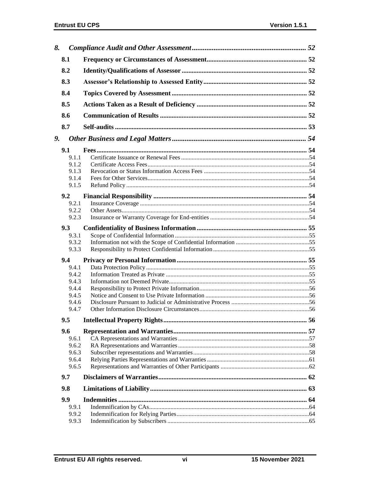| 8. |       |  |
|----|-------|--|
|    | 8.1   |  |
|    | 8.2   |  |
|    | 8.3   |  |
|    | 8.4   |  |
|    | 8.5   |  |
|    | 8.6   |  |
|    | 8.7   |  |
| 9. |       |  |
|    | 9.1   |  |
|    | 9.1.1 |  |
|    | 9.1.2 |  |
|    | 9.1.3 |  |
|    | 9.1.4 |  |
|    | 9.1.5 |  |
|    |       |  |
|    | 9.2   |  |
|    | 9.2.1 |  |
|    | 9.2.2 |  |
|    | 9.2.3 |  |
|    | 9.3   |  |
|    | 9.3.1 |  |
|    | 9.3.2 |  |
|    | 9.3.3 |  |
|    | 9.4   |  |
|    | 9.4.1 |  |
|    | 9.4.2 |  |
|    | 9.4.3 |  |
|    | 9.4.4 |  |
|    | 9.4.5 |  |
|    | 9.4.6 |  |
|    | 9.4.7 |  |
|    |       |  |
|    | 9.5   |  |
|    | 9.6   |  |
|    | 9.6.1 |  |
|    | 9.6.2 |  |
|    | 9.6.3 |  |
|    | 9.6.4 |  |
|    | 9.6.5 |  |
|    | 9.7   |  |
|    | 9.8   |  |
|    | 9.9   |  |
|    | 9.9.1 |  |
|    | 9.9.2 |  |
|    |       |  |
|    | 9.9.3 |  |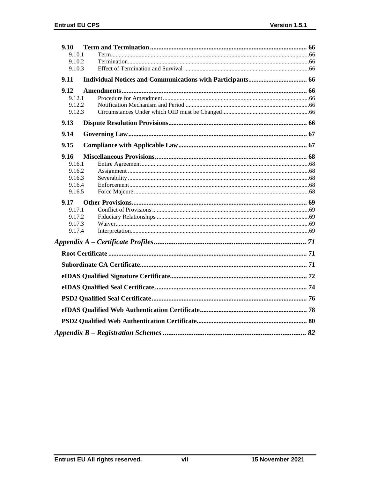| 9.10             |  |
|------------------|--|
| 9.10.1           |  |
| 9.10.2           |  |
| 9.10.3           |  |
| 9.11             |  |
| 9.12             |  |
| 9.12.1           |  |
| 9.12.2           |  |
| 9.12.3           |  |
| 9.13             |  |
| 9.14             |  |
| 9.15             |  |
| 9.16             |  |
| 9.16.1           |  |
| 9.16.2           |  |
| 9.16.3           |  |
| 9.16.4<br>9.16.5 |  |
|                  |  |
| 9.17             |  |
| 9.17.1           |  |
| 9.17.2           |  |
| 9.17.3<br>9.17.4 |  |
|                  |  |
|                  |  |
|                  |  |
|                  |  |
|                  |  |
|                  |  |
|                  |  |
|                  |  |
|                  |  |
|                  |  |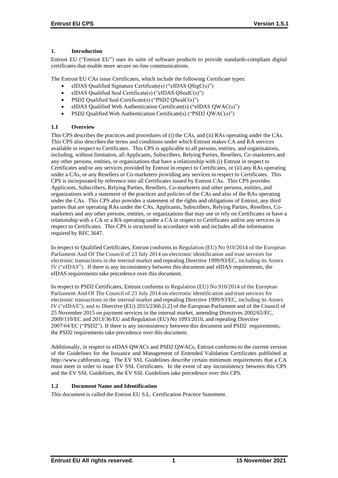# **1. Introduction**

Entrust EU ("Entrust EU") uses its suite of software products to provide standards-compliant digital certificates that enable more secure on-line communications.

The Entrust EU CAs issue Certificates, which include the following Certificate types:

- eIDAS Qualified Signature Certificate(s) ("eIDAS QSigC(s)")
- eIDAS Qualified Seal Certificate(s) ("eIDAS QSealC(s)")
- PSD2 Qualified Seal Certificate(s) ("PSD2 QSealC(s)")
- eIDAS Qualified Web Authentication Certificate(s) ("eIDAS QWAC(s)")
- PSD2 Qualified Web Authentication Certificate(s) ("PSD2 QWAC(s)")

# **1.1 Overview**

This CPS describes the practices and procedures of (i) the CAs, and (ii) RAs operating under the CAs. This CPS also describes the terms and conditions under which Entrust makes CA and RA services available in respect to Certificates. This CPS is applicable to all persons, entities, and organizations, including, without limitation, all Applicants, Subscribers, Relying Parties, Resellers, Co-marketers and any other persons, entities, or organizations that have a relationship with (i) Entrust in respect to Certificates and/or any services provided by Entrust in respect to Certificates, or (ii) any RAs operating under a CAs, or any Resellers or Co-marketers providing any services in respect to Certificates. This CPS is incorporated by reference into all Certificates issued by Entrust CAs. This CPS provides Applicants, Subscribers, Relying Parties, Resellers, Co-marketers and other persons, entities, and organizations with a statement of the practices and policies of the CAs and also of the RAs operating under the CAs. This CPS also provides a statement of the rights and obligations of Entrust, any third parties that are operating RAs under the CAs, Applicants, Subscribers, Relying Parties, Resellers, Comarketers and any other persons, entities, or organizations that may use or rely on Certificates or have a relationship with a CA or a RA operating under a CA in respect to Certificates and/or any services in respect to Certificates. This CPS is structured in accordance with and includes all the information required by RFC 3647.

In respect to Qualified Certificates, Entrust conforms to Regulation (EU) No 910/2014 of the European Parliament And Of The Council of 23 July 2014 on electronic identification and trust services for electronic transactions in the internal market and repealing Directive 1999/93/EC, including its Annex IV ("eIDAS"). If there is any inconsistency between this document and eIDAS requirements, the eIDAS requirements take precedence over this document.

In respect to PSD2 Certificates, Entrust conforms to Regulation (EU) No 910/2014 of the European Parliament And Of The Council of 23 July 2014 on electronic identification and trust services for electronic transactions in the internal market and repealing Directive 1999/93/EC, including its Annex IV ("eIDAS"); and to Directive (EU) 2015/2366 [i.2] of the European Parliament and of the Council of 25 November 2015 on payment services in the internal market, amending Directives 2002/65/EC, 2009/110/EC and 2013/36/EU and Regulation (EU) No 1093/2010, and repealing Directive 2007/64/EC ("PSD2"). If there is any inconsistency between this document and PSD2 requirements, the PSD2 requirements take precedence over this document.

Additionally, in respect to eIDAS QWACs and PSD2 QWACs, Entrust conforms to the current version of the Guidelines for the Issuance and Management of Extended Validation Certificates published at http://www.cabforum.org. The EV SSL Guidelines describe certain minimum requirements that a CA must meet in order to issue EV SSL Certificates. In the event of any inconsistency between this CPS and the EV SSL Guidelines, the EV SSL Guidelines take precedence over this CPS.

# **1.2 Document Name and Identification**

This document is called the Entrust EU S.L. Certification Practice Statement.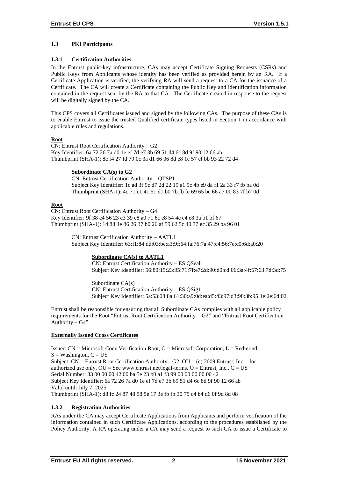# **1.3 PKI Participants**

# **1.3.1 Certification Authorities**

In the Entrust public-key infrastructure, CAs may accept Certificate Signing Requests (CSRs) and Public Keys from Applicants whose identity has been verified as provided herein by an RA. If a Certificate Application is verified, the verifying RA will send a request to a CA for the issuance of a Certificate. The CA will create a Certificate containing the Public Key and identification information contained in the request sent by the RA to that CA. The Certificate created in response to the request will be digitally signed by the CA.

This CPS covers all Certificates issued and signed by the following CAs. The purpose of these CAs is to enable Entrust to issue the trusted Qualified certificate types listed in Section 1 in accordance with applicable rules and regulations.

# **Root**

CN: Entrust Root Certification Authority – G2 Key Identifier: 6a 72 26 7a d0 1e ef 7d e7 3b 69 51 d4 6c 8d 9f 90 12 66 ab Thumbprint (SHA-1): 8c f4 27 fd 79 0c 3a d1 66 06 8d e8 1e 57 ef bb 93 22 72 d4

# **Subordinate CA(s) to G2**

CN: Entrust Certification Authority – QTSP1 Subject Key Identifier: 1c ad 3f 9c d7 2d 22 19 a1 9c 4b e9 da f1 2a 33 f7 fb ba 0d Thumbprint (SHA-1): 4c 71 c1 41 51 d1 b0 7b fb fe 69 65 be 66 a7 00 83 7f b7 0d

# **Root**

CN: Entrust Root Certification Authority – G4 Key Identifier: 9f 38 c4 56 23 c3 39 e8 a0 71 6c e8 54 4c e4 e8 3a b1 bf 67 Thumbprint (SHA-1): 14 88 4e 86 26 37 b0 26 af 59 62 5c 40 77 ec 35 29 ba 96 01

> CN: Entrust Certification Authority – AATL1 Subject Key Identifier: 63:f1:84:dd:03:be:a3:9f:64:fa:76:7a:47:c4:56:7e:c0:6d:a0:20

# **Subordinate CA(s) to AATL1**

CN: Entrust Certification Authority – ES QSeal1 Subject Key Identifier: 56:80:15:23:95:71:7f:e7:2d:90:d0:cd:06:3a:4f:67:63:7d:3d:75

Subordinate CA(s) CN: Entrust Certification Authority – ES QSig1 Subject Key Identifier: 5a:53:08:8a:61:30:a9:0d:ea:d5:43:97:d3:98:3b:95:1e:2e:6d:02

Entrust shall be responsible for ensuring that all Subordinate CAs complies with all applicable policy requirements for the Root "Entrust Root Certification Authority – G2" and "Entrust Root Certification Authority –  $G4$ ".

# **Externally Issued Cross Certificates**

Issuer:  $CN = Microsoft Code Verification Root, O = Microsoft Corporation, L = Redmond,$  $S =$  Washington,  $C = US$ Subject:  $CN =$  Entrust Root Certification Authority - G2,  $OU = (c)$  2009 Entrust, Inc. - for authorized use only,  $OU = See$  www.entrust.net/legal-terms,  $O =$  Entrust, Inc.,  $C = US$ Serial Number: 33 00 00 00 42 00 ba 5e 23 b0 a1 f3 99 00 00 00 00 00 42 Subject Key Identifier: 6a 72 26 7a d0 1e ef 7d e7 3b 69 51 d4 6c 8d 9f 90 12 66 ab Valid until: July 7, 2025 Thumbprint (SHA-1): d8 fc 24 87 48 58 5e 17 3e fb fb 30 75 c4 b4 d6 0f 9d 8d 08

# **1.3.2 Registration Authorities**

RAs under the CA may accept Certificate Applications from Applicants and perform verification of the information contained in such Certificate Applications, according to the procedures established by the Policy Authority. A RA operating under a CA may send a request to such CA to issue a Certificate to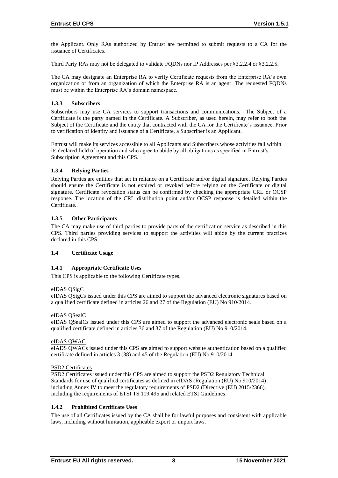the Applicant. Only RAs authorized by Entrust are permitted to submit requests to a CA for the issuance of Certificates.

Third Party RAs may not be delegated to validate FQDNs nor IP Addresses per §3.2.2.4 or §3.2.2.5.

The CA may designate an Enterprise RA to verify Certificate requests from the Enterprise RA's own organization or from an organization of which the Enterprise RA is an agent. The requested FQDNs must be within the Enterprise RA's domain namespace.

# **1.3.3 Subscribers**

Subscribers may use CA services to support transactions and communications. The Subject of a Certificate is the party named in the Certificate. A Subscriber, as used herein, may refer to both the Subject of the Certificate and the entity that contracted with the CA for the Certificate's issuance. Prior to verification of identity and issuance of a Certificate, a Subscriber is an Applicant.

Entrust will make its services accessible to all Applicants and Subscribers whose activities fall within its declared field of operation and who agree to abide by all obligations as specified in Entrust's Subscription Agreement and this CPS.

# **1.3.4 Relying Parties**

Relying Parties are entities that act in reliance on a Certificate and/or digital signature. Relying Parties should ensure the Certificate is not expired or revoked before relying on the Certificate or digital signature. Certificate revocation status can be confirmed by checking the appropriate CRL or OCSP response. The location of the CRL distribution point and/or OCSP response is detailed within the Certificate..

# **1.3.5 Other Participants**

The CA may make use of third parties to provide parts of the certification service as described in this CPS. Third parties providing services to support the activities will abide by the current practices declared in this CPS.

# **1.4 Certificate Usage**

# **1.4.1 Appropriate Certificate Uses**

This CPS is applicable to the following Certificate types.

# eIDAS QSigC

eIDAS QSigCs issued under this CPS are aimed to support the advanced electronic signatures based on a qualified certificate defined in articles 26 and 27 of the Regulation (EU) No 910/2014.

# eIDAS QSealC

eIDAS QSealCs issued under this CPS are aimed to support the advanced electronic seals based on a qualified certificate defined in articles 36 and 37 of the Regulation (EU) No 910/2014.

# eIDAS QWAC

eIADS QWACs issued under this CPS are aimed to support website authentication based on a qualified certificate defined in articles 3 (38) and 45 of the Regulation (EU) No 910/2014.

# PSD2 Certificates

PSD2 Certificates issued under this CPS are aimed to support the PSD2 Regulatory Technical Standards for use of qualified certificates as defined in eIDAS (Regulation (EU) No 910/2014), including Annex IV to meet the regulatory requirements of PSD2 (Directive (EU) 2015/2366), including the requirements of ETSI TS 119 495 and related ETSI Guidelines.

# **1.4.2 Prohibited Certificate Uses**

The use of all Certificates issued by the CA shall be for lawful purposes and consistent with applicable laws, including without limitation, applicable export or import laws.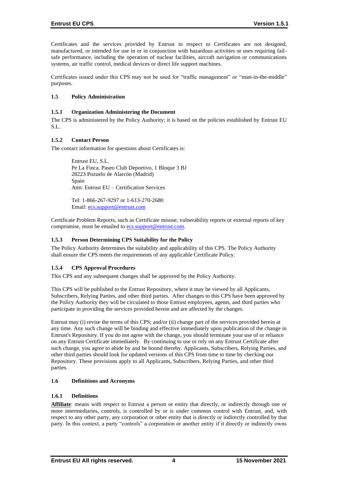Certificates and the services provided by Entrust in respect to Certificates are not designed, manufactured, or intended for use in or in conjunction with hazardous activities or uses requiring failsafe performance, including the operation of nuclear facilities, aircraft navigation or communications systems, air traffic control, medical devices or direct life support machines.

Certificates issued under this CPS may not be used for "traffic management" or "man-in-the-middle" purposes.

# **1.5 Policy Administration**

#### **1.5.1 Organization Administering the Document**

The CPS is administered by the Policy Authority; it is based on the policies established by Entrust EU S.L.

# **1.5.2 Contact Person**

The contact information for questions about Certificates is:

Entrust EU, S.L. Pe La Finca. Paseo Club Deportivo, 1 Bloque 3 BJ 28223 Pozuelo de Alarcón (Madrid) Spain Attn: Entrust EU – Certification Services

Tel: 1-866-267-9297 or 1-613-270-2680 Email: [ecs.support@entrust.com](mailto:ecs.support@entrust.com)

Certificate Problem Reports, such as Certificate misuse, vulnerability reports or external reports of key compromise, must be emailed to **ecs.support@entrust.com**.

# **1.5.3 Person Determining CPS Suitability for the Policy**

The Policy Authority determines the suitability and applicability of this CPS. The Policy Authority shall ensure the CPS meets the requirements of any applicable Certificate Policy.

# **1.5.4 CPS Approval Procedures**

This CPS and any subsequent changes shall be approved by the Policy Authority.

This CPS will be published to the Entrust Repository, where it may be viewed by all Applicants, Subscribers, Relying Parties, and other third parties. After changes to this CPS have been approved by the Policy Authority they will be circulated to those Entrust employees, agents, and third parties who participate in providing the services provided herein and are affected by the changes.

Entrust may (i) revise the terms of this CPS; and/or (ii) change part of the services provided herein at any time. Any such change will be binding and effective immediately upon publication of the change in Entrust's Repository. If you do not agree with the change, you should terminate your use of or reliance on any Entrust Certificate immediately. By continuing to use or rely on any Entrust Certificate after such change, you agree to abide by and be bound thereby. Applicants, Subscribers, Relying Parties, and other third parties should look for updated versions of this CPS from time to time by checking our Repository. These provisions apply to all Applicants, Subscribers, Relying Parties, and other third parties.

#### **1.6 Definitions and Acronyms**

#### **1.6.1 Definitions**

Affiliate: means with respect to Entrust a person or entity that directly, or indirectly through one or more intermediaries, controls, is controlled by or is under common control with Entrust, and, with respect to any other party, any corporation or other entity that is directly or indirectly controlled by that party. In this context, a party "controls" a corporation or another entity if it directly or indirectly owns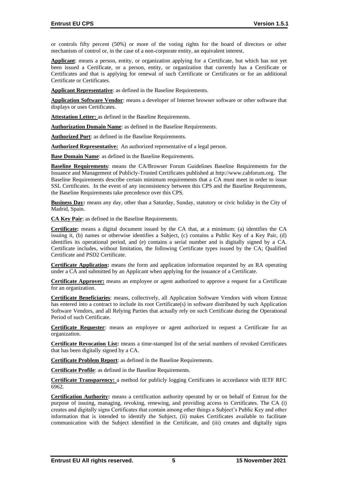or controls fifty percent (50%) or more of the voting rights for the board of directors or other mechanism of control or, in the case of a non-corporate entity, an equivalent interest.

**Applicant**: means a person, entity, or organization applying for a Certificate, but which has not yet been issued a Certificate, or a person, entity, or organization that currently has a Certificate or Certificates and that is applying for renewal of such Certificate or Certificates or for an additional Certificate or Certificates.

**Applicant Representative**: as defined in the Baseline Requirements.

**Application Software Vendor**: means a developer of Internet browser software or other software that displays or uses Certificates.

**Attestation Letter:** as defined in the Baseline Requirements.

**Authorization Domain Name**: as defined in the Baseline Requirements.

**Authorized Port**: as defined in the Baseline Requirements.

**Authorized Representative:** An authorized representative of a legal person.

**Base Domain Name**: as defined in the Baseline Requirements.

**Baseline Requirements**: means the CA/Browser Forum Guidelines Baseline Requirements for the Issuance and Management of Publicly-Trusted Certificates published at http://www.cabforum.org. The Baseline Requirements describe certain minimum requirements that a CA must meet in order to issue SSL Certificates. In the event of any inconsistency between this CPS and the Baseline Requirements, the Baseline Requirements take precedence over this CPS.

**Business Day:** means any day, other than a Saturday, Sunday, statutory or civic holiday in the City of Madrid, Spain.

**CA Key Pair**: as defined in the Baseline Requirements.

**Certificate:** means a digital document issued by the CA that, at a minimum: (a) identifies the CA issuing it, (b) names or otherwise identifies a Subject, (c) contains a Public Key of a Key Pair, (d) identifies its operational period, and (e) contains a serial number and is digitally signed by a CA. Certificate includes, without limitation, the following Certificate types issued by the CA; Qualified Certificate and PSD2 Certificate.

**Certificate Application:** means the form and application information requested by an RA operating under a CA and submitted by an Applicant when applying for the issuance of a Certificate.

**Certificate Approver:** means an employee or agent authorized to approve a request for a Certificate for an organization.

**Certificate Beneficiaries**: means, collectively, all Application Software Vendors with whom Entrust has entered into a contract to include its root Certificate(s) in software distributed by such Application Software Vendors, and all Relying Parties that actually rely on such Certificate during the Operational Period of such Certificate.

**Certificate Requester**: means an employee or agent authorized to request a Certificate for an organization.

**Certificate Revocation List:** means a time-stamped list of the serial numbers of revoked Certificates that has been digitally signed by a CA.

**Certificate Problem Report**: as defined in the Baseline Requirements.

**Certificate Profile**: as defined in the Baseline Requirements.

**Certificate Transparency:** a method for publicly logging Certificates in accordance with IETF RFC 6962.

**Certification Authority:** means a certification authority operated by or on behalf of Entrust for the purpose of issuing, managing, revoking, renewing, and providing access to Certificates. The CA (i) creates and digitally signs Certificates that contain among other things a Subject's Public Key and other information that is intended to identify the Subject, (ii) makes Certificates available to facilitate communication with the Subject identified in the Certificate, and (iii) creates and digitally signs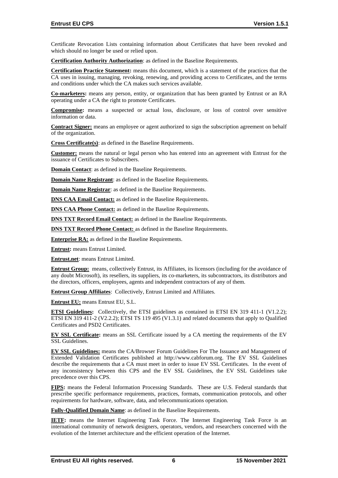Certificate Revocation Lists containing information about Certificates that have been revoked and which should no longer be used or relied upon.

**Certification Authority Authorization**: as defined in the Baseline Requirements.

**Certification Practice Statement:** means this document, which is a statement of the practices that the CA uses in issuing, managing, revoking, renewing, and providing access to Certificates, and the terms and conditions under which the CA makes such services available.

**Co-marketers:** means any person, entity, or organization that has been granted by Entrust or an RA operating under a CA the right to promote Certificates.

**Compromise:** means a suspected or actual loss, disclosure, or loss of control over sensitive information or data.

**Contract Signer:** means an employee or agent authorized to sign the subscription agreement on behalf of the organization.

**Cross Certificate(s)**: as defined in the Baseline Requirements.

**Customer:** means the natural or legal person who has entered into an agreement with Entrust for the issuance of Certificates to Subscribers.

**Domain Contact:** as defined in the Baseline Requirements.

**Domain Name Registrant**: as defined in the Baseline Requirements.

**Domain Name Registrar**: as defined in the Baseline Requirements.

**DNS CAA Email Contact:** as defined in the Baseline Requirements.

**DNS CAA Phone Contact:** as defined in the Baseline Requirements.

**DNS TXT Record Email Contact:** as defined in the Baseline Requirements.

**DNS TXT Record Phone Contact:** as defined in the Baseline Requirements.

**Enterprise RA:** as defined in the Baseline Requirements.

**Entrust:** means Entrust Limited.

**Entrust.net**: means Entrust Limited.

**Entrust Group:** means, collectively Entrust, its Affiliates, its licensors (including for the avoidance of any doubt Microsoft), its resellers, its suppliers, its co-marketers, its subcontractors, its distributors and the directors, officers, employees, agents and independent contractors of any of them.

**Entrust Group Affiliates**: Collectively, Entrust Limited and Affiliates.

**Entrust EU:** means Entrust EU, S.L.

**ETSI Guidelines:** Collectively, the ETSI guidelines as contained in ETSI EN 319 411-1 (V1.2.2); ETSI EN 319 411-2 (V2.2.2); ETSI TS 119 495 (V1.3.1) and related documents that apply to Qualified Certificates and PSD2 Certificates.

**EV SSL Certificate:** means an SSL Certificate issued by a CA meeting the requirements of the EV SSL Guidelines.

**EV SSL Guidelines:** means the CA/Browser Forum Guidelines For The Issuance and Management of Extended Validation Certificates published at http://www.cabforum.org. The EV SSL Guidelines describe the requirements that a CA must meet in order to issue EV SSL Certificates. In the event of any inconsistency between this CPS and the EV SSL Guidelines, the EV SSL Guidelines take precedence over this CPS.

**FIPS:** means the Federal Information Processing Standards. These are U.S. Federal standards that prescribe specific performance requirements, practices, formats, communication protocols, and other requirements for hardware, software, data, and telecommunications operation.

**Fully-Qualified Domain Name**: as defined in the Baseline Requirements.

**IETF:** means the Internet Engineering Task Force. The Internet Engineering Task Force is an international community of network designers, operators, vendors, and researchers concerned with the evolution of the Internet architecture and the efficient operation of the Internet.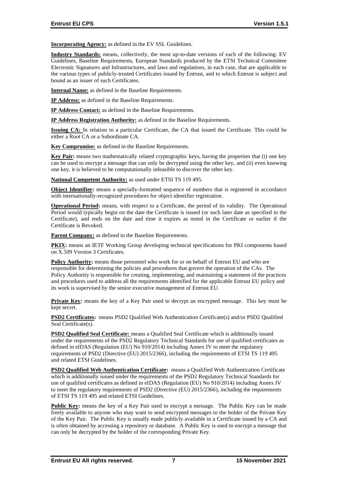**Incorporating Agency:** as defined in the EV SSL Guidelines.

**Industry Standards:** means, collectively, the most up-to-date versions of each of the following: EV Guidelines, Baseline Requirements, European Standards produced by the ETSI Technical Committee Electronic Signatures and Infrastructures, and laws and regulations, in each case, that are applicable to the various types of publicly-trusted Certificates issued by Entrust, and to which Entrust is subject and bound as an issuer of such Certificates.

**Internal Name:** as defined in the Baseline Requirements.

**IP Address:** as defined in the Baseline Requirements.

**IP Address Contact:** as defined in the Baseline Requirements.

**IP Address Registration Authority:** as defined in the Baseline Requirements.

**Issuing CA:** In relation to a particular Certificate, the CA that issued the Certificate. This could be either a Root CA or a Subordinate CA.

**Key Compromise:** as defined in the Baseline Requirements.

**Key Pair:** means two mathematically related cryptographic keys, having the properties that (i) one key can be used to encrypt a message that can only be decrypted using the other key, and (ii) even knowing one key, it is believed to be computationally infeasible to discover the other key.

**National Competent Authority:** as used under ETSI TS 119 495.

**Object Identifier:** means a specially-formatted sequence of numbers that is registered in accordance with internationally-recognized procedures for object identifier registration.

**Operational Period:** means, with respect to a Certificate, the period of its validity. The Operational Period would typically begin on the date the Certificate is issued (or such later date as specified in the Certificate), and ends on the date and time it expires as noted in the Certificate or earlier if the Certificate is Revoked.

Parent Company: as defined in the Baseline Requirements.

**PKIX:** means an IETF Working Group developing technical specifications for PKI components based on X.509 Version 3 Certificates.

**Policy Authority:** means those personnel who work for or on behalf of Entrust EU and who are responsible for determining the policies and procedures that govern the operation of the CAs. The Policy Authority is responsible for creating, implementing, and maintaining a statement of the practices and procedures used to address all the requirements identified for the applicable Entrust EU policy and its work is supervised by the senior executive management of Entrust EU.

**Private Key:** means the key of a Key Pair used to decrypt an encrypted message. This key must be kept secret.

**PSD2 Certificates:** means PSD2 Qualified Web Authentication Certificate(s) and/or PSD2 Qualified Seal Certificate(s).

**PSD2 Qualified Seal Certificate:** means a Qualified Seal Certificate which is additionally issued under the requirements of the PSD2 Regulatory Technical Standards for use of qualified certificates as defined in eIDAS (Regulation (EU) No 910/2014) including Annex IV to meet the regulatory requirements of PSD2 (Directive (EU) 2015/2366), including the requirements of ETSI TS 119 495 and related ETSI Guidelines.

**PSD2 Qualified Web Authentication Certificate:** means a Qualified Web Authentication Certificate which is additionally issued under the requirements of the PSD2 Regulatory Technical Standards for use of qualified certificates as defined in eIDAS (Regulation (EU) No 910/2014) including Annex IV to meet the regulatory requirements of PSD2 (Directive (EU) 2015/2366), including the requirements of ETSI TS 119 495 and related ETSI Guidelines.

**Public Key:** means the key of a Key Pair used to encrypt a message. The Public Key can be made freely available to anyone who may want to send encrypted messages to the holder of the Private Key of the Key Pair. The Public Key is usually made publicly available in a Certificate issued by a CA and is often obtained by accessing a repository or database. A Public Key is used to encrypt a message that can only be decrypted by the holder of the corresponding Private Key.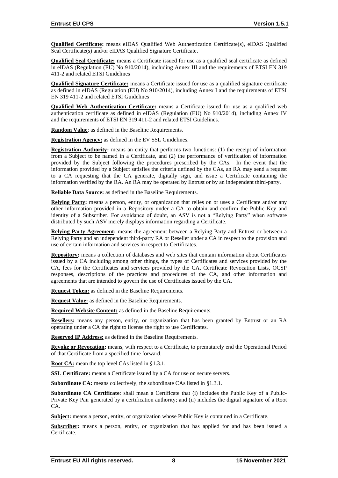**Qualified Certificate:** means eIDAS Qualified Web Authentication Certificate(s), eIDAS Qualified Seal Certificate(s) and/or eIDAS Qualified Signature Certificate.

**Qualified Seal Certificate:** means a Certificate issued for use as a qualified seal certificate as defined in eIDAS (Regulation (EU) No 910/2014), including Annex III and the requirements of ETSI EN 319 411-2 and related ETSI Guidelines

**Qualified Signature Certificate:** means a Certificate issued for use as a qualified signature certificate as defined in eIDAS (Regulation (EU) No 910/2014), including Annex I and the requirements of ETSI EN 319 411-2 and related ETSI Guidelines

**Qualified Web Authentication Certificate:** means a Certificate issued for use as a qualified web authentication certificate as defined in eIDAS (Regulation (EU) No 910/2014), including Annex IV and the requirements of ETSI EN 319 411-2 and related ETSI Guidelines.

**Random Value**: as defined in the Baseline Requirements.

**Registration Agency:** as defined in the EV SSL Guidelines.

**Registration Authority:** means an entity that performs two functions: (1) the receipt of information from a Subject to be named in a Certificate, and (2) the performance of verification of information provided by the Subject following the procedures prescribed by the CAs. In the event that the information provided by a Subject satisfies the criteria defined by the CAs, an RA may send a request to a CA requesting that the CA generate, digitally sign, and issue a Certificate containing the information verified by the RA. An RA may be operated by Entrust or by an independent third-party.

**Reliable Data Source:** as defined in the Baseline Requirements.

**Relying Party:** means a person, entity, or organization that relies on or uses a Certificate and/or any other information provided in a Repository under a CA to obtain and confirm the Public Key and identity of a Subscriber. For avoidance of doubt, an ASV is not a "Relying Party" when software distributed by such ASV merely displays information regarding a Certificate.

**Relying Party Agreement:** means the agreement between a Relying Party and Entrust or between a Relying Party and an independent third-party RA or Reseller under a CA in respect to the provision and use of certain information and services in respect to Certificates.

**Repository:** means a collection of databases and web sites that contain information about Certificates issued by a CA including among other things, the types of Certificates and services provided by the CA, fees for the Certificates and services provided by the CA, Certificate Revocation Lists, OCSP responses, descriptions of the practices and procedures of the CA, and other information and agreements that are intended to govern the use of Certificates issued by the CA.

**Request Token:** as defined in the Baseline Requirements.

**Request Value:** as defined in the Baseline Requirements.

**Required Website Content:** as defined in the Baseline Requirements.

**Resellers:** means any person, entity, or organization that has been granted by Entrust or an RA operating under a CA the right to license the right to use Certificates.

**Reserved IP Address:** as defined in the Baseline Requirements.

**Revoke or Revocation:** means, with respect to a Certificate, to prematurely end the Operational Period of that Certificate from a specified time forward.

**Root CA:** mean the top level CAs listed in §1.3.1.

**SSL Certificate:** means a Certificate issued by a CA for use on secure servers.

**Subordinate CA:** means collectively, the subordinate CAs listed in §1.3.1.

**Subordinate CA Certificate**: shall mean a Certificate that (i) includes the Public Key of a Public-Private Key Pair generated by a certification authority; and (ii) includes the digital signature of a Root  $CA$ 

**Subject:** means a person, entity, or organization whose Public Key is contained in a Certificate.

**Subscriber:** means a person, entity, or organization that has applied for and has been issued a Certificate.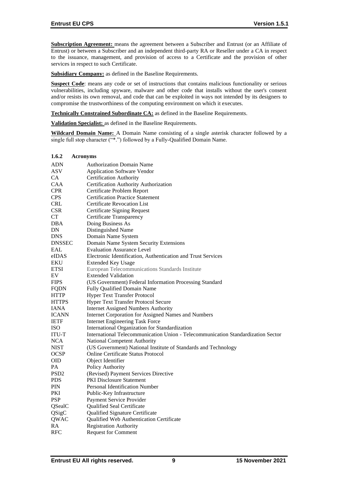**Subscription Agreement:** means the agreement between a Subscriber and Entrust (or an Affiliate of Entrust) or between a Subscriber and an independent third-party RA or Reseller under a CA in respect to the issuance, management, and provision of access to a Certificate and the provision of other services in respect to such Certificate.

**Subsidiary Company:** as defined in the Baseline Requirements.

**Suspect Code**: means any code or set of instructions that contains malicious functionality or serious vulnerabilities, including spyware, malware and other code that installs without the user's consent and/or resists its own removal, and code that can be exploited in ways not intended by its designers to compromise the trustworthiness of the computing environment on which it executes.

**Technically Constrained Subordinate CA:** as defined in the Baseline Requirements.

**Validation Specialist:** as defined in the Baseline Requirements.

**Wildcard Domain Name:** A Domain Name consisting of a single asterisk character followed by a single full stop character ("\*.") followed by a Fully-Qualified Domain Name.

| 1.6.2            | <b>Acronyms</b>                                                                  |
|------------------|----------------------------------------------------------------------------------|
| <b>ADN</b>       | <b>Authorization Domain Name</b>                                                 |
| <b>ASV</b>       | <b>Application Software Vendor</b>                                               |
| CA.              | <b>Certification Authority</b>                                                   |
| <b>CAA</b>       | Certification Authority Authorization                                            |
| <b>CPR</b>       | Certificate Problem Report                                                       |
| <b>CPS</b>       | <b>Certification Practice Statement</b>                                          |
| <b>CRL</b>       | Certificate Revocation List                                                      |
| <b>CSR</b>       | <b>Certificate Signing Request</b>                                               |
| CT               | Certificate Transparency                                                         |
| DBA              | Doing Business As                                                                |
| DN               | Distinguished Name                                                               |
| <b>DNS</b>       | Domain Name System                                                               |
| <b>DNSSEC</b>    | Domain Name System Security Extensions                                           |
| EAL              | <b>Evaluation Assurance Level</b>                                                |
| eIDAS            | Electronic Identification, Authentication and Trust Services                     |
| EKU              | <b>Extended Key Usage</b>                                                        |
| ETSI             | European Telecommunications Standards Institute                                  |
| EV               | <b>Extended Validation</b>                                                       |
| <b>FIPS</b>      | (US Government) Federal Information Processing Standard                          |
| <b>FQDN</b>      | Fully Qualified Domain Name                                                      |
| <b>HTTP</b>      | Hyper Text Transfer Protocol                                                     |
| <b>HTTPS</b>     | <b>Hyper Text Transfer Protocol Secure</b>                                       |
| IANA             | <b>Internet Assigned Numbers Authority</b>                                       |
| <b>ICANN</b>     | Internet Corporation for Assigned Names and Numbers                              |
| <b>IETF</b>      | <b>Internet Engineering Task Force</b>                                           |
| <b>ISO</b>       | International Organization for Standardization                                   |
| ITU-T            | International Telecommunication Union - Telecommunication Standardization Sector |
| <b>NCA</b>       | National Competent Authority                                                     |
| NIST             | (US Government) National Institute of Standards and Technology                   |
| <b>OCSP</b>      | Online Certificate Status Protocol                                               |
| <b>OID</b>       | Object Identifier                                                                |
| PА               | Policy Authority                                                                 |
| PSD <sub>2</sub> | (Revised) Payment Services Directive                                             |
| <b>PDS</b>       | <b>PKI</b> Disclosure Statement                                                  |
| PIN              | <b>Personal Identification Number</b>                                            |
| PKI              | Public-Key Infrastructure                                                        |
| <b>PSP</b>       | Payment Service Provider                                                         |
| QSealC           | Qualified Seal Certificate                                                       |
| QSigC            | Qualified Signature Certificate                                                  |
| QWAC             | Qualified Web Authentication Certificate                                         |
| RA               | <b>Registration Authority</b>                                                    |
| <b>RFC</b>       | <b>Request for Comment</b>                                                       |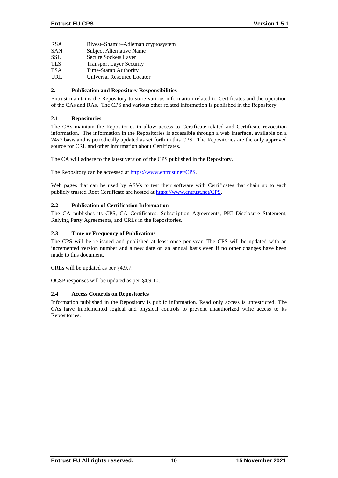- RSA Rivest–Shamir–Adleman cryptosystem
- SAN Subject Alternative Name
- SSL Secure Sockets Layer
- TLS Transport Layer Security
- TSA Time-Stamp Authority
- URL Universal Resource Locator

# **2. Publication and Repository Responsibilities**

Entrust maintains the Repository to store various information related to Certificates and the operation of the CAs and RAs. The CPS and various other related information is published in the Repository.

# **2.1 Repositories**

The CAs maintain the Repositories to allow access to Certificate-related and Certificate revocation information. The information in the Repositories is accessible through a web interface, available on a 24x7 basis and is periodically updated as set forth in this CPS. The Repositories are the only approved source for CRL and other information about Certificates.

The CA will adhere to the latest version of the CPS published in the Repository.

The Repository can be accessed at [https://www.entrust.net/CPS.](https://www.entrust.net/CPS)

Web pages that can be used by ASVs to test their software with Certificates that chain up to each publicly trusted Root Certificate are hosted a[t https://www.entrust.net/CPS.](https://www.entrust.net/CPS)

# **2.2 Publication of Certification Information**

The CA publishes its CPS, CA Certificates, Subscription Agreements, PKI Disclosure Statement, Relying Party Agreements, and CRLs in the Repositories.

# **2.3 Time or Frequency of Publications**

The CPS will be re-issued and published at least once per year. The CPS will be updated with an incremented version number and a new date on an annual basis even if no other changes have been made to this document.

CRLs will be updated as per §4.9.7.

OCSP responses will be updated as per §4.9.10.

# **2.4 Access Controls on Repositories**

Information published in the Repository is public information. Read only access is unrestricted. The CAs have implemented logical and physical controls to prevent unauthorized write access to its Repositories.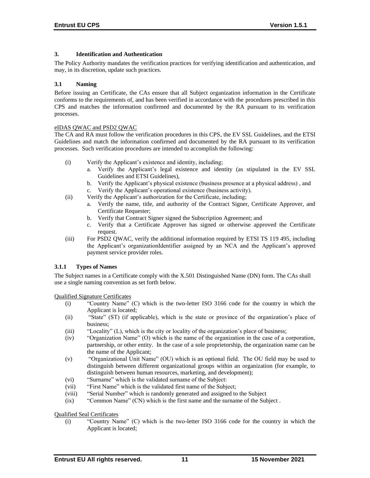# **3. Identification and Authentication**

The Policy Authority mandates the verification practices for verifying identification and authentication, and may, in its discretion, update such practices.

#### **3.1 Naming**

Before issuing an Certificate, the CAs ensure that all Subject organization information in the Certificate conforms to the requirements of, and has been verified in accordance with the procedures prescribed in this CPS and matches the information confirmed and documented by the RA pursuant to its verification processes.

#### eIDAS QWAC and PSD2 QWAC

The CA and RA must follow the verification procedures in this CPS, the EV SSL Guidelines, and the ETSI Guidelines and match the information confirmed and documented by the RA pursuant to its verification processes. Such verification procedures are intended to accomplish the following:

- (i) Verify the Applicant's existence and identity, including;
	- a. Verify the Applicant's legal existence and identity (as stipulated in the EV SSL Guidelines and ETSI Guidelines),
	- b. Verify the Applicant's physical existence (business presence at a physical address) , and c. Verify the Applicant's operational existence (business activity).
- (ii) Verify the Applicant's authorization for the Certificate, including;
	- a. Verify the name, title, and authority of the Contract Signer, Certificate Approver, and Certificate Requester;
	- b. Verify that Contract Signer signed the Subscription Agreement; and
	- c. Verify that a Certificate Approver has signed or otherwise approved the Certificate request.
- (iii) For PSD2 QWAC, verify the additional information required by ETSI TS 119 495, including the Applicant's organizationIdentifier assigned by an NCA and the Applicant's approved payment service provider roles.

# **3.1.1 Types of Names**

The Subject names in a Certificate comply with the X.501 Distinguished Name (DN) form. The CAs shall use a single naming convention as set forth below.

Qualified Signature Certificates

- (i) "Country Name" (C) which is the two-letter ISO 3166 code for the country in which the Applicant is located;
- (ii) "State" (ST) (if applicable), which is the state or province of the organization's place of business;
- (iii) "Locality" (L), which is the city or locality of the organization's place of business;
- (iv) "Organization Name" (O) which is the name of the organization in the case of a corporation, partnership, or other entity. In the case of a sole proprietorship, the organization name can be the name of the Applicant;
- (v) "Organizational Unit Name" (OU) which is an optional field. The OU field may be used to distinguish between different organizational groups within an organization (for example, to distinguish between human resources, marketing, and development);
- (vi) "Surname" which is the validated surname of the Subject:
- (vii) "First Name" which is the validated first name of the Subject;
- (viii) "Serial Number" which is randomly generated and assigned to the Subject
- (ix) "Common Name" (CN) which is the first name and the surname of the Subject .

Qualified Seal Certificates

(i) "Country Name" (C) which is the two-letter ISO 3166 code for the country in which the Applicant is located;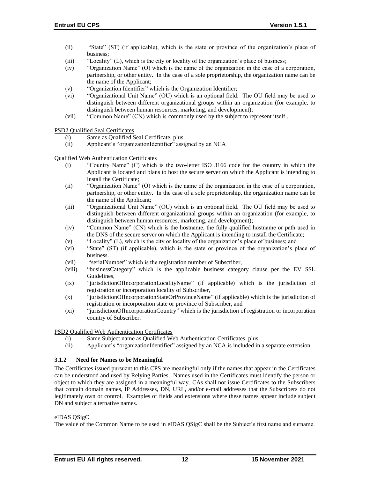- (ii) "State" (ST) (if applicable), which is the state or province of the organization's place of business;
- (iii) "Locality" (L), which is the city or locality of the organization's place of business;
- (iv) "Organization Name" (O) which is the name of the organization in the case of a corporation, partnership, or other entity. In the case of a sole proprietorship, the organization name can be the name of the Applicant;
- (v) "Organization Identifier" which is the Organization Identifier;
- (vi) "Organizational Unit Name" (OU) which is an optional field. The OU field may be used to distinguish between different organizational groups within an organization (for example, to distinguish between human resources, marketing, and development);
- (vii) "Common Name" (CN) which is commonly used by the subject to represent itself .

PSD2 Qualified Seal Certificates

- (i) Same as Qualified Seal Certificate, plus
- (ii) Applicant's "organizationIdentifier" assigned by an NCA

Qualified Web Authentication Certificates

- (i) "Country Name" (C) which is the two-letter ISO 3166 code for the country in which the Applicant is located and plans to host the secure server on which the Applicant is intending to install the Certificate;
- (ii) "Organization Name" (O) which is the name of the organization in the case of a corporation, partnership, or other entity. In the case of a sole proprietorship, the organization name can be the name of the Applicant;
- (iii) "Organizational Unit Name" (OU) which is an optional field. The OU field may be used to distinguish between different organizational groups within an organization (for example, to distinguish between human resources, marketing, and development);
- (iv) "Common Name" (CN) which is the hostname, the fully qualified hostname or path used in the DNS of the secure server on which the Applicant is intending to install the Certificate;
- (v) "Locality" (L), which is the city or locality of the organization's place of business; and
- (vi) "State" (ST) (if applicable), which is the state or province of the organization's place of business.
- (vii) "serialNumber" which is the registration number of Subscriber,
- (viii) "businessCategory" which is the applicable business category clause per the EV SSL Guidelines,
- (ix) "jurisdictionOfIncorporationLocalityName" (if applicable) which is the jurisdiction of registration or incorporation locality of Subscriber,
- (x) "jurisdictionOfIncorporationStateOrProvinceName" (if applicable) which is the jurisdiction of registration or incorporation state or province of Subscriber, and
- (xi) "jurisdictionOfIncorporationCountry" which is the jurisdiction of registration or incorporation country of Subscriber.

PSD2 Qualified Web Authentication Certificates

- (i) Same Subject name as Qualified Web Authentication Certificates, plus
- (ii) Applicant's "organizationIdentifier" assigned by an NCA is included in a separate extension.

#### **3.1.2 Need for Names to be Meaningful**

The Certificates issued pursuant to this CPS are meaningful only if the names that appear in the Certificates can be understood and used by Relying Parties. Names used in the Certificates must identify the person or object to which they are assigned in a meaningful way. CAs shall not issue Certificates to the Subscribers that contain domain names, IP Addresses, DN, URL, and/or e-mail addresses that the Subscribers do not legitimately own or control. Examples of fields and extensions where these names appear include subject DN and subject alternative names.

#### eIDAS QSigC

The value of the Common Name to be used in eIDAS QSigC shall be the Subject's first name and surname.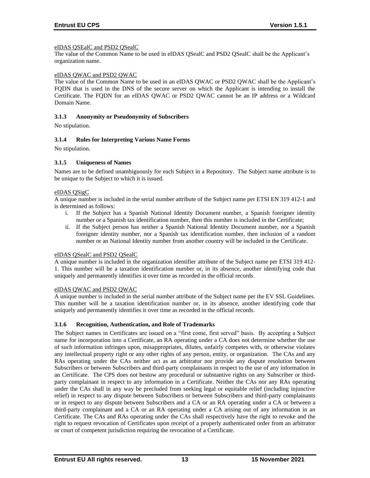#### eIDAS QSEalC and PSD2 QSealC

The value of the Common Name to be used in eIDAS QSealC and PSD2 QSealC shall be the Applicant's organization name.

#### eIDAS QWAC and PSD2 QWAC

The value of the Common Name to be used in an eIDAS QWAC or PSD2 QWAC shall be the Applicant's FQDN that is used in the DNS of the secure server on which the Applicant is intending to install the Certificate. The FQDN for an eIDAS QWAC or PSD2 QWAC cannot be an IP address or a Wildcard Domain Name.

#### **3.1.3 Anonymity or Pseudonymity of Subscribers**

No stipulation.

#### **3.1.4 Rules for Interpreting Various Name Forms**

No stipulation.

#### **3.1.5 Uniqueness of Names**

Names are to be defined unambiguously for each Subject in a Repository. The Subject name attribute is to be unique to the Subject to which it is issued.

#### eIDAS QSigC

A unique number is included in the serial number attribute of the Subject name per ETSI EN 319 412-1 and is determined as follows:

- i. If the Subject has a Spanish National Identity Document number, a Spanish foreigner identity number or a Spanish tax identification number, then this number is included in the Certificate;
- ii. If the Subject person has neither a Spanish National Identity Document number, nor a Spanish foreigner identity number, nor a Spanish tax identification number, then inclusion of a random number or an National Identity number from another country will be included in the Certificate.

#### eIDAS QSealC and PSD2 QSealC

A unique number is included in the organization identifier attribute of the Subject name per ETSI 319 412- 1. This number will be a taxation identification number or, in its absence, another identifying code that uniquely and permanently identifies it over time as recorded in the official records.

#### eIDAS QWAC and PSD2 QWAC

A unique number is included in the serial number attribute of the Subject name per the EV SSL Guidelines. This number will be a taxation identification number or, in its absence, another identifying code that uniquely and permanently identifies it over time as recorded in the official records.

#### **3.1.6 Recognition, Authentication, and Role of Trademarks**

The Subject names in Certificates are issued on a "first come, first served" basis. By accepting a Subject name for incorporation into a Certificate, an RA operating under a CA does not determine whether the use of such information infringes upon, misappropriates, dilutes, unfairly competes with, or otherwise violates any intellectual property right or any other rights of any person, entity, or organization. The CAs and any RAs operating under the CAs neither act as an arbitrator nor provide any dispute resolution between Subscribers or between Subscribers and third-party complainants in respect to the use of any information in an Certificate. The CPS does not bestow any procedural or substantive rights on any Subscriber or thirdparty complainant in respect to any information in a Certificate. Neither the CAs nor any RAs operating under the CAs shall in any way be precluded from seeking legal or equitable relief (including injunctive relief) in respect to any dispute between Subscribers or between Subscribers and third-party complainants or in respect to any dispute between Subscribers and a CA or an RA operating under a CA or between a third-party complainant and a CA or an RA operating under a CA arising out of any information in an Certificate. The CAs and RAs operating under the CAs shall respectively have the right to revoke and the right to request revocation of Certificates upon receipt of a properly authenticated order from an arbitrator or court of competent jurisdiction requiring the revocation of a Certificate.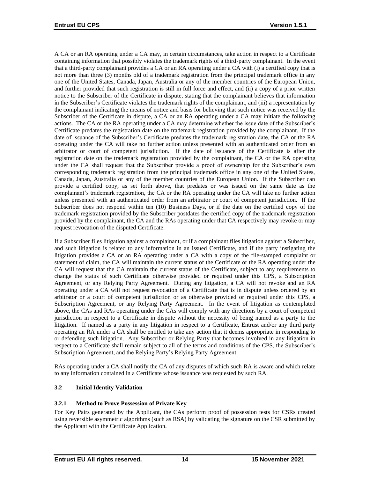A CA or an RA operating under a CA may, in certain circumstances, take action in respect to a Certificate containing information that possibly violates the trademark rights of a third-party complainant. In the event that a third-party complainant provides a CA or an RA operating under a CA with (i) a certified copy that is not more than three (3) months old of a trademark registration from the principal trademark office in any one of the United States, Canada, Japan, Australia or any of the member countries of the European Union, and further provided that such registration is still in full force and effect, and (ii) a copy of a prior written notice to the Subscriber of the Certificate in dispute, stating that the complainant believes that information in the Subscriber's Certificate violates the trademark rights of the complainant, and (iii) a representation by the complainant indicating the means of notice and basis for believing that such notice was received by the Subscriber of the Certificate in dispute, a CA or an RA operating under a CA may initiate the following actions. The CA or the RA operating under a CA may determine whether the issue date of the Subscriber's Certificate predates the registration date on the trademark registration provided by the complainant. If the date of issuance of the Subscriber's Certificate predates the trademark registration date, the CA or the RA operating under the CA will take no further action unless presented with an authenticated order from an arbitrator or court of competent jurisdiction. If the date of issuance of the Certificate is after the registration date on the trademark registration provided by the complainant, the CA or the RA operating under the CA shall request that the Subscriber provide a proof of ownership for the Subscriber's own corresponding trademark registration from the principal trademark office in any one of the United States, Canada, Japan, Australia or any of the member countries of the European Union. If the Subscriber can provide a certified copy, as set forth above, that predates or was issued on the same date as the complainant's trademark registration, the CA or the RA operating under the CA will take no further action unless presented with an authenticated order from an arbitrator or court of competent jurisdiction. If the Subscriber does not respond within ten (10) Business Days, or if the date on the certified copy of the trademark registration provided by the Subscriber postdates the certified copy of the trademark registration provided by the complainant, the CA and the RAs operating under that CA respectively may revoke or may request revocation of the disputed Certificate.

If a Subscriber files litigation against a complainant, or if a complainant files litigation against a Subscriber, and such litigation is related to any information in an issued Certificate, and if the party instigating the litigation provides a CA or an RA operating under a CA with a copy of the file-stamped complaint or statement of claim, the CA will maintain the current status of the Certificate or the RA operating under the CA will request that the CA maintain the current status of the Certificate, subject to any requirements to change the status of such Certificate otherwise provided or required under this CPS, a Subscription Agreement, or any Relying Party Agreement. During any litigation, a CA will not revoke and an RA operating under a CA will not request revocation of a Certificate that is in dispute unless ordered by an arbitrator or a court of competent jurisdiction or as otherwise provided or required under this CPS, a Subscription Agreement, or any Relying Party Agreement. In the event of litigation as contemplated above, the CAs and RAs operating under the CAs will comply with any directions by a court of competent jurisdiction in respect to a Certificate in dispute without the necessity of being named as a party to the litigation. If named as a party in any litigation in respect to a Certificate, Entrust and/or any third party operating an RA under a CA shall be entitled to take any action that it deems appropriate in responding to or defending such litigation. Any Subscriber or Relying Party that becomes involved in any litigation in respect to a Certificate shall remain subject to all of the terms and conditions of the CPS, the Subscriber's Subscription Agreement, and the Relying Party's Relying Party Agreement.

RAs operating under a CA shall notify the CA of any disputes of which such RA is aware and which relate to any information contained in a Certificate whose issuance was requested by such RA.

# **3.2 Initial Identity Validation**

# **3.2.1 Method to Prove Possession of Private Key**

For Key Pairs generated by the Applicant, the CAs perform proof of possession tests for CSRs created using reversible asymmetric algorithms (such as RSA) by validating the signature on the CSR submitted by the Applicant with the Certificate Application.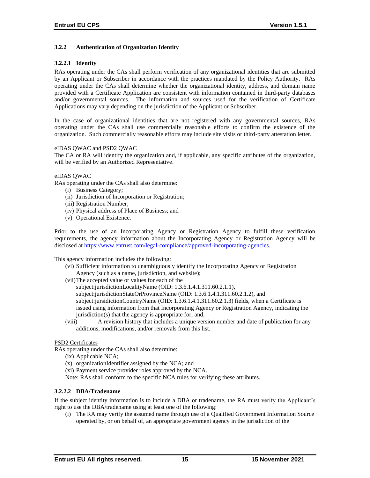# **3.2.2 Authentication of Organization Identity**

#### **3.2.2.1 Identity**

RAs operating under the CAs shall perform verification of any organizational identities that are submitted by an Applicant or Subscriber in accordance with the practices mandated by the Policy Authority. RAs operating under the CAs shall determine whether the organizational identity, address, and domain name provided with a Certificate Application are consistent with information contained in third-party databases and/or governmental sources. The information and sources used for the verification of Certificate Applications may vary depending on the jurisdiction of the Applicant or Subscriber.

In the case of organizational identities that are not registered with any governmental sources, RAs operating under the CAs shall use commercially reasonable efforts to confirm the existence of the organization. Such commercially reasonable efforts may include site visits or third-party attestation letter.

#### eIDAS QWAC and PSD2 QWAC

The CA or RA will identify the organization and, if applicable, any specific attributes of the organization, will be verified by an Authorized Representative.

#### eIDAS QWAC

RAs operating under the CAs shall also determine:

- (i) Business Category;
- (ii) Jurisdiction of Incorporation or Registration;
- (iii) Registration Number;
- (iv) Physical address of Place of Business; and
- (v) Operational Existence.

Prior to the use of an Incorporating Agency or Registration Agency to fulfill these verification requirements, the agency information about the Incorporating Agency or Registration Agency will be disclosed at [https://www.entrust.com/legal-compliance/approved-incorporating-agencies.](https://www.entrust.com/legal-compliance/approved-incorporating-agencies)

This agency information includes the following:

- (vi) Sufficient information to unambiguously identify the Incorporating Agency or Registration Agency (such as a name, jurisdiction, and website);
- (vii)The accepted value or values for each of the
	- subject:jurisdictionLocalityName (OID: 1.3.6.1.4.1.311.60.2.1.1),

subject:jurisdictionStateOrProvinceName (OID: 1.3.6.1.4.1.311.60.2.1.2), and

- subject:jursidictionCountryName (OID: 1.3.6.1.4.1.311.60.2.1.3) fields, when a Certificate is issued using information from that Incorporating Agency or Registration Agency, indicating the jurisdiction(s) that the agency is appropriate for; and,
- (viii) A revision history that includes a unique version number and date of publication for any additions, modifications, and/or removals from this list.

#### PSD2 Certificates

RAs operating under the CAs shall also determine:

- (ix) Applicable NCA;
- (x) organizationIdentifier assigned by the NCA; and
- (xi) Payment service provider roles approved by the NCA.

Note: RAs shall conform to the specific NCA rules for verifying these attributes.

#### **3.2.2.2 DBA/Tradename**

If the subject identity information is to include a DBA or tradename, the RA must verify the Applicant's right to use the DBA/tradename using at least one of the following:

(i) The RA may verify the assumed name through use of a Qualified Government Information Source operated by, or on behalf of, an appropriate government agency in the jurisdiction of the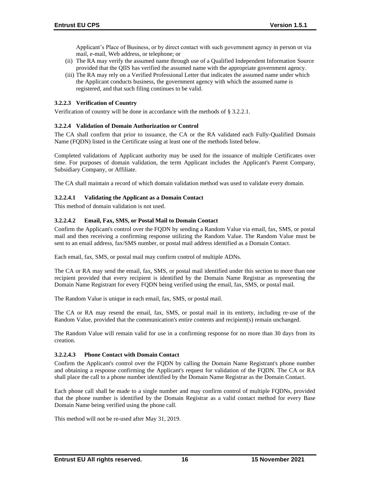Applicant's Place of Business, or by direct contact with such government agency in person or via mail, e-mail, Web address, or telephone; or

- (ii) The RA may verify the assumed name through use of a Qualified Independent Information Source provided that the QIIS has verified the assumed name with the appropriate government agency.
- (iii) The RA may rely on a Verified Professional Letter that indicates the assumed name under which the Applicant conducts business, the government agency with which the assumed name is registered, and that such filing continues to be valid.

# **3.2.2.3 Verification of Country**

Verification of country will be done in accordance with the methods of § 3.2.2.1.

#### **3.2.2.4 Validation of Domain Authorization or Control**

The CA shall confirm that prior to issuance, the CA or the RA validated each Fully‐Qualified Domain Name (FQDN) listed in the Certificate using at least one of the methods listed below.

Completed validations of Applicant authority may be used for the issuance of multiple Certificates over time. For purposes of domain validation, the term Applicant includes the Applicant's Parent Company, Subsidiary Company, or Affiliate.

The CA shall maintain a record of which domain validation method was used to validate every domain.

#### **3.2.2.4.1 Validating the Applicant as a Domain Contact**

This method of domain validation is not used.

# **3.2.2.4.2 Email, Fax, SMS, or Postal Mail to Domain Contact**

Confirm the Applicant's control over the FQDN by sending a Random Value via email, fax, SMS, or postal mail and then receiving a confirming response utilizing the Random Value. The Random Value must be sent to an email address, fax/SMS number, or postal mail address identified as a Domain Contact.

Each email, fax, SMS, or postal mail may confirm control of multiple ADNs.

The CA or RA may send the email, fax, SMS, or postal mail identified under this section to more than one recipient provided that every recipient is identified by the Domain Name Registrar as representing the Domain Name Registrant for every FQDN being verified using the email, fax, SMS, or postal mail.

The Random Value is unique in each email, fax, SMS, or postal mail.

The CA or RA may resend the email, fax, SMS, or postal mail in its entirety, including re‐use of the Random Value, provided that the communication's entire contents and recipient(s) remain unchanged.

The Random Value will remain valid for use in a confirming response for no more than 30 days from its creation.

#### **3.2.2.4.3 Phone Contact with Domain Contact**

Confirm the Applicant's control over the FQDN by calling the Domain Name Registrant's phone number and obtaining a response confirming the Applicant's request for validation of the FQDN. The CA or RA shall place the call to a phone number identified by the Domain Name Registrar as the Domain Contact.

Each phone call shall be made to a single number and may confirm control of multiple FQDNs, provided that the phone number is identified by the Domain Registrar as a valid contact method for every Base Domain Name being verified using the phone call.

This method will not be re-used after May 31, 2019.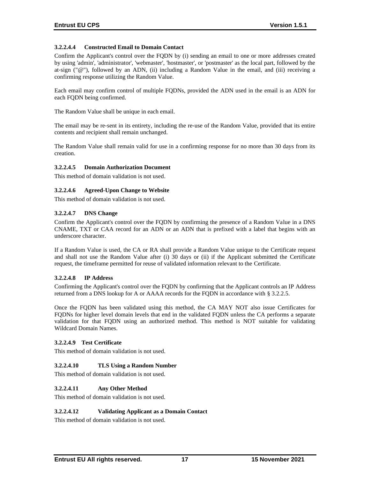# **3.2.2.4.4 Constructed Email to Domain Contact**

Confirm the Applicant's control over the FQDN by (i) sending an email to one or more addresses created by using 'admin', 'administrator', 'webmaster', 'hostmaster', or 'postmaster' as the local part, followed by the at-sign (" $@$ "), followed by an ADN, (ii) including a Random Value in the email, and (iii) receiving a confirming response utilizing the Random Value.

Each email may confirm control of multiple FQDNs, provided the ADN used in the email is an ADN for each FQDN being confirmed.

The Random Value shall be unique in each email.

The email may be re-sent in its entirety, including the re-use of the Random Value, provided that its entire contents and recipient shall remain unchanged.

The Random Value shall remain valid for use in a confirming response for no more than 30 days from its creation.

#### **3.2.2.4.5 Domain Authorization Document**

This method of domain validation is not used.

#### **3.2.2.4.6 Agreed-Upon Change to Website**

This method of domain validation is not used.

#### **3.2.2.4.7 DNS Change**

Confirm the Applicant's control over the FQDN by confirming the presence of a Random Value in a DNS CNAME, TXT or CAA record for an ADN or an ADN that is prefixed with a label that begins with an underscore character.

If a Random Value is used, the CA or RA shall provide a Random Value unique to the Certificate request and shall not use the Random Value after (i) 30 days or (ii) if the Applicant submitted the Certificate request, the timeframe permitted for reuse of validated information relevant to the Certificate.

#### **3.2.2.4.8 IP Address**

Confirming the Applicant's control over the FQDN by confirming that the Applicant controls an IP Address returned from a DNS lookup for A or AAAA records for the FQDN in accordance with § 3.2.2.5.

Once the FQDN has been validated using this method, the CA MAY NOT also issue Certificates for FQDNs for higher level domain levels that end in the validated FQDN unless the CA performs a separate validation for that FQDN using an authorized method. This method is NOT suitable for validating Wildcard Domain Names.

#### **3.2.2.4.9 Test Certificate**

This method of domain validation is not used.

#### **3.2.2.4.10 TLS Using a Random Number**

This method of domain validation is not used.

#### **3.2.2.4.11 Any Other Method**

This method of domain validation is not used.

#### **3.2.2.4.12 Validating Applicant as a Domain Contact**

This method of domain validation is not used.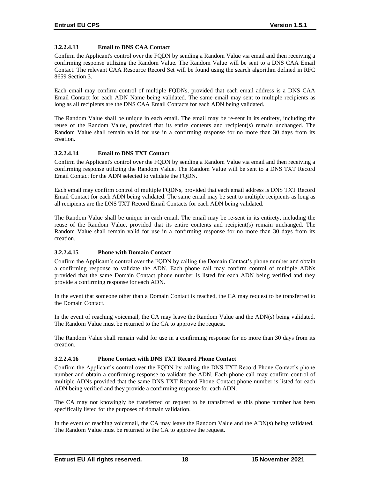# **3.2.2.4.13 Email to DNS CAA Contact**

Confirm the Applicant's control over the FQDN by sending a Random Value via email and then receiving a confirming response utilizing the Random Value. The Random Value will be sent to a DNS CAA Email Contact. The relevant CAA Resource Record Set will be found using the search algorithm defined in RFC 8659 Section 3.

Each email may confirm control of multiple FQDNs, provided that each email address is a DNS CAA Email Contact for each ADN Name being validated. The same email may sent to multiple recipients as long as all recipients are the DNS CAA Email Contacts for each ADN being validated.

The Random Value shall be unique in each email. The email may be re-sent in its entirety, including the reuse of the Random Value, provided that its entire contents and recipient(s) remain unchanged. The Random Value shall remain valid for use in a confirming response for no more than 30 days from its creation.

#### **3.2.2.4.14 Email to DNS TXT Contact**

Confirm the Applicant's control over the FQDN by sending a Random Value via email and then receiving a confirming response utilizing the Random Value. The Random Value will be sent to a DNS TXT Record Email Contact for the ADN selected to validate the FQDN.

Each email may confirm control of multiple FQDNs, provided that each email address is DNS TXT Record Email Contact for each ADN being validated. The same email may be sent to multiple recipients as long as all recipients are the DNS TXT Record Email Contacts for each ADN being validated.

The Random Value shall be unique in each email. The email may be re-sent in its entirety, including the reuse of the Random Value, provided that its entire contents and recipient(s) remain unchanged. The Random Value shall remain valid for use in a confirming response for no more than 30 days from its creation.

# **3.2.2.4.15 Phone with Domain Contact**

Confirm the Applicant's control over the FQDN by calling the Domain Contact's phone number and obtain a confirming response to validate the ADN. Each phone call may confirm control of multiple ADNs provided that the same Domain Contact phone number is listed for each ADN being verified and they provide a confirming response for each ADN.

In the event that someone other than a Domain Contact is reached, the CA may request to be transferred to the Domain Contact.

In the event of reaching voicemail, the CA may leave the Random Value and the ADN(s) being validated. The Random Value must be returned to the CA to approve the request.

The Random Value shall remain valid for use in a confirming response for no more than 30 days from its creation.

# **3.2.2.4.16 Phone Contact with DNS TXT Record Phone Contact**

Confirm the Applicant's control over the FQDN by calling the DNS TXT Record Phone Contact's phone number and obtain a confirming response to validate the ADN. Each phone call may confirm control of multiple ADNs provided that the same DNS TXT Record Phone Contact phone number is listed for each ADN being verified and they provide a confirming response for each ADN.

The CA may not knowingly be transferred or request to be transferred as this phone number has been specifically listed for the purposes of domain validation.

In the event of reaching voicemail, the CA may leave the Random Value and the ADN(s) being validated. The Random Value must be returned to the CA to approve the request.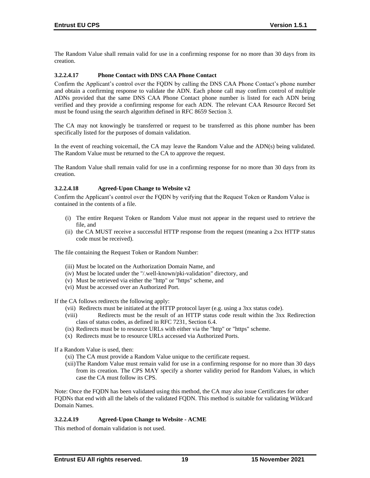The Random Value shall remain valid for use in a confirming response for no more than 30 days from its creation.

#### **3.2.2.4.17 Phone Contact with DNS CAA Phone Contact**

Confirm the Applicant's control over the FQDN by calling the DNS CAA Phone Contact's phone number and obtain a confirming response to validate the ADN. Each phone call may confirm control of multiple ADNs provided that the same DNS CAA Phone Contact phone number is listed for each ADN being verified and they provide a confirming response for each ADN. The relevant CAA Resource Record Set must be found using the search algorithm defined in RFC 8659 Section 3.

The CA may not knowingly be transferred or request to be transferred as this phone number has been specifically listed for the purposes of domain validation.

In the event of reaching voicemail, the CA may leave the Random Value and the ADN(s) being validated. The Random Value must be returned to the CA to approve the request.

The Random Value shall remain valid for use in a confirming response for no more than 30 days from its creation.

#### **3.2.2.4.18 Agreed-Upon Change to Website v2**

Confirm the Applicant's control over the FQDN by verifying that the Request Token or Random Value is contained in the contents of a file.

- (i) The entire Request Token or Random Value must not appear in the request used to retrieve the file, and
- (ii) the CA MUST receive a successful HTTP response from the request (meaning a 2xx HTTP status code must be received).

The file containing the Request Token or Random Number:

- (iii) Must be located on the Authorization Domain Name, and
- (iv) Must be located under the "/.well-known/pki-validation" directory, and
- (v) Must be retrieved via either the "http" or "https" scheme, and
- (vi) Must be accessed over an Authorized Port.

If the CA follows redirects the following apply:

- (vii) Redirects must be initiated at the HTTP protocol layer (e.g. using a 3xx status code).
- (viii) Redirects must be the result of an HTTP status code result within the 3xx Redirection class of status codes, as defined in RFC 7231, Section 6.4.
- (ix) Redirects must be to resource URLs with either via the "http" or "https" scheme.
- (x) Redirects must be to resource URLs accessed via Authorized Ports.

If a Random Value is used, then:

(xi) The CA must provide a Random Value unique to the certificate request.

(xii)The Random Value must remain valid for use in a confirming response for no more than 30 days from its creation. The CPS MAY specify a shorter validity period for Random Values, in which case the CA must follow its CPS.

Note: Once the FQDN has been validated using this method, the CA may also issue Certificates for other FQDNs that end with all the labels of the validated FQDN. This method is suitable for validating Wildcard Domain Names.

#### **3.2.2.4.19 Agreed-Upon Change to Website - ACME**

This method of domain validation is not used.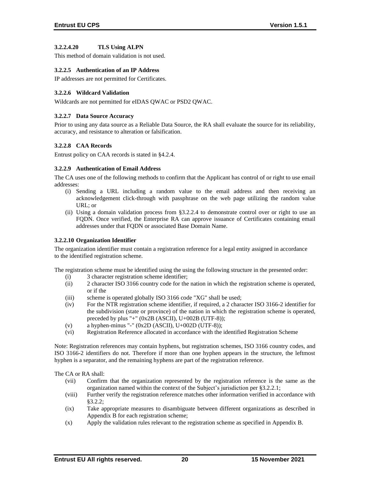#### **3.2.2.4.20 TLS Using ALPN**

This method of domain validation is not used.

#### **3.2.2.5 Authentication of an IP Address**

IP addresses are not permitted for Certificates.

#### **3.2.2.6 Wildcard Validation**

Wildcards are not permitted for eIDAS QWAC or PSD2 QWAC.

#### **3.2.2.7 Data Source Accuracy**

Prior to using any data source as a Reliable Data Source, the RA shall evaluate the source for its reliability, accuracy, and resistance to alteration or falsification.

#### **3.2.2.8 CAA Records**

Entrust policy on CAA records is stated in §4.2.4.

#### **3.2.2.9 Authentication of Email Address**

The CA uses one of the following methods to confirm that the Applicant has control of or right to use email addresses:

- (i) Sending a URL including a random value to the email address and then receiving an acknowledgement click-through with passphrase on the web page utilizing the random value URL; or
- (ii) Using a domain validation process from §3.2.2.4 to demonstrate control over or right to use an FQDN. Once verified, the Enterprise RA can approve issuance of Certificates containing email addresses under that FQDN or associated Base Domain Name.

#### **3.2.2.10 Organization Identifier**

The organization identifier must contain a registration reference for a legal entity assigned in accordance to the identified registration scheme.

The registration scheme must be identified using the using the following structure in the presented order:

- (i) 3 character registration scheme identifier;
- (ii) 2 character ISO 3166 country code for the nation in which the registration scheme is operated, or if the
- (iii) scheme is operated globally ISO 3166 code "XG" shall be used;
- (iv) For the NTR registration scheme identifier, if required, a 2 character ISO 3166-2 identifier for the subdivision (state or province) of the nation in which the registration scheme is operated, preceded by plus "+" (0x2B (ASCII), U+002B (UTF-8));
- (v) a hyphen-minus "-" (0x2D (ASCII), U+002D (UTF-8));
- (vi) Registration Reference allocated in accordance with the identified Registration Scheme

Note: Registration references may contain hyphens, but registration schemes, ISO 3166 country codes, and ISO 3166-2 identifiers do not. Therefore if more than one hyphen appears in the structure, the leftmost hyphen is a separator, and the remaining hyphens are part of the registration reference.

The CA or RA shall:

- (vii) Confirm that the organization represented by the registration reference is the same as the organization named within the context of the Subject's jurisdiction per §3.2.2.1;
- (viii) Further verify the registration reference matches other information verified in accordance with §3.2.2;
- (ix) Take appropriate measures to disambiguate between different organizations as described in Appendix B for each registration scheme;
- (x) Apply the validation rules relevant to the registration scheme as specified in Appendix B.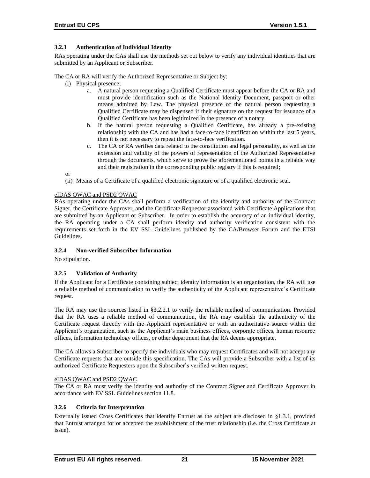# **3.2.3 Authentication of Individual Identity**

RAs operating under the CAs shall use the methods set out below to verify any individual identities that are submitted by an Applicant or Subscriber.

The CA or RA will verify the Authorized Representative or Subject by:

- (i) Physical presence;
	- a. A natural person requesting a Qualified Certificate must appear before the CA or RA and must provide identification such as the National Identity Document, passport or other means admitted by Law. The physical presence of the natural person requesting a Qualified Certificate may be dispensed if their signature on the request for issuance of a Qualified Certificate has been legitimized in the presence of a notary.
	- b. If the natural person requesting a Qualified Certificate, has already a pre-existing relationship with the CA and has had a face-to-face identification within the last 5 years, then it is not necessary to repeat the face-to-face verification.
	- c. The CA or RA verifies data related to the constitution and legal personality, as well as the extension and validity of the powers of representation of the Authorized Representative through the documents, which serve to prove the aforementioned points in a reliable way and their registration in the corresponding public registry if this is required;

or

(ii) Means of a Certificate of a qualified electronic signature or of a qualified electronic seal.

#### eIDAS QWAC and PSD2 QWAC

RAs operating under the CAs shall perform a verification of the identity and authority of the Contract Signer, the Certificate Approver, and the Certificate Requestor associated with Certificate Applications that are submitted by an Applicant or Subscriber. In order to establish the accuracy of an individual identity, the RA operating under a CA shall perform identity and authority verification consistent with the requirements set forth in the EV SSL Guidelines published by the CA/Browser Forum and the ETSI Guidelines.

#### **3.2.4 Non-verified Subscriber Information**

No stipulation.

# **3.2.5 Validation of Authority**

If the Applicant for a Certificate containing subject identity information is an organization, the RA will use a reliable method of communication to verify the authenticity of the Applicant representative's Certificate request.

The RA may use the sources listed in §3.2.2.1 to verify the reliable method of communication. Provided that the RA uses a reliable method of communication, the RA may establish the authenticity of the Certificate request directly with the Applicant representative or with an authoritative source within the Applicant's organization, such as the Applicant's main business offices, corporate offices, human resource offices, information technology offices, or other department that the RA deems appropriate.

The CA allows a Subscriber to specify the individuals who may request Certificates and will not accept any Certificate requests that are outside this specification. The CAs will provide a Subscriber with a list of its authorized Certificate Requesters upon the Subscriber's verified written request.

#### eIDAS QWAC and PSD2 QWAC

The CA or RA must verify the identity and authority of the Contract Signer and Certificate Approver in accordance with EV SSL Guidelines section 11.8.

# **3.2.6 Criteria for Interpretation**

Externally issued Cross Certificates that identify Entrust as the subject are disclosed in §1.3.1, provided that Entrust arranged for or accepted the establishment of the trust relationship (i.e. the Cross Certificate at issue).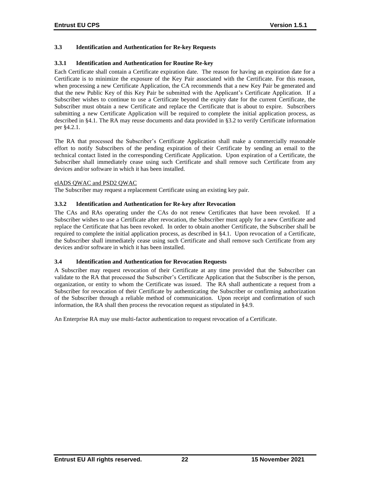# **3.3 Identification and Authentication for Re-key Requests**

#### **3.3.1 Identification and Authentication for Routine Re-key**

Each Certificate shall contain a Certificate expiration date. The reason for having an expiration date for a Certificate is to minimize the exposure of the Key Pair associated with the Certificate. For this reason, when processing a new Certificate Application, the CA recommends that a new Key Pair be generated and that the new Public Key of this Key Pair be submitted with the Applicant's Certificate Application. If a Subscriber wishes to continue to use a Certificate beyond the expiry date for the current Certificate, the Subscriber must obtain a new Certificate and replace the Certificate that is about to expire. Subscribers submitting a new Certificate Application will be required to complete the initial application process, as described in §4.1. The RA may reuse documents and data provided in §3.2 to verify Certificate information per §4.2.1.

The RA that processed the Subscriber's Certificate Application shall make a commercially reasonable effort to notify Subscribers of the pending expiration of their Certificate by sending an email to the technical contact listed in the corresponding Certificate Application. Upon expiration of a Certificate, the Subscriber shall immediately cease using such Certificate and shall remove such Certificate from any devices and/or software in which it has been installed.

#### eIADS QWAC and PSD2 QWAC

The Subscriber may request a replacement Certificate using an existing key pair.

#### **3.3.2 Identification and Authentication for Re-key after Revocation**

The CAs and RAs operating under the CAs do not renew Certificates that have been revoked. If a Subscriber wishes to use a Certificate after revocation, the Subscriber must apply for a new Certificate and replace the Certificate that has been revoked. In order to obtain another Certificate, the Subscriber shall be required to complete the initial application process, as described in §4.1. Upon revocation of a Certificate, the Subscriber shall immediately cease using such Certificate and shall remove such Certificate from any devices and/or software in which it has been installed.

#### **3.4 Identification and Authentication for Revocation Requests**

A Subscriber may request revocation of their Certificate at any time provided that the Subscriber can validate to the RA that processed the Subscriber's Certificate Application that the Subscriber is the person, organization, or entity to whom the Certificate was issued. The RA shall authenticate a request from a Subscriber for revocation of their Certificate by authenticating the Subscriber or confirming authorization of the Subscriber through a reliable method of communication. Upon receipt and confirmation of such information, the RA shall then process the revocation request as stipulated in §4.9.

An Enterprise RA may use multi-factor authentication to request revocation of a Certificate.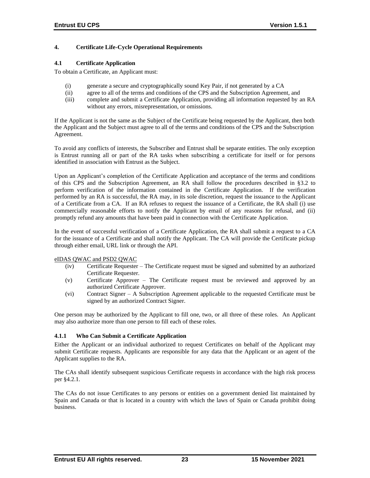# **4. Certificate Life-Cycle Operational Requirements**

#### **4.1 Certificate Application**

To obtain a Certificate, an Applicant must:

- (i) generate a secure and cryptographically sound Key Pair, if not generated by a CA
- (ii) agree to all of the terms and conditions of the CPS and the Subscription Agreement, and
- (iii) complete and submit a Certificate Application, providing all information requested by an RA without any errors, misrepresentation, or omissions.

If the Applicant is not the same as the Subject of the Certificate being requested by the Applicant, then both the Applicant and the Subject must agree to all of the terms and conditions of the CPS and the Subscription Agreement.

To avoid any conflicts of interests, the Subscriber and Entrust shall be separate entities. The only exception is Entrust running all or part of the RA tasks when subscribing a certificate for itself or for persons identified in association with Entrust as the Subject.

Upon an Applicant's completion of the Certificate Application and acceptance of the terms and conditions of this CPS and the Subscription Agreement, an RA shall follow the procedures described in §3.2 to perform verification of the information contained in the Certificate Application. If the verification performed by an RA is successful, the RA may, in its sole discretion, request the issuance to the Applicant of a Certificate from a CA. If an RA refuses to request the issuance of a Certificate, the RA shall (i) use commercially reasonable efforts to notify the Applicant by email of any reasons for refusal, and (ii) promptly refund any amounts that have been paid in connection with the Certificate Application.

In the event of successful verification of a Certificate Application, the RA shall submit a request to a CA for the issuance of a Certificate and shall notify the Applicant. The CA will provide the Certificate pickup through either email, URL link or through the API.

#### eIDAS QWAC and PSD2 QWAC

- (iv) Certificate Requester The Certificate request must be signed and submitted by an authorized Certificate Requester.
- (v) Certificate Approver The Certificate request must be reviewed and approved by an authorized Certificate Approver.
- (vi) Contract Signer A Subscription Agreement applicable to the requested Certificate must be signed by an authorized Contract Signer.

One person may be authorized by the Applicant to fill one, two, or all three of these roles. An Applicant may also authorize more than one person to fill each of these roles.

#### **4.1.1 Who Can Submit a Certificate Application**

Either the Applicant or an individual authorized to request Certificates on behalf of the Applicant may submit Certificate requests. Applicants are responsible for any data that the Applicant or an agent of the Applicant supplies to the RA.

The CAs shall identify subsequent suspicious Certificate requests in accordance with the high risk process per §4.2.1.

The CAs do not issue Certificates to any persons or entities on a government denied list maintained by Spain and Canada or that is located in a country with which the laws of Spain or Canada prohibit doing business.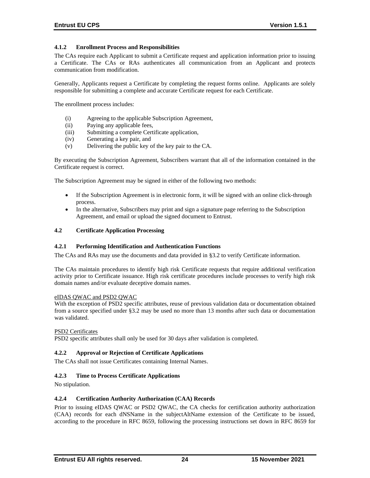# **4.1.2 Enrollment Process and Responsibilities**

The CAs require each Applicant to submit a Certificate request and application information prior to issuing a Certificate. The CAs or RAs authenticates all communication from an Applicant and protects communication from modification.

Generally, Applicants request a Certificate by completing the request forms online. Applicants are solely responsible for submitting a complete and accurate Certificate request for each Certificate.

The enrollment process includes:

- (i) Agreeing to the applicable Subscription Agreement,
- (ii) Paying any applicable fees,
- (iii) Submitting a complete Certificate application,
- (iv) Generating a key pair, and
- (v) Delivering the public key of the key pair to the CA.

By executing the Subscription Agreement, Subscribers warrant that all of the information contained in the Certificate request is correct.

The Subscription Agreement may be signed in either of the following two methods:

- If the Subscription Agreement is in electronic form, it will be signed with an online click-through process.
- In the alternative, Subscribers may print and sign a signature page referring to the Subscription Agreement, and email or upload the signed document to Entrust.

#### **4.2 Certificate Application Processing**

#### **4.2.1 Performing Identification and Authentication Functions**

The CAs and RAs may use the documents and data provided in §3.2 to verify Certificate information.

The CAs maintain procedures to identify high risk Certificate requests that require additional verification activity prior to Certificate issuance. High risk certificate procedures include processes to verify high risk domain names and/or evaluate deceptive domain names.

#### eIDAS QWAC and PSD2 QWAC

With the exception of PSD2 specific attributes, reuse of previous validation data or documentation obtained from a source specified under §3.2 may be used no more than 13 months after such data or documentation was validated.

#### PSD2 Certificates

PSD2 specific attributes shall only be used for 30 days after validation is completed.

#### **4.2.2 Approval or Rejection of Certificate Applications**

The CAs shall not issue Certificates containing Internal Names.

#### **4.2.3 Time to Process Certificate Applications**

No stipulation.

#### **4.2.4 Certification Authority Authorization (CAA) Records**

Prior to issuing eIDAS QWAC or PSD2 QWAC, the CA checks for certification authority authorization (CAA) records for each dNSName in the subjectAltName extension of the Certificate to be issued, according to the procedure in RFC 8659, following the processing instructions set down in RFC 8659 for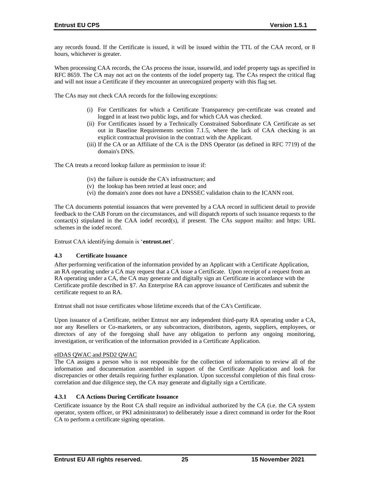any records found. If the Certificate is issued, it will be issued within the TTL of the CAA record, or 8 hours, whichever is greater.

When processing CAA records, the CAs process the issue, issuewild, and iodef property tags as specified in RFC 8659. The CA may not act on the contents of the iodef property tag. The CAs respect the critical flag and will not issue a Certificate if they encounter an unrecognized property with this flag set.

The CAs may not check CAA records for the following exceptions:

- (i) For Certificates for which a Certificate Transparency pre‐certificate was created and logged in at least two public logs, and for which CAA was checked.
- (ii) For Certificates issued by a Technically Constrained Subordinate CA Certificate as set out in Baseline Requirements section 7.1.5, where the lack of CAA checking is an explicit contractual provision in the contract with the Applicant.
- (iii) If the CA or an Affiliate of the CA is the DNS Operator (as defined in RFC 7719) of the domain's DNS.

The CA treats a record lookup failure as permission to issue if:

- (iv) the failure is outside the CA's infrastructure; and
- (v) the lookup has been retried at least once; and
- (vi) the domain's zone does not have a DNSSEC validation chain to the ICANN root.

The CA documents potential issuances that were prevented by a CAA record in sufficient detail to provide feedback to the CAB Forum on the circumstances, and will dispatch reports of such issuance requests to the contact(s) stipulated in the CAA iodef record(s), if present. The CAs support mailto: and https: URL schemes in the iodef record.

Entrust CAA identifying domain is '**entrust.net**'.

#### **4.3 Certificate Issuance**

After performing verification of the information provided by an Applicant with a Certificate Application, an RA operating under a CA may request that a CA issue a Certificate. Upon receipt of a request from an RA operating under a CA, the CA may generate and digitally sign an Certificate in accordance with the Certificate profile described in §7. An Enterprise RA can approve issuance of Certificates and submit the certificate request to an RA.

Entrust shall not issue certificates whose lifetime exceeds that of the CA's Certificate.

Upon issuance of a Certificate, neither Entrust nor any independent third-party RA operating under a CA, nor any Resellers or Co-marketers, or any subcontractors, distributors, agents, suppliers, employees, or directors of any of the foregoing shall have any obligation to perform any ongoing monitoring, investigation, or verification of the information provided in a Certificate Application.

#### eIDAS QWAC and PSD2 QWAC

The CA assigns a person who is not responsible for the collection of information to review all of the information and documentation assembled in support of the Certificate Application and look for discrepancies or other details requiring further explanation. Upon successful completion of this final crosscorrelation and due diligence step, the CA may generate and digitally sign a Certificate.

# **4.3.1 CA Actions During Certificate Issuance**

Certificate issuance by the Root CA shall require an individual authorized by the CA (i.e. the CA system operator, system officer, or PKI administrator) to deliberately issue a direct command in order for the Root CA to perform a certificate signing operation.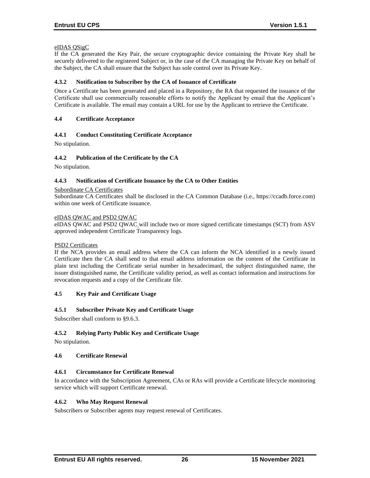#### eIDAS QSigC

If the CA generated the Key Pair, the secure cryptographic device containing the Private Key shall be securely delivered to the registered Subject or, in the case of the CA managing the Private Key on behalf of the Subject, the CA shall ensure that the Subject has sole control over its Private Key.

#### **4.3.2 Notification to Subscriber by the CA of Issuance of Certificate**

Once a Certificate has been generated and placed in a Repository, the RA that requested the issuance of the Certificate shall use commercially reasonable efforts to notify the Applicant by email that the Applicant's Certificate is available. The email may contain a URL for use by the Applicant to retrieve the Certificate.

#### **4.4 Certificate Acceptance**

#### **4.4.1 Conduct Constituting Certificate Acceptance**

No stipulation.

#### **4.4.2 Publication of the Certificate by the CA**

No stipulation.

#### **4.4.3 Notification of Certificate Issuance by the CA to Other Entities**

#### Subordinate CA Certificates

Subordinate CA Certificates shall be disclosed in the CA Common Database (i.e., https://ccadb.force.com) within one week of Certificate issuance.

#### eIDAS QWAC and PSD2 QWAC

eIDAS QWAC and PSD2 QWAC will include two or more signed certificate timestamps (SCT) from ASV approved independent Certificate Transparency logs.

#### PSD2 Certificates

If the NCA provides an email address where the CA can inform the NCA identified in a newly issued Certificate then the CA shall send to that email address information on the content of the Certificate in plain text including the Certificate serial number in hexadecimanl, the subject distinguished name, the issuer distinguished name, the Certificate validity period, as well as contact information and instructions for revocation requests and a copy of the Certificate file.

#### **4.5 Key Pair and Certificate Usage**

#### **4.5.1 Subscriber Private Key and Certificate Usage**

Subscriber shall conform to §9.6.3.

#### **4.5.2 Relying Party Public Key and Certificate Usage**

No stipulation.

#### **4.6 Certificate Renewal**

#### **4.6.1 Circumstance for Certificate Renewal**

In accordance with the Subscription Agreement, CAs or RAs will provide a Certificate lifecycle monitoring service which will support Certificate renewal.

#### **4.6.2 Who May Request Renewal**

Subscribers or Subscriber agents may request renewal of Certificates.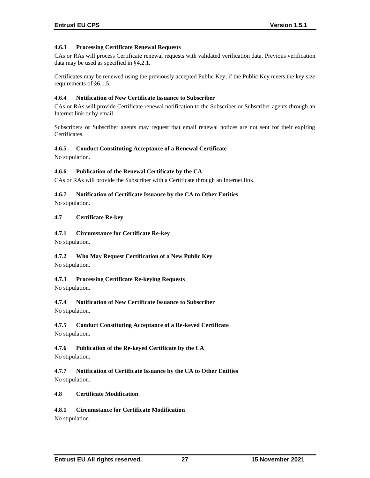# **4.6.3 Processing Certificate Renewal Requests**

CAs or RAs will process Certificate renewal requests with validated verification data. Previous verification data may be used as specified in §4.2.1.

Certificates may be renewed using the previously accepted Public Key, if the Public Key meets the key size requirements of §6.1.5.

#### **4.6.4 Notification of New Certificate Issuance to Subscriber**

CAs or RAs will provide Certificate renewal notification to the Subscriber or Subscriber agents through an Internet link or by email.

Subscribers or Subscriber agents may request that email renewal notices are not sent for their expiring Certificates.

#### **4.6.5 Conduct Constituting Acceptance of a Renewal Certificate**

No stipulation.

# **4.6.6 Publication of the Renewal Certificate by the CA**

CAs or RAs will provide the Subscriber with a Certificate through an Internet link.

#### **4.6.7 Notification of Certificate Issuance by the CA to Other Entities**

No stipulation.

#### **4.7 Certificate Re-key**

#### **4.7.1 Circumstance for Certificate Re-key**

No stipulation.

# **4.7.2 Who May Request Certification of a New Public Key**

No stipulation.

# **4.7.3 Processing Certificate Re-keying Requests**

No stipulation.

# **4.7.4 Notification of New Certificate Issuance to Subscriber**

No stipulation.

# **4.7.5 Conduct Constituting Acceptance of a Re-keyed Certificate**

No stipulation.

# **4.7.6 Publication of the Re-keyed Certificate by the CA**

No stipulation.

**4.7.7 Notification of Certificate Issuance by the CA to Other Entities** No stipulation.

#### **4.8 Certificate Modification**

# **4.8.1 Circumstance for Certificate Modification**

No stipulation.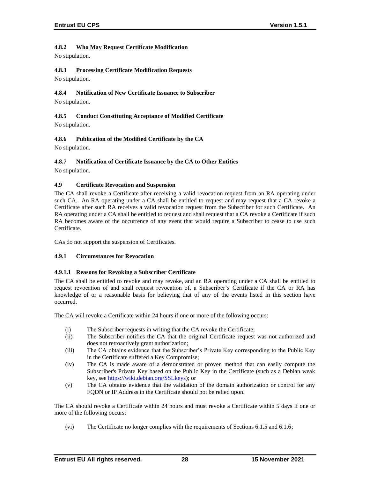## **4.8.2 Who May Request Certificate Modification**

No stipulation.

# **4.8.3 Processing Certificate Modification Requests**

No stipulation.

# **4.8.4 Notification of New Certificate Issuance to Subscriber**

No stipulation.

## **4.8.5 Conduct Constituting Acceptance of Modified Certificate** No stipulation.

# **4.8.6 Publication of the Modified Certificate by the CA**

No stipulation.

# **4.8.7 Notification of Certificate Issuance by the CA to Other Entities**

No stipulation.

## **4.9 Certificate Revocation and Suspension**

The CA shall revoke a Certificate after receiving a valid revocation request from an RA operating under such CA. An RA operating under a CA shall be entitled to request and may request that a CA revoke a Certificate after such RA receives a valid revocation request from the Subscriber for such Certificate. An RA operating under a CA shall be entitled to request and shall request that a CA revoke a Certificate if such RA becomes aware of the occurrence of any event that would require a Subscriber to cease to use such Certificate.

CAs do not support the suspension of Certificates.

## **4.9.1 Circumstances for Revocation**

## **4.9.1.1 Reasons for Revoking a Subscriber Certificate**

The CA shall be entitled to revoke and may revoke, and an RA operating under a CA shall be entitled to request revocation of and shall request revocation of, a Subscriber's Certificate if the CA or RA has knowledge of or a reasonable basis for believing that of any of the events listed in this section have occurred.

The CA will revoke a Certificate within 24 hours if one or more of the following occurs:

- (i) The Subscriber requests in writing that the CA revoke the Certificate;
- (ii) The Subscriber notifies the CA that the original Certificate request was not authorized and does not retroactively grant authorization;
- (iii) The CA obtains evidence that the Subscriber's Private Key corresponding to the Public Key in the Certificate suffered a Key Compromise;
- (iv) The CA is made aware of a demonstrated or proven method that can easily compute the Subscriber's Private Key based on the Public Key in the Certificate (such as a Debian weak key, se[e https://wiki.debian.org/SSLkeys\)](https://wiki.debian.org/SSLkeys); or
- (v) The CA obtains evidence that the validation of the domain authorization or control for any FQDN or IP Address in the Certificate should not be relied upon.

The CA should revoke a Certificate within 24 hours and must revoke a Certificate within 5 days if one or more of the following occurs:

(vi) The Certificate no longer complies with the requirements of Sections 6.1.5 and 6.1.6;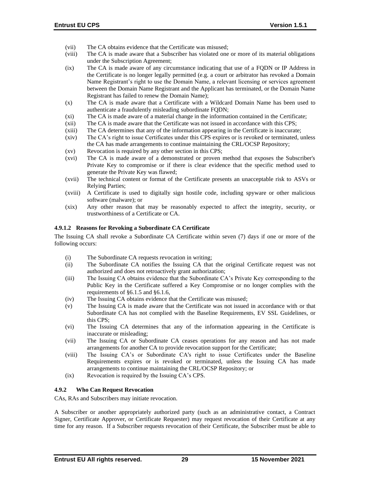- (vii) The CA obtains evidence that the Certificate was misused;
- (viii) The CA is made aware that a Subscriber has violated one or more of its material obligations under the Subscription Agreement;
- (ix) The CA is made aware of any circumstance indicating that use of a FQDN or IP Address in the Certificate is no longer legally permitted (e.g. a court or arbitrator has revoked a Domain Name Registrant's right to use the Domain Name, a relevant licensing or services agreement between the Domain Name Registrant and the Applicant has terminated, or the Domain Name Registrant has failed to renew the Domain Name);
- (x) The CA is made aware that a Certificate with a Wildcard Domain Name has been used to authenticate a fraudulently misleading subordinate FQDN;
- (xi) The CA is made aware of a material change in the information contained in the Certificate;
- (xii) The CA is made aware that the Certificate was not issued in accordance with this CPS;
- (xiii) The CA determines that any of the information appearing in the Certificate is inaccurate;
- (xiv) The CA's right to issue Certificates under this CPS expires or is revoked or terminated, unless the CA has made arrangements to continue maintaining the CRL/OCSP Repository;
- (xv) Revocation is required by any other section in this CPS;
- (xvi) The CA is made aware of a demonstrated or proven method that exposes the Subscriber's Private Key to compromise or if there is clear evidence that the specific method used to generate the Private Key was flawed;
- (xvii) The technical content or format of the Certificate presents an unacceptable risk to ASVs or Relying Parties;
- (xviii) A Certificate is used to digitally sign hostile code, including spyware or other malicious software (malware); or
- (xix) Any other reason that may be reasonably expected to affect the integrity, security, or trustworthiness of a Certificate or CA.

#### **4.9.1.2 Reasons for Revoking a Subordinate CA Certificate**

The Issuing CA shall revoke a Subordinate CA Certificate within seven (7) days if one or more of the following occurs:

- (i) The Subordinate CA requests revocation in writing;
- (ii) The Subordinate CA notifies the Issuing CA that the original Certificate request was not authorized and does not retroactively grant authorization;
- (iii) The Issuing CA obtains evidence that the Subordinate CA's Private Key corresponding to the Public Key in the Certificate suffered a Key Compromise or no longer complies with the requirements of §6.1.5 and §6.1.6,
- (iv) The Issuing CA obtains evidence that the Certificate was misused;
- (v) The Issuing CA is made aware that the Certificate was not issued in accordance with or that Subordinate CA has not complied with the Baseline Requirements, EV SSL Guidelines, or this CPS;
- (vi) The Issuing CA determines that any of the information appearing in the Certificate is inaccurate or misleading;
- (vii) The Issuing CA or Subordinate CA ceases operations for any reason and has not made arrangements for another CA to provide revocation support for the Certificate;
- (viii) The Issuing CA's or Subordinate CA's right to issue Certificates under the Baseline Requirements expires or is revoked or terminated, unless the Issuing CA has made arrangements to continue maintaining the CRL/OCSP Repository; or
- (ix) Revocation is required by the Issuing CA's CPS.

#### **4.9.2 Who Can Request Revocation**

CAs, RAs and Subscribers may initiate revocation.

A Subscriber or another appropriately authorized party (such as an administrative contact, a Contract Signer, Certificate Approver, or Certificate Requester) may request revocation of their Certificate at any time for any reason. If a Subscriber requests revocation of their Certificate, the Subscriber must be able to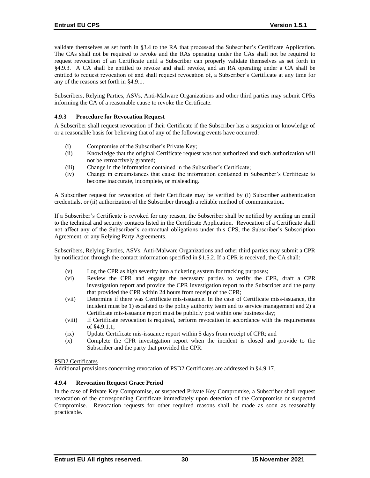validate themselves as set forth in §3.4 to the RA that processed the Subscriber's Certificate Application. The CAs shall not be required to revoke and the RAs operating under the CAs shall not be required to request revocation of an Certificate until a Subscriber can properly validate themselves as set forth in §4.9.3. A CA shall be entitled to revoke and shall revoke, and an RA operating under a CA shall be entitled to request revocation of and shall request revocation of, a Subscriber's Certificate at any time for any of the reasons set forth in §4.9.1.

Subscribers, Relying Parties, ASVs, Anti-Malware Organizations and other third parties may submit CPRs informing the CA of a reasonable cause to revoke the Certificate.

## **4.9.3 Procedure for Revocation Request**

A Subscriber shall request revocation of their Certificate if the Subscriber has a suspicion or knowledge of or a reasonable basis for believing that of any of the following events have occurred:

- (i) Compromise of the Subscriber's Private Key;
- (ii) Knowledge that the original Certificate request was not authorized and such authorization will not be retroactively granted;
- (iii) Change in the information contained in the Subscriber's Certificate;
- (iv) Change in circumstances that cause the information contained in Subscriber's Certificate to become inaccurate, incomplete, or misleading.

A Subscriber request for revocation of their Certificate may be verified by (i) Subscriber authentication credentials, or (ii) authorization of the Subscriber through a reliable method of communication.

If a Subscriber's Certificate is revoked for any reason, the Subscriber shall be notified by sending an email to the technical and security contacts listed in the Certificate Application. Revocation of a Certificate shall not affect any of the Subscriber's contractual obligations under this CPS, the Subscriber's Subscription Agreement, or any Relying Party Agreements.

Subscribers, Relying Parties, ASVs, Anti-Malware Organizations and other third parties may submit a CPR by notification through the contact information specified in §1.5.2. If a CPR is received, the CA shall:

- (v) Log the CPR as high severity into a ticketing system for tracking purposes;
- (vi) Review the CPR and engage the necessary parties to verify the CPR, draft a CPR investigation report and provide the CPR investigation report to the Subscriber and the party that provided the CPR within 24 hours from receipt of the CPR;
- (vii) Determine if there was Certificate mis-issuance. In the case of Certificate miss-issuance, the incident must be 1) escalated to the policy authority team and to service management and 2) a Certificate mis-issuance report must be publicly post within one business day;
- (viii) If Certificate revocation is required, perform revocation in accordance with the requirements of §4.9.1.1;
- (ix) Update Certificate mis-issuance report within 5 days from receipt of CPR; and
- (x) Complete the CPR investigation report when the incident is closed and provide to the Subscriber and the party that provided the CPR.

#### PSD2 Certificates

Additional provisions concerning revocation of PSD2 Certificates are addressed in §4.9.17.

#### **4.9.4 Revocation Request Grace Period**

In the case of Private Key Compromise, or suspected Private Key Compromise, a Subscriber shall request revocation of the corresponding Certificate immediately upon detection of the Compromise or suspected Compromise. Revocation requests for other required reasons shall be made as soon as reasonably practicable.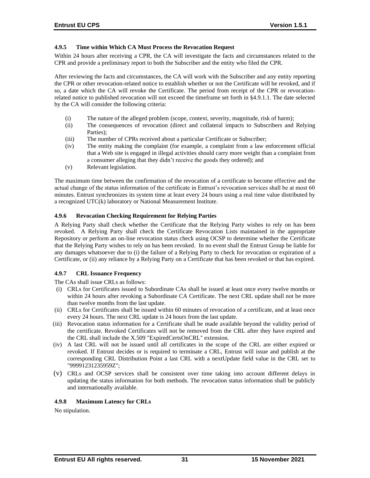# **4.9.5 Time within Which CA Must Process the Revocation Request**

Within 24 hours after receiving a CPR, the CA will investigate the facts and circumstances related to the CPR and provide a preliminary report to both the Subscriber and the entity who filed the CPR.

After reviewing the facts and circumstances, the CA will work with the Subscriber and any entity reporting the CPR or other revocation-related notice to establish whether or not the Certificate will be revoked, and if so, a date which the CA will revoke the Certificate. The period from receipt of the CPR or revocationrelated notice to published revocation will not exceed the timeframe set forth in §4.9.1.1. The date selected by the CA will consider the following criteria:

- (i) The nature of the alleged problem (scope, context, severity, magnitude, risk of harm);
- (ii) The consequences of revocation (direct and collateral impacts to Subscribers and Relying Parties);
- (iii) The number of CPRs received about a particular Certificate or Subscriber;
- (iv) The entity making the complaint (for example, a complaint from a law enforcement official that a Web site is engaged in illegal activities should carry more weight than a complaint from a consumer alleging that they didn't receive the goods they ordered); and
- (v) Relevant legislation.

The maximum time between the confirmation of the revocation of a certificate to become effective and the actual change of the status information of the certificate in Entrust's revocation services shall be at most 60 minutes. Entrust synchronizes its system time at least every 24 hours using a real time value distributed by a recognized UTC(k) laboratory or National Measurement Institute.

### **4.9.6 Revocation Checking Requirement for Relying Parties**

A Relying Party shall check whether the Certificate that the Relying Party wishes to rely on has been revoked. A Relying Party shall check the Certificate Revocation Lists maintained in the appropriate Repository or perform an on-line revocation status check using OCSP to determine whether the Certificate that the Relying Party wishes to rely on has been revoked. In no event shall the Entrust Group be liable for any damages whatsoever due to (i) the failure of a Relying Party to check for revocation or expiration of a Certificate, or (ii) any reliance by a Relying Party on a Certificate that has been revoked or that has expired.

## **4.9.7 CRL Issuance Frequency**

The CAs shall issue CRLs as follows:

- (i) CRLs for Certificates issued to Subordinate CAs shall be issued at least once every twelve months or within 24 hours after revoking a Subordinate CA Certificate. The next CRL update shall not be more than twelve months from the last update.
- (ii) CRLs for Certificates shall be issued within 60 minutes of revocation of a certificate, and at least once every 24 hours. The next CRL update is 24 hours from the last update.
- (iii) Revocation status information for a Certificate shall be made available beyond the validity period of the certificate. Revoked Certificates will not be removed from the CRL after they have expired and the CRL shall include the X.509 "ExpiredCertsOnCRL" extension.
- (iv) A last CRL will not be issued until all certificates in the scope of the CRL are either expired or revoked. If Entrust decides or is required to terminate a CRL, Entrust will issue and publish at the corresponding CRL Distribution Point a last CRL with a nextUpdate field value in the CRL set to "99991231235959Z";
- (v) CRLs and OCSP services shall be consistent over time taking into account different delays in updating the status information for both methods. The revocation status information shall be publicly and internationally available.

## **4.9.8 Maximum Latency for CRLs**

No stipulation.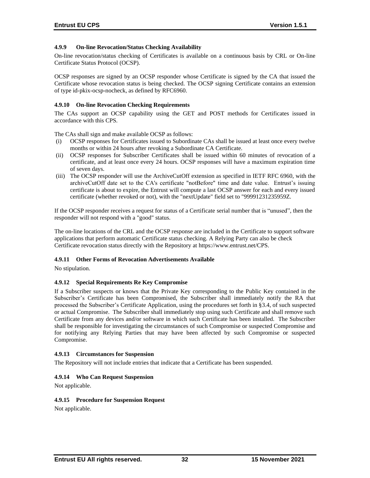## **4.9.9 On-line Revocation/Status Checking Availability**

On-line revocation/status checking of Certificates is available on a continuous basis by CRL or On-line Certificate Status Protocol (OCSP).

OCSP responses are signed by an OCSP responder whose Certificate is signed by the CA that issued the Certificate whose revocation status is being checked. The OCSP signing Certificate contains an extension of type id-pkix-ocsp-nocheck, as defined by RFC6960.

### **4.9.10 On-line Revocation Checking Requirements**

The CAs support an OCSP capability using the GET and POST methods for Certificates issued in accordance with this CPS.

The CAs shall sign and make available OCSP as follows:

- (i) OCSP responses for Certificates issued to Subordinate CAs shall be issued at least once every twelve months or within 24 hours after revoking a Subordinate CA Certificate.
- (ii) OCSP responses for Subscriber Certificates shall be issued within 60 minutes of revocation of a certificate, and at least once every 24 hours. OCSP responses will have a maximum expiration time of seven days.
- (iii) The OCSP responder will use the ArchiveCutOff extension as specified in IETF RFC 6960, with the archiveCutOff date set to the CA's certificate "notBefore" time and date value. Entrust's issuing certificate is about to expire, the Entrust will compute a last OCSP answer for each and every issued certificate (whether revoked or not), with the "nextUpdate" field set to "99991231235959Z.

If the OCSP responder receives a request for status of a Certificate serial number that is "unused", then the responder will not respond with a "good" status.

The on-line locations of the CRL and the OCSP response are included in the Certificate to support software applications that perform automatic Certificate status checking. A Relying Party can also be check Certificate revocation status directly with the Repository at [https://www.entrust.net/CPS.](https://www.entrust.net/CPS) 

#### **4.9.11 Other Forms of Revocation Advertisements Available**

No stipulation.

#### **4.9.12 Special Requirements Re Key Compromise**

If a Subscriber suspects or knows that the Private Key corresponding to the Public Key contained in the Subscriber's Certificate has been Compromised, the Subscriber shall immediately notify the RA that processed the Subscriber's Certificate Application, using the procedures set forth in §3.4, of such suspected or actual Compromise. The Subscriber shall immediately stop using such Certificate and shall remove such Certificate from any devices and/or software in which such Certificate has been installed. The Subscriber shall be responsible for investigating the circumstances of such Compromise or suspected Compromise and for notifying any Relying Parties that may have been affected by such Compromise or suspected Compromise.

#### **4.9.13 Circumstances for Suspension**

The Repository will not include entries that indicate that a Certificate has been suspended.

#### **4.9.14 Who Can Request Suspension**

Not applicable.

#### **4.9.15 Procedure for Suspension Request**

Not applicable.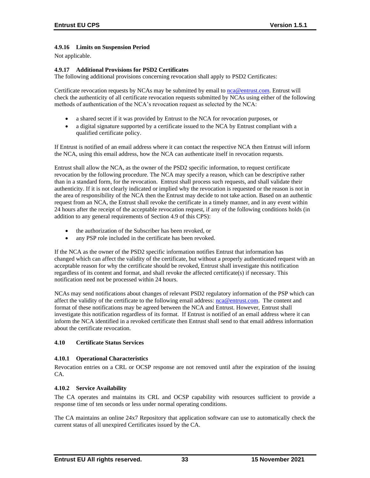## **4.9.16 Limits on Suspension Period**

Not applicable.

### **4.9.17 Additional Provisions for PSD2 Certificates**

The following additional provisions concerning revocation shall apply to PSD2 Certificates:

Certificate revocation requests by NCAs may be submitted by email to [nca@entrust.com.](mailto:nca@entrustdatacard.com) Entrust will check the authenticity of all certificate revocation requests submitted by NCAs using either of the following methods of authentication of the NCA's revocation request as selected by the NCA:

- a shared secret if it was provided by Entrust to the NCA for revocation purposes, or
- a digital signature supported by a certificate issued to the NCA by Entrust compliant with a qualified certificate policy.

If Entrust is notified of an email address where it can contact the respective NCA then Entrust will inform the NCA, using this email address, how the NCA can authenticate itself in revocation requests.

Entrust shall allow the NCA, as the owner of the PSD2 specific information, to request certificate revocation by the following procedure. The NCA may specify a reason, which can be descriptive rather than in a standard form, for the revocation. Entrust shall process such requests, and shall validate their authenticity. If it is not clearly indicated or implied why the revocation is requested or the reason is not in the area of responsibility of the NCA then the Entrust may decide to not take action. Based on an authentic request from an NCA, the Entrust shall revoke the certificate in a timely manner, and in any event within 24 hours after the receipt of the acceptable revocation request, if any of the following conditions holds (in addition to any general requirements of Section 4.9 of this CPS):

- the authorization of the Subscriber has been revoked, or
- any PSP role included in the certificate has been revoked.

If the NCA as the owner of the PSD2 specific information notifies Entrust that information has changed which can affect the validity of the certificate, but without a properly authenticated request with an acceptable reason for why the certificate should be revoked, Entrust shall investigate this notification regardless of its content and format, and shall revoke the affected certificate(s) if necessary. This notification need not be processed within 24 hours.

NCAs may send notifications about changes of relevant PSD2 regulatory information of the PSP which can affect the validity of the certificate to the following email address: [nca@entrust.com.](mailto:nca@entrust.com) The content and format of these notifications may be agreed between the NCA and Entrust. However, Entrust shall investigate this notification regardless of its format. If Entrust is notified of an email address where it can inform the NCA identified in a revoked certificate then Entrust shall send to that email address information about the certificate revocation.

#### **4.10 Certificate Status Services**

#### **4.10.1 Operational Characteristics**

Revocation entries on a CRL or OCSP response are not removed until after the expiration of the issuing CA.

#### **4.10.2 Service Availability**

The CA operates and maintains its CRL and OCSP capability with resources sufficient to provide a response time of ten seconds or less under normal operating conditions.

The CA maintains an online 24x7 Repository that application software can use to automatically check the current status of all unexpired Certificates issued by the CA.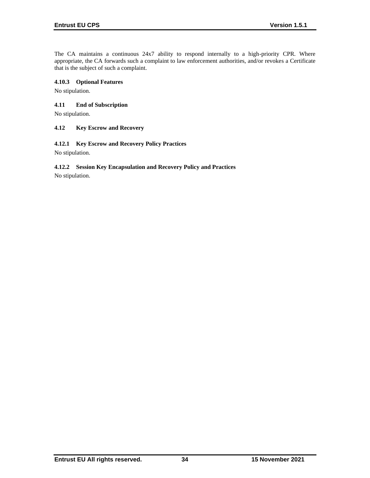The CA maintains a continuous 24x7 ability to respond internally to a high-priority CPR. Where appropriate, the CA forwards such a complaint to law enforcement authorities, and/or revokes a Certificate that is the subject of such a complaint.

## **4.10.3 Optional Features**

No stipulation.

## **4.11 End of Subscription**

No stipulation.

### **4.12 Key Escrow and Recovery**

#### **4.12.1 Key Escrow and Recovery Policy Practices**

No stipulation.

## **4.12.2 Session Key Encapsulation and Recovery Policy and Practices**

No stipulation.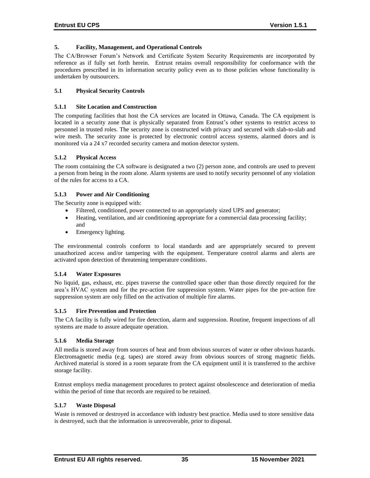### **5. Facility, Management, and Operational Controls**

The CA/Browser Forum's Network and Certificate System Security Requirements are incorporated by reference as if fully set forth herein. Entrust retains overall responsibility for conformance with the procedures prescribed in its information security policy even as to those policies whose functionality is undertaken by outsourcers.

### **5.1 Physical Security Controls**

### **5.1.1 Site Location and Construction**

The computing facilities that host the CA services are located in Ottawa, Canada. The CA equipment is located in a security zone that is physically separated from Entrust's other systems to restrict access to personnel in trusted roles. The security zone is constructed with privacy and secured with slab-to-slab and wire mesh. The security zone is protected by electronic control access systems, alarmed doors and is monitored via a 24 x7 recorded security camera and motion detector system.

### **5.1.2 Physical Access**

The room containing the CA software is designated a two (2) person zone, and controls are used to prevent a person from being in the room alone. Alarm systems are used to notify security personnel of any violation of the rules for access to a CA.

### **5.1.3 Power and Air Conditioning**

The Security zone is equipped with:

- Filtered, conditioned, power connected to an appropriately sized UPS and generator;
- Heating, ventilation, and air conditioning appropriate for a commercial data processing facility; and
- Emergency lighting.

The environmental controls conform to local standards and are appropriately secured to prevent unauthorized access and/or tampering with the equipment. Temperature control alarms and alerts are activated upon detection of threatening temperature conditions.

#### **5.1.4 Water Exposures**

No liquid, gas, exhaust, etc. pipes traverse the controlled space other than those directly required for the area's HVAC system and for the pre-action fire suppression system. Water pipes for the pre-action fire suppression system are only filled on the activation of multiple fire alarms.

#### **5.1.5 Fire Prevention and Protection**

The CA facility is fully wired for fire detection, alarm and suppression. Routine, frequent inspections of all systems are made to assure adequate operation.

#### **5.1.6 Media Storage**

All media is stored away from sources of heat and from obvious sources of water or other obvious hazards. Electromagnetic media (e.g. tapes) are stored away from obvious sources of strong magnetic fields. Archived material is stored in a room separate from the CA equipment until it is transferred to the archive storage facility.

Entrust employs media management procedures to protect against obsolescence and deterioration of media within the period of time that records are required to be retained.

#### **5.1.7 Waste Disposal**

Waste is removed or destroyed in accordance with industry best practice. Media used to store sensitive data is destroyed, such that the information is unrecoverable, prior to disposal.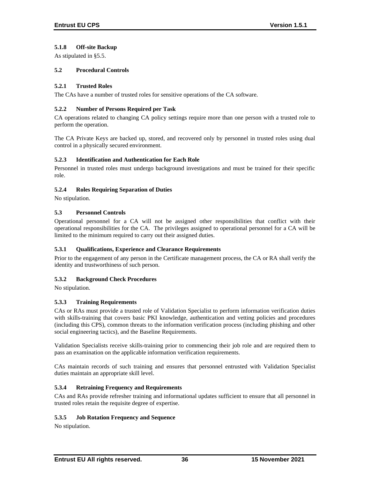## **5.1.8 Off-site Backup**

As stipulated in §5.5.

## **5.2 Procedural Controls**

## **5.2.1 Trusted Roles**

The CAs have a number of trusted roles for sensitive operations of the CA software.

### **5.2.2 Number of Persons Required per Task**

CA operations related to changing CA policy settings require more than one person with a trusted role to perform the operation.

The CA Private Keys are backed up, stored, and recovered only by personnel in trusted roles using dual control in a physically secured environment.

### **5.2.3 Identification and Authentication for Each Role**

Personnel in trusted roles must undergo background investigations and must be trained for their specific role.

### **5.2.4 Roles Requiring Separation of Duties**

No stipulation.

## **5.3 Personnel Controls**

Operational personnel for a CA will not be assigned other responsibilities that conflict with their operational responsibilities for the CA. The privileges assigned to operational personnel for a CA will be limited to the minimum required to carry out their assigned duties.

## **5.3.1 Qualifications, Experience and Clearance Requirements**

Prior to the engagement of any person in the Certificate management process, the CA or RA shall verify the identity and trustworthiness of such person.

## **5.3.2 Background Check Procedures**

No stipulation.

## **5.3.3 Training Requirements**

CAs or RAs must provide a trusted role of Validation Specialist to perform information verification duties with skills-training that covers basic PKI knowledge, authentication and vetting policies and procedures (including this CPS), common threats to the information verification process (including phishing and other social engineering tactics), and the Baseline Requirements.

Validation Specialists receive skills-training prior to commencing their job role and are required them to pass an examination on the applicable information verification requirements.

CAs maintain records of such training and ensures that personnel entrusted with Validation Specialist duties maintain an appropriate skill level.

## **5.3.4 Retraining Frequency and Requirements**

CAs and RAs provide refresher training and informational updates sufficient to ensure that all personnel in trusted roles retain the requisite degree of expertise.

#### **5.3.5 Job Rotation Frequency and Sequence**

No stipulation.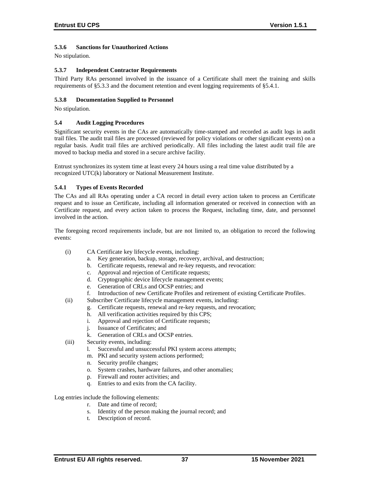## **5.3.6 Sanctions for Unauthorized Actions**

No stipulation.

### **5.3.7 Independent Contractor Requirements**

Third Party RAs personnel involved in the issuance of a Certificate shall meet the training and skills requirements of §5.3.3 and the document retention and event logging requirements of §5.4.1.

### **5.3.8 Documentation Supplied to Personnel**

No stipulation.

### **5.4 Audit Logging Procedures**

Significant security events in the CAs are automatically time-stamped and recorded as audit logs in audit trail files. The audit trail files are processed (reviewed for policy violations or other significant events) on a regular basis. Audit trail files are archived periodically. All files including the latest audit trail file are moved to backup media and stored in a secure archive facility.

Entrust synchronizes its system time at least every 24 hours using a real time value distributed by a recognized UTC(k) laboratory or National Measurement Institute.

### **5.4.1 Types of Events Recorded**

The CAs and all RAs operating under a CA record in detail every action taken to process an Certificate request and to issue an Certificate, including all information generated or received in connection with an Certificate request, and every action taken to process the Request, including time, date, and personnel involved in the action.

The foregoing record requirements include, but are not limited to, an obligation to record the following events:

- (i) CA Certificate key lifecycle events, including:
	- a. Key generation, backup, storage, recovery, archival, and destruction;
	- b. Certificate requests, renewal and re-key requests, and revocation:
	- c. Approval and rejection of Certificate requests;
	- d. Cryptographic device lifecycle management events;
	- e. Generation of CRLs and OCSP entries; and
	- f. Introduction of new Certificate Profiles and retirement of existing Certificate Profiles.
- (ii) Subscriber Certificate lifecycle management events, including:
	- g. Certificate requests, renewal and re-key requests, and revocation;
	- h. All verification activities required by this CPS;
	- i. Approval and rejection of Certificate requests;
	- j. Issuance of Certificates; and
	- k. Generation of CRLs and OCSP entries.
- (iii) Security events, including:
	- l. Successful and unsuccessful PKI system access attempts;
	- m. PKI and security system actions performed;
	- n. Security profile changes;
	- o. System crashes, hardware failures, and other anomalies;
	- p. Firewall and router activities; and
	- q. Entries to and exits from the CA facility.

Log entries include the following elements:

- r. Date and time of record;
- s. Identity of the person making the journal record; and
- t. Description of record.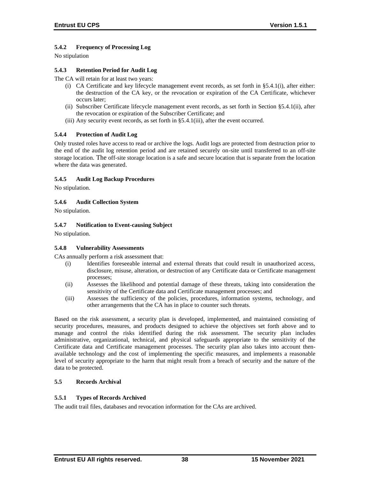# **5.4.2 Frequency of Processing Log**

No stipulation

## **5.4.3 Retention Period for Audit Log**

The CA will retain for at least two years:

- (i) CA Certificate and key lifecycle management event records, as set forth in §5.4.1(i), after either: the destruction of the CA key, or the revocation or expiration of the CA Certificate, whichever occurs later;
- (ii) Subscriber Certificate lifecycle management event records, as set forth in Section §5.4.1(ii), after the revocation or expiration of the Subscriber Certificate; and
- (iii) Any security event records, as set forth in §5.4.1(iii), after the event occurred.

## **5.4.4 Protection of Audit Log**

Only trusted roles have access to read or archive the logs. Audit logs are protected from destruction prior to the end of the audit log retention period and are retained securely on-site until transferred to an off-site storage location. The off-site storage location is a safe and secure location that is separate from the location where the data was generated.

### **5.4.5 Audit Log Backup Procedures**

No stipulation.

### **5.4.6 Audit Collection System**

No stipulation.

### **5.4.7 Notification to Event-causing Subject**

No stipulation.

#### **5.4.8 Vulnerability Assessments**

CAs annually perform a risk assessment that:

- (i) Identifies foreseeable internal and external threats that could result in unauthorized access, disclosure, misuse, alteration, or destruction of any Certificate data or Certificate management processes;
- (ii) Assesses the likelihood and potential damage of these threats, taking into consideration the sensitivity of the Certificate data and Certificate management processes; and
- (iii) Assesses the sufficiency of the policies, procedures, information systems, technology, and other arrangements that the CA has in place to counter such threats.

Based on the risk assessment, a security plan is developed, implemented, and maintained consisting of security procedures, measures, and products designed to achieve the objectives set forth above and to manage and control the risks identified during the risk assessment. The security plan includes administrative, organizational, technical, and physical safeguards appropriate to the sensitivity of the Certificate data and Certificate management processes. The security plan also takes into account thenavailable technology and the cost of implementing the specific measures, and implements a reasonable level of security appropriate to the harm that might result from a breach of security and the nature of the data to be protected.

# **5.5 Records Archival**

#### **5.5.1 Types of Records Archived**

The audit trail files, databases and revocation information for the CAs are archived.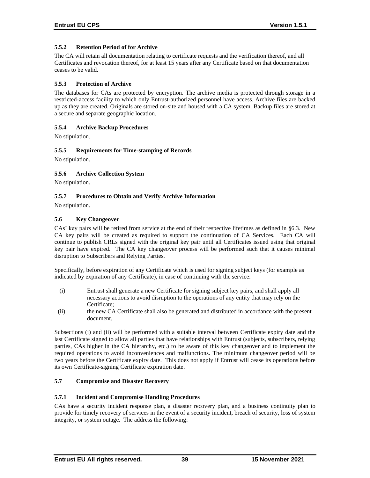## **5.5.2 Retention Period of for Archive**

The CA will retain all documentation relating to certificate requests and the verification thereof, and all Certificates and revocation thereof, for at least 15 years after any Certificate based on that documentation ceases to be valid.

### **5.5.3 Protection of Archive**

The databases for CAs are protected by encryption. The archive media is protected through storage in a restricted-access facility to which only Entrust-authorized personnel have access. Archive files are backed up as they are created. Originals are stored on-site and housed with a CA system. Backup files are stored at a secure and separate geographic location.

### **5.5.4 Archive Backup Procedures**

No stipulation.

### **5.5.5 Requirements for Time-stamping of Records**

No stipulation.

### **5.5.6 Archive Collection System**

No stipulation.

### **5.5.7 Procedures to Obtain and Verify Archive Information**

No stipulation.

### **5.6 Key Changeover**

CAs' key pairs will be retired from service at the end of their respective lifetimes as defined in §6.3. New CA key pairs will be created as required to support the continuation of CA Services. Each CA will continue to publish CRLs signed with the original key pair until all Certificates issued using that original key pair have expired. The CA key changeover process will be performed such that it causes minimal disruption to Subscribers and Relying Parties.

Specifically, before expiration of any Certificate which is used for signing subject keys (for example as indicated by expiration of any Certificate), in case of continuing with the service:

- (i) Entrust shall generate a new Certificate for signing subject key pairs, and shall apply all necessary actions to avoid disruption to the operations of any entity that may rely on the Certificate;
- (ii) the new CA Certificate shall also be generated and distributed in accordance with the present document.

Subsections (i) and (ii) will be performed with a suitable interval between Certificate expiry date and the last Certificate signed to allow all parties that have relationships with Entrust (subjects, subscribers, relying parties, CAs higher in the CA hierarchy, etc.) to be aware of this key changeover and to implement the required operations to avoid inconveniences and malfunctions. The minimum changeover period will be two years before the Certificate expiry date. This does not apply if Entrust will cease its operations before its own Certificate-signing Certificate expiration date.

### **5.7 Compromise and Disaster Recovery**

#### **5.7.1 Incident and Compromise Handling Procedures**

CAs have a security incident response plan, a disaster recovery plan, and a business continuity plan to provide for timely recovery of services in the event of a security incident, breach of security, loss of system integrity, or system outage. The address the following: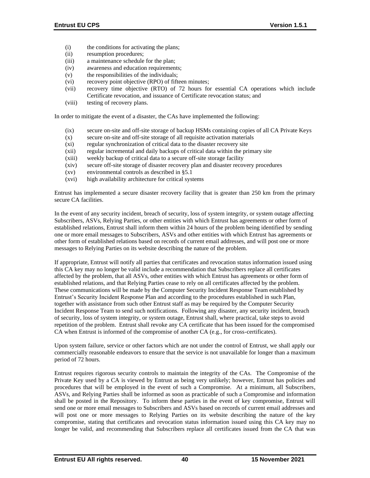- (i) the conditions for activating the plans;
- (ii) resumption procedures;
- (iii) a maintenance schedule for the plan;
- (iv) awareness and education requirements;
- (v) the responsibilities of the individuals;
- (vi) recovery point objective (RPO) of fifteen minutes;
- (vii) recovery time objective (RTO) of 72 hours for essential CA operations which include Certificate revocation, and issuance of Certificate revocation status; and
- (viii) testing of recovery plans.

In order to mitigate the event of a disaster, the CAs have implemented the following:

- (ix) secure on-site and off-site storage of backup HSMs containing copies of all CA Private Keys
- (x) secure on-site and off-site storage of all requisite activation materials
- (xi) regular synchronization of critical data to the disaster recovery site
- (xii) regular incremental and daily backups of critical data within the primary site
- (xiii) weekly backup of critical data to a secure off-site storage facility
- (xiv) secure off-site storage of disaster recovery plan and disaster recovery procedures
- (xv) environmental controls as described in §5.1
- (xvi) high availability architecture for critical systems

Entrust has implemented a secure disaster recovery facility that is greater than 250 km from the primary secure CA facilities.

In the event of any security incident, breach of security, loss of system integrity, or system outage affecting Subscribers, ASVs, Relying Parties, or other entities with which Entrust has agreements or other form of established relations, Entrust shall inform them within 24 hours of the problem being identified by sending one or more email messages to Subscribers, ASVs and other entities with which Entrust has agreements or other form of established relations based on records of current email addresses, and will post one or more messages to Relying Parties on its website describing the nature of the problem.

If appropriate, Entrust will notify all parties that certificates and revocation status information issued using this CA key may no longer be valid include a recommendation that Subscribers replace all certificates affected by the problem, that all ASVs, other entities with which Entrust has agreements or other form of established relations, and that Relying Parties cease to rely on all certificates affected by the problem. These communications will be made by the Computer Security Incident Response Team established by Entrust's Security Incident Response Plan and according to the procedures established in such Plan, together with assistance from such other Entrust staff as may be required by the Computer Security Incident Response Team to send such notifications. Following any disaster, any security incident, breach of security, loss of system integrity, or system outage, Entrust shall, where practical, take steps to avoid repetition of the problem. Entrust shall revoke any CA certificate that has been issued for the compromised CA when Entrust is informed of the compromise of another CA (e.g., for cross-certificates).

Upon system failure, service or other factors which are not under the control of Entrust, we shall apply our commercially reasonable endeavors to ensure that the service is not unavailable for longer than a maximum period of 72 hours.

Entrust requires rigorous security controls to maintain the integrity of the CAs. The Compromise of the Private Key used by a CA is viewed by Entrust as being very unlikely; however, Entrust has policies and procedures that will be employed in the event of such a Compromise. At a minimum, all Subscribers, ASVs, and Relying Parties shall be informed as soon as practicable of such a Compromise and information shall be posted in the Repository. To inform these parties in the event of key compromise, Entrust will send one or more email messages to Subscribers and ASVs based on records of current email addresses and will post one or more messages to Relying Parties on its website describing the nature of the key compromise, stating that certificates and revocation status information issued using this CA key may no longer be valid, and recommending that Subscribers replace all certificates issued from the CA that was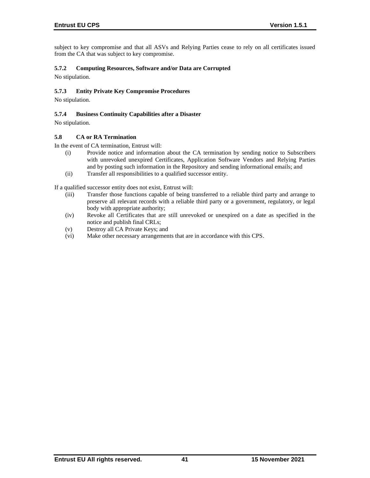subject to key compromise and that all ASVs and Relying Parties cease to rely on all certificates issued from the CA that was subject to key compromise.

## **5.7.2 Computing Resources, Software and/or Data are Corrupted**

No stipulation.

## **5.7.3 Entity Private Key Compromise Procedures**

No stipulation.

### **5.7.4 Business Continuity Capabilities after a Disaster**

No stipulation.

#### **5.8 CA or RA Termination**

In the event of CA termination, Entrust will:

- (i) Provide notice and information about the CA termination by sending notice to Subscribers with unrevoked unexpired Certificates, Application Software Vendors and Relying Parties and by posting such information in the Repository and sending informational emails; and
- (ii) Transfer all responsibilities to a qualified successor entity.

If a qualified successor entity does not exist, Entrust will:

- (iii) Transfer those functions capable of being transferred to a reliable third party and arrange to preserve all relevant records with a reliable third party or a government, regulatory, or legal body with appropriate authority;
- (iv) Revoke all Certificates that are still unrevoked or unexpired on a date as specified in the notice and publish final CRLs;
- (v) Destroy all CA Private Keys; and
- (vi) Make other necessary arrangements that are in accordance with this CPS.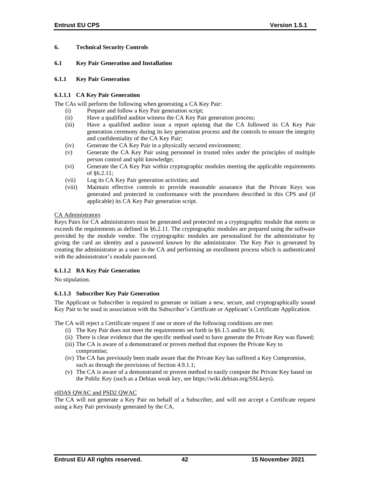## **6. Technical Security Controls**

### **6.1 Key Pair Generation and Installation**

### **6.1.1 Key Pair Generation**

## **6.1.1.1 CA Key Pair Generation**

The CAs will perform the following when generating a CA Key Pair:

- (i) Prepare and follow a Key Pair generation script;
- (ii) Have a qualified auditor witness the CA Key Pair generation process;
- (iii) Have a qualified auditor issue a report opining that the CA followed its CA Key Pair generation ceremony during its key generation process and the controls to ensure the integrity and confidentiality of the CA Key Pair;
- (iv) Generate the CA Key Pair in a physically secured environment;
- (v) Generate the CA Key Pair using personnel in trusted roles under the principles of multiple person control and split knowledge;
- (vi) Generate the CA Key Pair within cryptographic modules meeting the applicable requirements of §6.2.11;
- (vii) Log its CA Key Pair generation activities; and
- (viii) Maintain effective controls to provide reasonable assurance that the Private Keys was generated and protected in conformance with the procedures described in this CPS and (if applicable) its CA Key Pair generation script.

### CA Administrators

Keys Pairs for CA administrators must be generated and protected on a cryptographic module that meets or exceeds the requirements as defined in §6.2.11. The cryptographic modules are prepared using the software provided by the module vendor. The cryptographic modules are personalized for the administrator by giving the card an identity and a password known by the administrator. The Key Pair is generated by creating the administrator as a user in the CA and performing an enrollment process which is authenticated with the administrator's module password.

## **6.1.1.2 RA Key Pair Generation**

No stipulation.

## **6.1.1.3 Subscriber Key Pair Generation**

The Applicant or Subscriber is required to generate or initiate a new, secure, and cryptographically sound Key Pair to be used in association with the Subscriber's Certificate or Applicant's Certificate Application.

The CA will reject a Certificate request if one or more of the following conditions are met:

- (i) The Key Pair does not meet the requirements set forth in §6.1.5 and/or §6.1.6;
- (ii) There is clear evidence that the specific method used to have generate the Private Key was flawed;
- (iii) The CA is aware of a demonstrated or proven method that exposes the Private Key to compromise;
- (iv) The CA has previously been made aware that the Private Key has suffered a Key Compromise, such as through the provisions of Section 4.9.1.1;
- (v) The CA is aware of a demonstrated or proven method to easily compute the Private Key based on the Public Key (such as a Debian weak key, see https://wiki.debian.org/SSLkeys).

## eIDAS QWAC and PSD2 QWAC

The CA will not generate a Key Pair on behalf of a Subscriber, and will not accept a Certificate request using a Key Pair previously generated by the CA.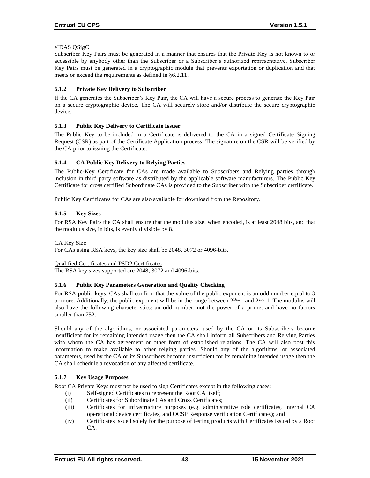## eIDAS QSigC

Subscriber Key Pairs must be generated in a manner that ensures that the Private Key is not known to or accessible by anybody other than the Subscriber or a Subscriber's authorized representative. Subscriber Key Pairs must be generated in a cryptographic module that prevents exportation or duplication and that meets or exceed the requirements as defined in §6.2.11.

## **6.1.2 Private Key Delivery to Subscriber**

If the CA generates the Subscriber's Key Pair, the CA will have a secure process to generate the Key Pair on a secure cryptographic device. The CA will securely store and/or distribute the secure cryptographic device.

### **6.1.3 Public Key Delivery to Certificate Issuer**

The Public Key to be included in a Certificate is delivered to the CA in a signed Certificate Signing Request (CSR) as part of the Certificate Application process. The signature on the CSR will be verified by the CA prior to issuing the Certificate.

## **6.1.4 CA Public Key Delivery to Relying Parties**

The Public-Key Certificate for CAs are made available to Subscribers and Relying parties through inclusion in third party software as distributed by the applicable software manufacturers. The Public Key Certificate for cross certified Subordinate CAs is provided to the Subscriber with the Subscriber certificate.

Public Key Certificates for CAs are also available for download from the Repository.

### **6.1.5 Key Sizes**

For RSA Key Pairs the CA shall ensure that the modulus size, when encoded, is at least 2048 bits, and that the modulus size, in bits, is evenly divisible by 8.

#### CA Key Size

For CAs using RSA keys, the key size shall be 2048, 3072 or 4096-bits.

#### Qualified Certificates and PSD2 Certificates

The RSA key sizes supported are 2048, 3072 and 4096-bits.

#### **6.1.6 Public Key Parameters Generation and Quality Checking**

For RSA public keys, CAs shall confirm that the value of the public exponent is an odd number equal to 3 or more. Additionally, the public exponent will be in the range between  $2^{16}+1$  and  $2^{256}$ -1. The modulus will also have the following characteristics: an odd number, not the power of a prime, and have no factors smaller than 752.

Should any of the algorithms, or associated parameters, used by the CA or its Subscribers become insufficient for its remaining intended usage then the CA shall inform all Subscribers and Relying Parties with whom the CA has agreement or other form of established relations. The CA will also post this information to make available to other relying parties. Should any of the algorithms, or associated parameters, used by the CA or its Subscribers become insufficient for its remaining intended usage then the CA shall schedule a revocation of any affected certificate.

#### **6.1.7 Key Usage Purposes**

Root CA Private Keys must not be used to sign Certificates except in the following cases:

- (i) Self-signed Certificates to represent the Root CA itself;
- (ii) Certificates for Subordinate CAs and Cross Certificates;
- (iii) Certificates for infrastructure purposes (e.g. administrative role certificates, internal CA operational device certificates, and OCSP Response verification Certificates); and
- (iv) Certificates issued solely for the purpose of testing products with Certificates issued by a Root CA.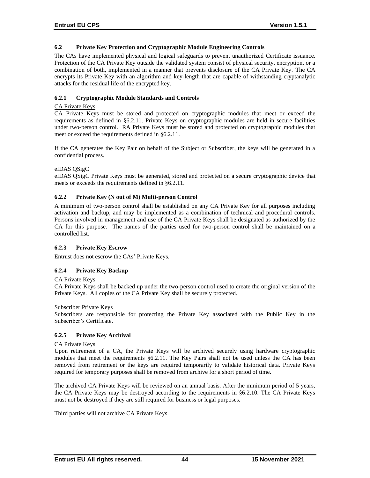### **6.2 Private Key Protection and Cryptographic Module Engineering Controls**

The CAs have implemented physical and logical safeguards to prevent unauthorized Certificate issuance. Protection of the CA Private Key outside the validated system consist of physical security, encryption, or a combination of both, implemented in a manner that prevents disclosure of the CA Private Key. The CA encrypts its Private Key with an algorithm and key-length that are capable of withstanding cryptanalytic attacks for the residual life of the encrypted key.

## **6.2.1 Cryptographic Module Standards and Controls**

### CA Private Keys

CA Private Keys must be stored and protected on cryptographic modules that meet or exceed the requirements as defined in §6.2.11. Private Keys on cryptographic modules are held in secure facilities under two-person control. RA Private Keys must be stored and protected on cryptographic modules that meet or exceed the requirements defined in §6.2.11.

If the CA generates the Key Pair on behalf of the Subject or Subscriber, the keys will be generated in a confidential process.

## eIDAS QSigC

eIDAS QSigC Private Keys must be generated, stored and protected on a secure cryptographic device that meets or exceeds the requirements defined in §6.2.11.

## **6.2.2 Private Key (N out of M) Multi-person Control**

A minimum of two-person control shall be established on any CA Private Key for all purposes including activation and backup, and may be implemented as a combination of technical and procedural controls. Persons involved in management and use of the CA Private Keys shall be designated as authorized by the CA for this purpose. The names of the parties used for two-person control shall be maintained on a controlled list.

#### **6.2.3 Private Key Escrow**

Entrust does not escrow the CAs' Private Keys.

## **6.2.4 Private Key Backup**

#### CA Private Keys

CA Private Keys shall be backed up under the two-person control used to create the original version of the Private Keys. All copies of the CA Private Key shall be securely protected.

#### Subscriber Private Keys

Subscribers are responsible for protecting the Private Key associated with the Public Key in the Subscriber's Certificate.

## **6.2.5 Private Key Archival**

#### CA Private Keys

Upon retirement of a CA, the Private Keys will be archived securely using hardware cryptographic modules that meet the requirements §6.2.11. The Key Pairs shall not be used unless the CA has been removed from retirement or the keys are required temporarily to validate historical data. Private Keys required for temporary purposes shall be removed from archive for a short period of time.

The archived CA Private Keys will be reviewed on an annual basis. After the minimum period of 5 years, the CA Private Keys may be destroyed according to the requirements in §6.2.10. The CA Private Keys must not be destroyed if they are still required for business or legal purposes.

Third parties will not archive CA Private Keys.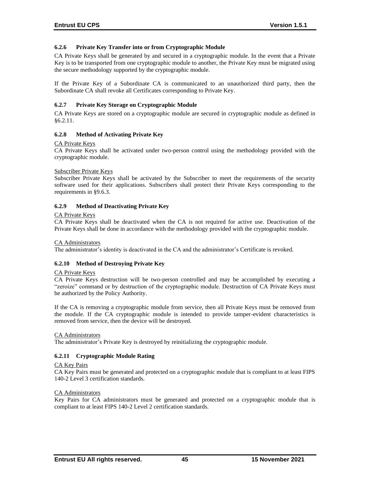## **6.2.6 Private Key Transfer into or from Cryptographic Module**

CA Private Keys shall be generated by and secured in a cryptographic module. In the event that a Private Key is to be transported from one cryptographic module to another, the Private Key must be migrated using the secure methodology supported by the cryptographic module.

If the Private Key of a Subordinate CA is communicated to an unauthorized third party, then the Subordinate CA shall revoke all Certificates corresponding to Private Key.

### **6.2.7 Private Key Storage on Cryptographic Module**

CA Private Keys are stored on a cryptographic module are secured in cryptographic module as defined in §6.2.11.

### **6.2.8 Method of Activating Private Key**

#### CA Private Keys

CA Private Keys shall be activated under two-person control using the methodology provided with the cryptographic module.

#### Subscriber Private Keys

Subscriber Private Keys shall be activated by the Subscriber to meet the requirements of the security software used for their applications. Subscribers shall protect their Private Keys corresponding to the requirements in §9.6.3.

#### **6.2.9 Method of Deactivating Private Key**

#### CA Private Keys

CA Private Keys shall be deactivated when the CA is not required for active use. Deactivation of the Private Keys shall be done in accordance with the methodology provided with the cryptographic module.

#### CA Administrators

The administrator's identity is deactivated in the CA and the administrator's Certificate is revoked.

#### **6.2.10 Method of Destroying Private Key**

#### CA Private Keys

CA Private Keys destruction will be two-person controlled and may be accomplished by executing a "zeroize" command or by destruction of the cryptographic module. Destruction of CA Private Keys must be authorized by the Policy Authority.

If the CA is removing a cryptographic module from service, then all Private Keys must be removed from the module. If the CA cryptographic module is intended to provide tamper-evident characteristics is removed from service, then the device will be destroyed.

#### CA Administrators

The administrator's Private Key is destroyed by reinitializing the cryptographic module.

#### **6.2.11 Cryptographic Module Rating**

#### CA Key Pairs

CA Key Pairs must be generated and protected on a cryptographic module that is compliant to at least FIPS 140-2 Level 3 certification standards.

#### CA Administrators

Key Pairs for CA administrators must be generated and protected on a cryptographic module that is compliant to at least FIPS 140-2 Level 2 certification standards.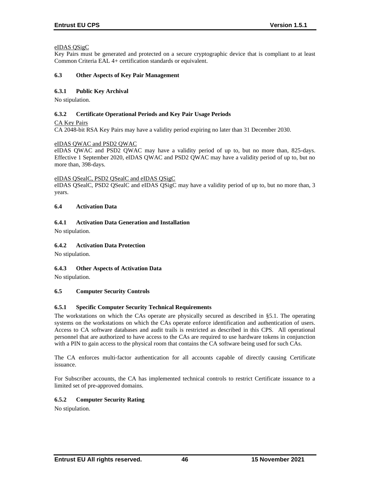## eIDAS QSigC

Key Pairs must be generated and protected on a secure cryptographic device that is compliant to at least Common Criteria EAL 4+ certification standards or equivalent.

### **6.3 Other Aspects of Key Pair Management**

## **6.3.1 Public Key Archival**

No stipulation.

### **6.3.2 Certificate Operational Periods and Key Pair Usage Periods**

CA Key Pairs

CA 2048-bit RSA Key Pairs may have a validity period expiring no later than 31 December 2030.

#### eIDAS QWAC and PSD2 QWAC

eIDAS QWAC and PSD2 QWAC may have a validity period of up to, but no more than, 825-days. Effective 1 September 2020, eIDAS QWAC and PSD2 QWAC may have a validity period of up to, but no more than, 398-days.

#### eIDAS QSealC, PSD2 QSealC and eIDAS QSigC

eIDAS QSealC, PSD2 QSealC and eIDAS QSigC may have a validity period of up to, but no more than, 3 years.

## **6.4 Activation Data**

### **6.4.1 Activation Data Generation and Installation**

No stipulation.

## **6.4.2 Activation Data Protection**

No stipulation.

## **6.4.3 Other Aspects of Activation Data**

No stipulation.

## **6.5 Computer Security Controls**

## **6.5.1 Specific Computer Security Technical Requirements**

The workstations on which the CAs operate are physically secured as described in §5.1. The operating systems on the workstations on which the CAs operate enforce identification and authentication of users. Access to CA software databases and audit trails is restricted as described in this CPS. All operational personnel that are authorized to have access to the CAs are required to use hardware tokens in conjunction with a PIN to gain access to the physical room that contains the CA software being used for such CAs.

The CA enforces multi-factor authentication for all accounts capable of directly causing Certificate issuance.

For Subscriber accounts, the CA has implemented technical controls to restrict Certificate issuance to a limited set of pre-approved domains.

## **6.5.2 Computer Security Rating**

No stipulation.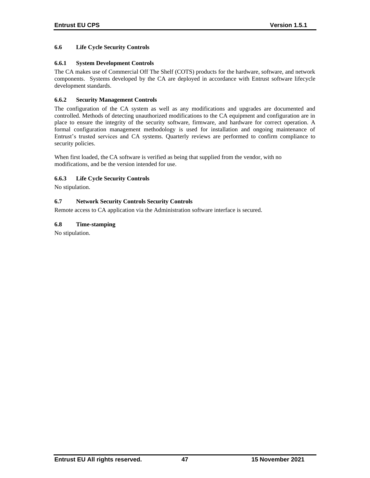## **6.6 Life Cycle Security Controls**

## **6.6.1 System Development Controls**

The CA makes use of Commercial Off The Shelf (COTS) products for the hardware, software, and network components. Systems developed by the CA are deployed in accordance with Entrust software lifecycle development standards.

## **6.6.2 Security Management Controls**

The configuration of the CA system as well as any modifications and upgrades are documented and controlled. Methods of detecting unauthorized modifications to the CA equipment and configuration are in place to ensure the integrity of the security software, firmware, and hardware for correct operation. A formal configuration management methodology is used for installation and ongoing maintenance of Entrust's trusted services and CA systems. Quarterly reviews are performed to confirm compliance to security policies.

When first loaded, the CA software is verified as being that supplied from the vendor, with no modifications, and be the version intended for use.

### **6.6.3 Life Cycle Security Controls**

No stipulation.

### **6.7 Network Security Controls Security Controls**

Remote access to CA application via the Administration software interface is secured.

### **6.8 Time-stamping**

No stipulation.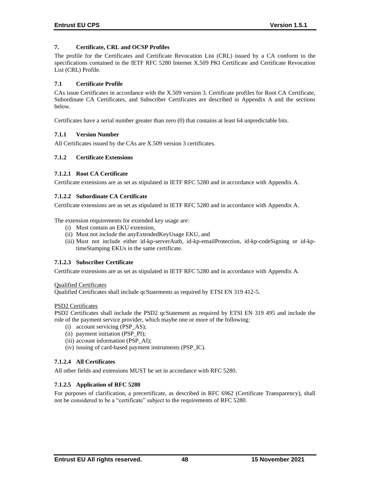## **7. Certificate, CRL and OCSP Profiles**

The profile for the Certificates and Certificate Revocation List (CRL) issued by a CA conform to the specifications contained in the IETF RFC 5280 Internet X.509 PKI Certificate and Certificate Revocation List (CRL) Profile.

### **7.1 Certificate Profile**

CAs issue Certificates in accordance with the X.509 version 3. Certificate profiles for Root CA Certificate, Subordinate CA Certificates, and Subscriber Certificates are described in Appendix A and the sections below.

Certificates have a serial number greater than zero (0) that contains at least 64 unpredictable bits.

### **7.1.1 Version Number**

All Certificates issued by the CAs are X.509 version 3 certificates.

### **7.1.2 Certificate Extensions**

### **7.1.2.1 Root CA Certificate**

Certificate extensions are as set as stipulated in IETF RFC 5280 and in accordance with Appendix A.

#### **7.1.2.2 Subordinate CA Certificate**

Certificate extensions are as set as stipulated in IETF RFC 5280 and in accordance with Appendix A.

The extension requirements for extended key usage are:

- (i) Must contain an EKU extension,
- (ii) Must not include the anyExtendedKeyUsage EKU, and
- (iii) Must not include either id-kp-serverAuth, id-kp-emailProtection, id-kp-codeSigning or id-kptimeStamping EKUs in the same certificate.

#### **7.1.2.3 Subscriber Certificate**

Certificate extensions are as set as stipulated in IETF RFC 5280 and in accordance with Appendix A.

#### Qualified Certificates

Qualified Certificates shall include qcStatements as required by ETSI EN 319 412-5.

#### PSD2 Certificates

PSD2 Certificates shall include the PSD2 qcStatement as required by ETSI EN 319 495 and include the role of the payment service provider, which maybe one or more of the following:

- (i) account servicing (PSP\_AS);
- (ii) payment initiation (PSP\_PI);
- (iii) account information (PSP\_AI);
- (iv) issuing of card-based payment instruments (PSP\_IC).

## **7.1.2.4 All Certificates**

All other fields and extensions MUST be set in accordance with RFC 5280.

#### **7.1.2.5 Application of RFC 5280**

For purposes of clarification, a precertificate, as described in RFC 6962 (Certificate Transparency), shall not be considered to be a "certificate" subject to the requirements of RFC 5280.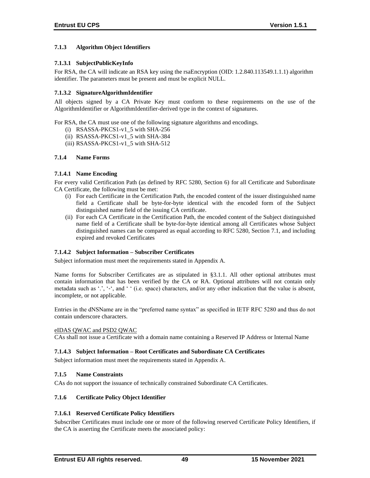## **7.1.3 Algorithm Object Identifiers**

## **7.1.3.1 SubjectPublicKeyInfo**

For RSA, the CA will indicate an RSA key using the rsaEncryption (OID: 1.2.840.113549.1.1.1) algorithm identifier. The parameters must be present and must be explicit NULL.

## **7.1.3.2 SignatureAlgorithmIdentifier**

All objects signed by a CA Private Key must conform to these requirements on the use of the AlgorithmIdentifier or AlgorithmIdentifier-derived type in the context of signatures.

For RSA, the CA must use one of the following signature algorithms and encodings.

- (i) RSASSA-PKCS1-v1\_5 with SHA-256
- (ii) RSASSA-PKCS1-v1\_5 with SHA-384
- (iii) RSASSA-PKCS1-v1\_5 with SHA-512

### **7.1.4 Name Forms**

### **7.1.4.1 Name Encoding**

For every valid Certification Path (as defined by RFC 5280, Section 6) for all Certificate and Subordinate CA Certificate, the following must be met:

- (i) For each Certificate in the Certification Path, the encoded content of the issuer distinguished name field a Certificate shall be byte-for-byte identical with the encoded form of the Subject distinguished name field of the issuing CA certificate.
- (ii) For each CA Certificate in the Certification Path, the encoded content of the Subject distinguished name field of a Certificate shall be byte-for-byte identical among all Certificates whose Subject distinguished names can be compared as equal according to RFC 5280, Section 7.1, and including expired and revoked Certificates

## **7.1.4.2 Subject Information – Subscriber Certificates**

Subject information must meet the requirements stated in Appendix A.

Name forms for Subscriber Certificates are as stipulated in §3.1.1. All other optional attributes must contain information that has been verified by the CA or RA. Optional attributes will not contain only metadata such as '.', '-', and ' ' (i.e. space) characters, and/or any other indication that the value is absent, incomplete, or not applicable.

Entries in the dNSName are in the "preferred name syntax" as specified in IETF RFC 5280 and thus do not contain underscore characters.

#### eIDAS QWAC and PSD2 QWAC

CAs shall not issue a Certificate with a domain name containing a Reserved IP Address or Internal Name

#### **7.1.4.3 Subject Information – Root Certificates and Subordinate CA Certificates**

Subject information must meet the requirements stated in Appendix A.

#### **7.1.5 Name Constraints**

CAs do not support the issuance of technically constrained Subordinate CA Certificates.

#### **7.1.6 Certificate Policy Object Identifier**

## **7.1.6.1 Reserved Certificate Policy Identifiers**

Subscriber Certificates must include one or more of the following reserved Certificate Policy Identifiers, if the CA is asserting the Certificate meets the associated policy: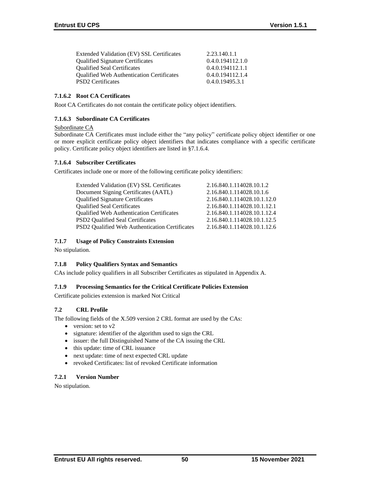| Extended Validation (EV) SSL Certificates        | 2.23.140.1.1     |
|--------------------------------------------------|------------------|
| <b>Qualified Signature Certificates</b>          | 0.4.0.194112.1.0 |
| <b>Qualified Seal Certificates</b>               | 0.4.0.194112.1.1 |
| <b>Oualified Web Authentication Certificates</b> | 0.4.0.194112.1.4 |
| <b>PSD2</b> Certificates                         | 0.4.0.19495.3.1  |

## **7.1.6.2 Root CA Certificates**

Root CA Certificates do not contain the certificate policy object identifiers.

## **7.1.6.3 Subordinate CA Certificates**

### Subordinate CA

Subordinate CA Certificates must include either the "any policy" certificate policy object identifier or one or more explicit certificate policy object identifiers that indicates compliance with a specific certificate policy. Certificate policy object identifiers are listed in §7.1.6.4.

## **7.1.6.4 Subscriber Certificates**

Certificates include one or more of the following certificate policy identifiers:

| Extended Validation (EV) SSL Certificates        | 2.16.840.1.114028.10.1.2    |
|--------------------------------------------------|-----------------------------|
| Document Signing Certificates (AATL)             | 2.16.840.1.114028.10.1.6    |
| <b>Qualified Signature Certificates</b>          | 2.16.840.1.114028.10.1.12.0 |
| <b>Qualified Seal Certificates</b>               | 2.16.840.1.114028.10.1.12.1 |
| <b>Qualified Web Authentication Certificates</b> | 2.16.840.1.114028.10.1.12.4 |
| <b>PSD2</b> Qualified Seal Certificates          | 2.16.840.1.114028.10.1.12.5 |
| PSD2 Qualified Web Authentication Certificates   | 2.16.840.1.114028.10.1.12.6 |
|                                                  |                             |

## **7.1.7 Usage of Policy Constraints Extension**

No stipulation.

## **7.1.8 Policy Qualifiers Syntax and Semantics**

CAs include policy qualifiers in all Subscriber Certificates as stipulated in Appendix A.

#### **7.1.9 Processing Semantics for the Critical Certificate Policies Extension**

Certificate policies extension is marked Not Critical

## **7.2 CRL Profile**

The following fields of the X.509 version 2 CRL format are used by the CAs:

- version: set to v2
- signature: identifier of the algorithm used to sign the CRL
- issuer: the full Distinguished Name of the CA issuing the CRL
- this update: time of CRL issuance
- next update: time of next expected CRL update
- revoked Certificates: list of revoked Certificate information

#### **7.2.1 Version Number**

No stipulation.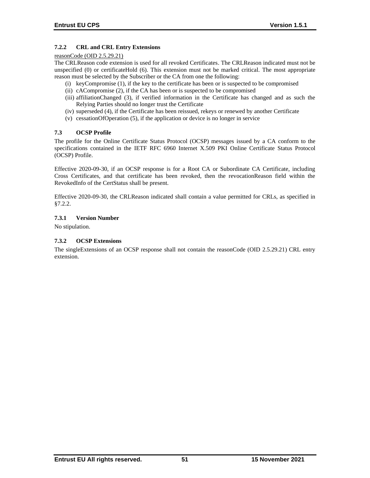## **7.2.2 CRL and CRL Entry Extensions**

### reasonCode (OID 2.5.29.21)

The CRLReason code extension is used for all revoked Certificates. The CRLReason indicated must not be unspecified (0) or certificateHold (6). This extension must not be marked critical. The most appropriate reason must be selected by the Subscriber or the CA from one the following:

- (i) keyCompromise (1), if the key to the certificate has been or is suspected to be compromised
- (ii) cACompromise (2), if the CA has been or is suspected to be compromised
- (iii) affiliationChanged (3), if verified information in the Certificate has changed and as such the Relying Parties should no longer trust the Certificate
- (iv) superseded (4), if the Certificate has been reissued, rekeys or renewed by another Certificate
- (v) cessationOfOperation (5), if the application or device is no longer in service

## **7.3 OCSP Profile**

The profile for the Online Certificate Status Protocol (OCSP) messages issued by a CA conform to the specifications contained in the IETF RFC 6960 Internet X.509 PKI Online Certificate Status Protocol (OCSP) Profile.

Effective 2020-09-30, if an OCSP response is for a Root CA or Subordinate CA Certificate, including Cross Certificates, and that certificate has been revoked, then the revocationReason field within the RevokedInfo of the CertStatus shall be present.

Effective 2020-09-30, the CRLReason indicated shall contain a value permitted for CRLs, as specified in §7.2.2.

## **7.3.1 Version Number**

No stipulation.

## **7.3.2 OCSP Extensions**

The singleExtensions of an OCSP response shall not contain the reasonCode (OID 2.5.29.21) CRL entry extension.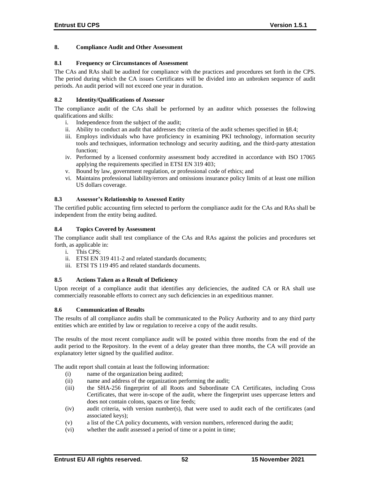### **8. Compliance Audit and Other Assessment**

### **8.1 Frequency or Circumstances of Assessment**

The CAs and RAs shall be audited for compliance with the practices and procedures set forth in the CPS. The period during which the CA issues Certificates will be divided into an unbroken sequence of audit periods. An audit period will not exceed one year in duration.

## **8.2 Identity/Qualifications of Assessor**

The compliance audit of the CAs shall be performed by an auditor which possesses the following qualifications and skills:

- i. Independence from the subject of the audit;
- ii. Ability to conduct an audit that addresses the criteria of the audit schemes specified in §8.4;
- iii. Employs individuals who have proficiency in examining PKI technology, information security tools and techniques, information technology and security auditing, and the third-party attestation function;
- iv. Performed by a licensed conformity assessment body accredited in accordance with ISO 17065 applying the requirements specified in ETSI EN 319 403;
- v. Bound by law, government regulation, or professional code of ethics; and
- vi. Maintains professional liability/errors and omissions insurance policy limits of at least one million US dollars coverage.

### **8.3 Assessor's Relationship to Assessed Entity**

The certified public accounting firm selected to perform the compliance audit for the CAs and RAs shall be independent from the entity being audited.

### **8.4 Topics Covered by Assessment**

The compliance audit shall test compliance of the CAs and RAs against the policies and procedures set forth, as applicable in:

- i. This CPS;
- ii. ETSI EN 319 411-2 and related standards documents;
- iii. ETSI TS 119 495 and related standards documents.

## **8.5 Actions Taken as a Result of Deficiency**

Upon receipt of a compliance audit that identifies any deficiencies, the audited CA or RA shall use commercially reasonable efforts to correct any such deficiencies in an expeditious manner.

#### **8.6 Communication of Results**

The results of all compliance audits shall be communicated to the Policy Authority and to any third party entities which are entitled by law or regulation to receive a copy of the audit results.

The results of the most recent compliance audit will be posted within three months from the end of the audit period to the Repository. In the event of a delay greater than three months, the CA will provide an explanatory letter signed by the qualified auditor.

The audit report shall contain at least the following information:

- (i) name of the organization being audited;
- (ii) name and address of the organization performing the audit;
- (iii) the SHA-256 fingerprint of all Roots and Subordinate CA Certificates, including Cross Certificates, that were in-scope of the audit, where the fingerprint uses uppercase letters and does not contain colons, spaces or line feeds;
- (iv) audit criteria, with version number(s), that were used to audit each of the certificates (and associated keys);
- (v) a list of the CA policy documents, with version numbers, referenced during the audit;
- (vi) whether the audit assessed a period of time or a point in time;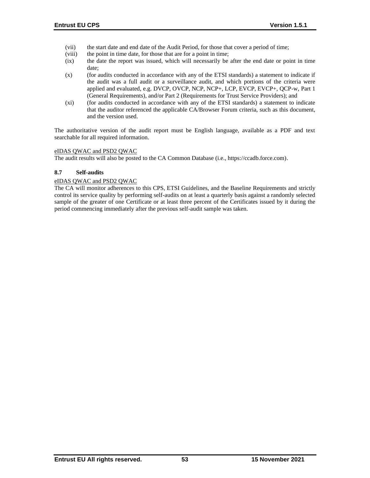- (vii) the start date and end date of the Audit Period, for those that cover a period of time;
- (viii) the point in time date, for those that are for a point in time;
- (ix) the date the report was issued, which will necessarily be after the end date or point in time date;
- (x) (for audits conducted in accordance with any of the ETSI standards) a statement to indicate if the audit was a full audit or a surveillance audit, and which portions of the criteria were applied and evaluated, e.g. DVCP, OVCP, NCP, NCP+, LCP, EVCP, EVCP+, QCP-w, Part 1 (General Requirements), and/or Part 2 (Requirements for Trust Service Providers); and
- (xi) (for audits conducted in accordance with any of the ETSI standards) a statement to indicate that the auditor referenced the applicable CA/Browser Forum criteria, such as this document, and the version used.

The authoritative version of the audit report must be English language, available as a PDF and text searchable for all required information.

### eIDAS QWAC and PSD2 QWAC

The audit results will also be posted to the CA Common Database (i.e., https://ccadb.force.com).

### **8.7 Self-audits**

### eIDAS QWAC and PSD2 QWAC

The CA will monitor adherences to this CPS, ETSI Guidelines, and the Baseline Requirements and strictly control its service quality by performing self-audits on at least a quarterly basis against a randomly selected sample of the greater of one Certificate or at least three percent of the Certificates issued by it during the period commencing immediately after the previous self-audit sample was taken.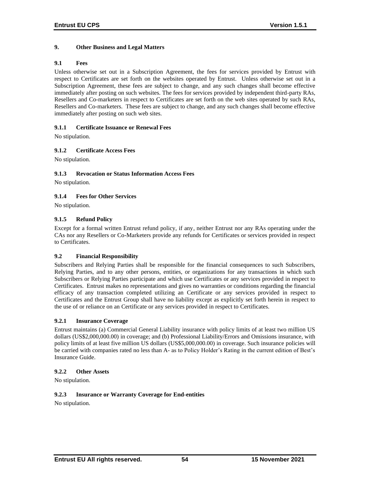## **9. Other Business and Legal Matters**

# **9.1 Fees**

Unless otherwise set out in a Subscription Agreement, the fees for services provided by Entrust with respect to Certificates are set forth on the websites operated by Entrust. Unless otherwise set out in a Subscription Agreement, these fees are subject to change, and any such changes shall become effective immediately after posting on such websites. The fees for services provided by independent third-party RAs, Resellers and Co-marketers in respect to Certificates are set forth on the web sites operated by such RAs, Resellers and Co-marketers. These fees are subject to change, and any such changes shall become effective immediately after posting on such web sites.

### **9.1.1 Certificate Issuance or Renewal Fees**

No stipulation.

## **9.1.2 Certificate Access Fees**

No stipulation.

### **9.1.3 Revocation or Status Information Access Fees**

No stipulation.

## **9.1.4 Fees for Other Services**

No stipulation.

### **9.1.5 Refund Policy**

Except for a formal written Entrust refund policy, if any, neither Entrust nor any RAs operating under the CAs nor any Resellers or Co-Marketers provide any refunds for Certificates or services provided in respect to Certificates.

#### **9.2 Financial Responsibility**

Subscribers and Relying Parties shall be responsible for the financial consequences to such Subscribers, Relying Parties, and to any other persons, entities, or organizations for any transactions in which such Subscribers or Relying Parties participate and which use Certificates or any services provided in respect to Certificates. Entrust makes no representations and gives no warranties or conditions regarding the financial efficacy of any transaction completed utilizing an Certificate or any services provided in respect to Certificates and the Entrust Group shall have no liability except as explicitly set forth herein in respect to the use of or reliance on an Certificate or any services provided in respect to Certificates.

#### **9.2.1 Insurance Coverage**

Entrust maintains (a) Commercial General Liability insurance with policy limits of at least two million US dollars (US\$2,000,000.00) in coverage; and (b) Professional Liability/Errors and Omissions insurance, with policy limits of at least five million US dollars (US\$5,000,000.00) in coverage. Such insurance policies will be carried with companies rated no less than A- as to Policy Holder's Rating in the current edition of Best's Insurance Guide.

#### **9.2.2 Other Assets**

No stipulation.

### **9.2.3 Insurance or Warranty Coverage for End-entities**

No stipulation.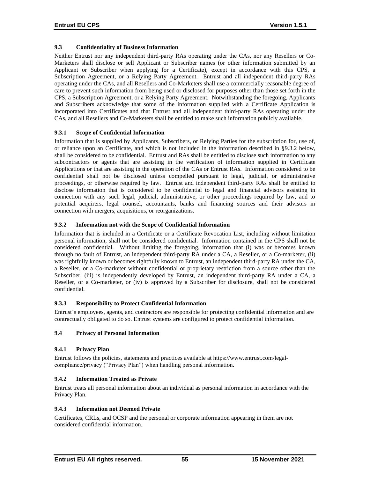## **9.3 Confidentiality of Business Information**

Neither Entrust nor any independent third-party RAs operating under the CAs, nor any Resellers or Co-Marketers shall disclose or sell Applicant or Subscriber names (or other information submitted by an Applicant or Subscriber when applying for a Certificate), except in accordance with this CPS, a Subscription Agreement, or a Relying Party Agreement. Entrust and all independent third-party RAs operating under the CAs, and all Resellers and Co-Marketers shall use a commercially reasonable degree of care to prevent such information from being used or disclosed for purposes other than those set forth in the CPS, a Subscription Agreement, or a Relying Party Agreement. Notwithstanding the foregoing, Applicants and Subscribers acknowledge that some of the information supplied with a Certificate Application is incorporated into Certificates and that Entrust and all independent third-party RAs operating under the CAs, and all Resellers and Co-Marketers shall be entitled to make such information publicly available.

### **9.3.1 Scope of Confidential Information**

Information that is supplied by Applicants, Subscribers, or Relying Parties for the subscription for, use of, or reliance upon an Certificate, and which is not included in the information described in §9.3.2 below, shall be considered to be confidential. Entrust and RAs shall be entitled to disclose such information to any subcontractors or agents that are assisting in the verification of information supplied in Certificate Applications or that are assisting in the operation of the CAs or Entrust RAs. Information considered to be confidential shall not be disclosed unless compelled pursuant to legal, judicial, or administrative proceedings, or otherwise required by law. Entrust and independent third-party RAs shall be entitled to disclose information that is considered to be confidential to legal and financial advisors assisting in connection with any such legal, judicial, administrative, or other proceedings required by law, and to potential acquirers, legal counsel, accountants, banks and financing sources and their advisors in connection with mergers, acquisitions, or reorganizations.

### **9.3.2 Information not with the Scope of Confidential Information**

Information that is included in a Certificate or a Certificate Revocation List, including without limitation personal information, shall not be considered confidential. Information contained in the CPS shall not be considered confidential. Without limiting the foregoing, information that (i) was or becomes known through no fault of Entrust, an independent third-party RA under a CA, a Reseller, or a Co-marketer, (ii) was rightfully known or becomes rightfully known to Entrust, an independent third-party RA under the CA, a Reseller, or a Co-marketer without confidential or proprietary restriction from a source other than the Subscriber, (iii) is independently developed by Entrust, an independent third-party RA under a CA, a Reseller, or a Co-marketer, or (iv) is approved by a Subscriber for disclosure, shall not be considered confidential.

# **9.3.3 Responsibility to Protect Confidential Information**

Entrust's employees, agents, and contractors are responsible for protecting confidential information and are contractually obligated to do so. Entrust systems are configured to protect confidential information.

## **9.4 Privacy of Personal Information**

## **9.4.1 Privacy Plan**

Entrust follows the policies, statements and practices available at https://www.entrust.com/legalcompliance/privacy ("Privacy Plan") when handling personal information.

#### **9.4.2 Information Treated as Private**

Entrust treats all personal information about an individual as personal information in accordance with the Privacy Plan.

#### **9.4.3 Information not Deemed Private**

Certificates, CRLs, and OCSP and the personal or corporate information appearing in them are not considered confidential information.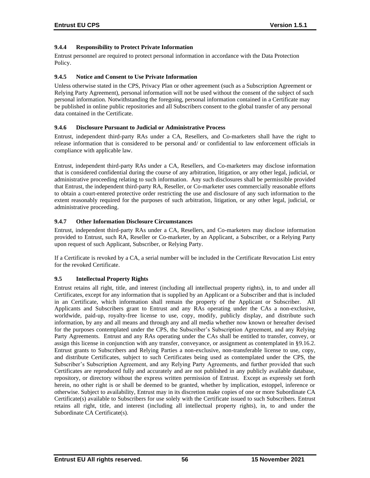## **9.4.4 Responsibility to Protect Private Information**

Entrust personnel are required to protect personal information in accordance with the Data Protection Policy.

### **9.4.5 Notice and Consent to Use Private Information**

Unless otherwise stated in the CPS, Privacy Plan or other agreement (such as a Subscription Agreement or Relying Party Agreement), personal information will not be used without the consent of the subject of such personal information. Notwithstanding the foregoing, personal information contained in a Certificate may be published in online public repositories and all Subscribers consent to the global transfer of any personal data contained in the Certificate.

### **9.4.6 Disclosure Pursuant to Judicial or Administrative Process**

Entrust, independent third-party RAs under a CA, Resellers, and Co-marketers shall have the right to release information that is considered to be personal and/ or confidential to law enforcement officials in compliance with applicable law.

Entrust, independent third-party RAs under a CA, Resellers, and Co-marketers may disclose information that is considered confidential during the course of any arbitration, litigation, or any other legal, judicial, or administrative proceeding relating to such information. Any such disclosures shall be permissible provided that Entrust, the independent third-party RA, Reseller, or Co-marketer uses commercially reasonable efforts to obtain a court-entered protective order restricting the use and disclosure of any such information to the extent reasonably required for the purposes of such arbitration, litigation, or any other legal, judicial, or administrative proceeding.

### **9.4.7 Other Information Disclosure Circumstances**

Entrust, independent third-party RAs under a CA, Resellers, and Co-marketers may disclose information provided to Entrust, such RA, Reseller or Co-marketer, by an Applicant, a Subscriber, or a Relying Party upon request of such Applicant, Subscriber, or Relying Party.

If a Certificate is revoked by a CA, a serial number will be included in the Certificate Revocation List entry for the revoked Certificate.

## **9.5 Intellectual Property Rights**

Entrust retains all right, title, and interest (including all intellectual property rights), in, to and under all Certificates, except for any information that is supplied by an Applicant or a Subscriber and that is included in an Certificate, which information shall remain the property of the Applicant or Subscriber. All Applicants and Subscribers grant to Entrust and any RAs operating under the CAs a non-exclusive, worldwide, paid-up, royalty-free license to use, copy, modify, publicly display, and distribute such information, by any and all means and through any and all media whether now known or hereafter devised for the purposes contemplated under the CPS, the Subscriber's Subscription Agreement, and any Relying Party Agreements. Entrust and any RAs operating under the CAs shall be entitled to transfer, convey, or assign this license in conjunction with any transfer, conveyance, or assignment as contemplated in §9.16.2. Entrust grants to Subscribers and Relying Parties a non-exclusive, non-transferable license to use, copy, and distribute Certificates, subject to such Certificates being used as contemplated under the CPS, the Subscriber's Subscription Agreement, and any Relying Party Agreements, and further provided that such Certificates are reproduced fully and accurately and are not published in any publicly available database, repository, or directory without the express written permission of Entrust. Except as expressly set forth herein, no other right is or shall be deemed to be granted, whether by implication, estoppel, inference or otherwise. Subject to availability, Entrust may in its discretion make copies of one or more Subordinate CA Certificate(s) available to Subscribers for use solely with the Certificate issued to such Subscribers. Entrust retains all right, title, and interest (including all intellectual property rights), in, to and under the Subordinate CA Certificate(s).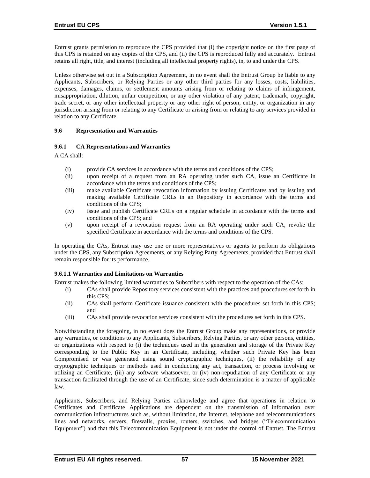Entrust grants permission to reproduce the CPS provided that (i) the copyright notice on the first page of this CPS is retained on any copies of the CPS, and (ii) the CPS is reproduced fully and accurately. Entrust retains all right, title, and interest (including all intellectual property rights), in, to and under the CPS.

Unless otherwise set out in a Subscription Agreement, in no event shall the Entrust Group be liable to any Applicants, Subscribers, or Relying Parties or any other third parties for any losses, costs, liabilities, expenses, damages, claims, or settlement amounts arising from or relating to claims of infringement, misappropriation, dilution, unfair competition, or any other violation of any patent, trademark, copyright, trade secret, or any other intellectual property or any other right of person, entity, or organization in any jurisdiction arising from or relating to any Certificate or arising from or relating to any services provided in relation to any Certificate.

### **9.6 Representation and Warranties**

## **9.6.1 CA Representations and Warranties**

A CA shall:

- (i) provide CA services in accordance with the terms and conditions of the CPS;
- (ii) upon receipt of a request from an RA operating under such CA, issue an Certificate in accordance with the terms and conditions of the CPS;
- (iii) make available Certificate revocation information by issuing Certificates and by issuing and making available Certificate CRLs in an Repository in accordance with the terms and conditions of the CPS;
- (iv) issue and publish Certificate CRLs on a regular schedule in accordance with the terms and conditions of the CPS; and
- (v) upon receipt of a revocation request from an RA operating under such CA, revoke the specified Certificate in accordance with the terms and conditions of the CPS.

In operating the CAs, Entrust may use one or more representatives or agents to perform its obligations under the CPS, any Subscription Agreements, or any Relying Party Agreements, provided that Entrust shall remain responsible for its performance.

#### **9.6.1.1 Warranties and Limitations on Warranties**

Entrust makes the following limited warranties to Subscribers with respect to the operation of the CAs:

- (i) CAs shall provide Repository services consistent with the practices and procedures set forth in this CPS;
- (ii) CAs shall perform Certificate issuance consistent with the procedures set forth in this CPS; and
- (iii) CAs shall provide revocation services consistent with the procedures set forth in this CPS.

Notwithstanding the foregoing, in no event does the Entrust Group make any representations, or provide any warranties, or conditions to any Applicants, Subscribers, Relying Parties, or any other persons, entities, or organizations with respect to (i) the techniques used in the generation and storage of the Private Key corresponding to the Public Key in an Certificate, including, whether such Private Key has been Compromised or was generated using sound cryptographic techniques, (ii) the reliability of any cryptographic techniques or methods used in conducting any act, transaction, or process involving or utilizing an Certificate, (iii) any software whatsoever, or (iv) non-repudiation of any Certificate or any transaction facilitated through the use of an Certificate, since such determination is a matter of applicable law.

Applicants, Subscribers, and Relying Parties acknowledge and agree that operations in relation to Certificates and Certificate Applications are dependent on the transmission of information over communication infrastructures such as, without limitation, the Internet, telephone and telecommunications lines and networks, servers, firewalls, proxies, routers, switches, and bridges ("Telecommunication Equipment") and that this Telecommunication Equipment is not under the control of Entrust. The Entrust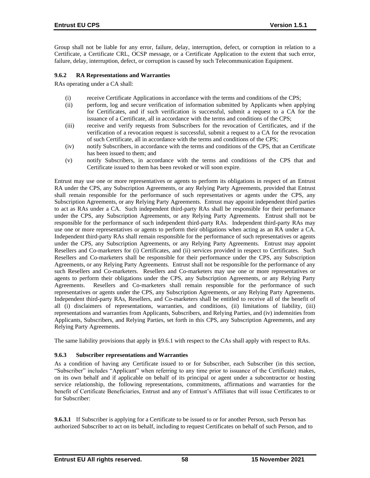Group shall not be liable for any error, failure, delay, interruption, defect, or corruption in relation to a Certificate, a Certificate CRL, OCSP message, or a Certificate Application to the extent that such error, failure, delay, interruption, defect, or corruption is caused by such Telecommunication Equipment.

## **9.6.2 RA Representations and Warranties**

RAs operating under a CA shall:

- (i) receive Certificate Applications in accordance with the terms and conditions of the CPS;
- (ii) perform, log and secure verification of information submitted by Applicants when applying for Certificates, and if such verification is successful, submit a request to a CA for the issuance of a Certificate, all in accordance with the terms and conditions of the CPS;
- (iii) receive and verify requests from Subscribers for the revocation of Certificates, and if the verification of a revocation request is successful, submit a request to a CA for the revocation of such Certificate, all in accordance with the terms and conditions of the CPS;
- (iv) notify Subscribers, in accordance with the terms and conditions of the CPS, that an Certificate has been issued to them; and
- (v) notify Subscribers, in accordance with the terms and conditions of the CPS that and Certificate issued to them has been revoked or will soon expire.

Entrust may use one or more representatives or agents to perform its obligations in respect of an Entrust RA under the CPS, any Subscription Agreements, or any Relying Party Agreements, provided that Entrust shall remain responsible for the performance of such representatives or agents under the CPS, any Subscription Agreements, or any Relying Party Agreements. Entrust may appoint independent third parties to act as RAs under a CA. Such independent third-party RAs shall be responsible for their performance under the CPS, any Subscription Agreements, or any Relying Party Agreements. Entrust shall not be responsible for the performance of such independent third-party RAs. Independent third-party RAs may use one or more representatives or agents to perform their obligations when acting as an RA under a CA. Independent third-party RAs shall remain responsible for the performance of such representatives or agents under the CPS, any Subscription Agreements, or any Relying Party Agreements. Entrust may appoint Resellers and Co-marketers for (i) Certificates, and (ii) services provided in respect to Certificates. Such Resellers and Co-marketers shall be responsible for their performance under the CPS, any Subscription Agreements, or any Relying Party Agreements. Entrust shall not be responsible for the performance of any such Resellers and Co-marketers. Resellers and Co-marketers may use one or more representatives or agents to perform their obligations under the CPS, any Subscription Agreements, or any Relying Party Agreements. Resellers and Co-marketers shall remain responsible for the performance of such representatives or agents under the CPS, any Subscription Agreements, or any Relying Party Agreements. Independent third-party RAs, Resellers, and Co-marketers shall be entitled to receive all of the benefit of all (i) disclaimers of representations, warranties, and conditions, (ii) limitations of liability, (iii) representations and warranties from Applicants, Subscribers, and Relying Parties, and (iv) indemnities from Applicants, Subscribers, and Relying Parties, set forth in this CPS, any Subscription Agreements, and any Relying Party Agreements.

The same liability provisions that apply in §9.6.1 with respect to the CAs shall apply with respect to RAs.

## **9.6.3 Subscriber representations and Warranties**

As a condition of having any Certificate issued to or for Subscriber, each Subscriber (in this section, "Subscriber" includes "Applicant" when referring to any time prior to issuance of the Certificate) makes, on its own behalf and if applicable on behalf of its principal or agent under a subcontractor or hosting service relationship, the following representations, commitments, affirmations and warranties for the benefit of Certificate Beneficiaries, Entrust and any of Entrust's Affiliates that will issue Certificates to or for Subscriber:

**9.6.3.1** If Subscriber is applying for a Certificate to be issued to or for another Person, such Person has authorized Subscriber to act on its behalf, including to request Certificates on behalf of such Person, and to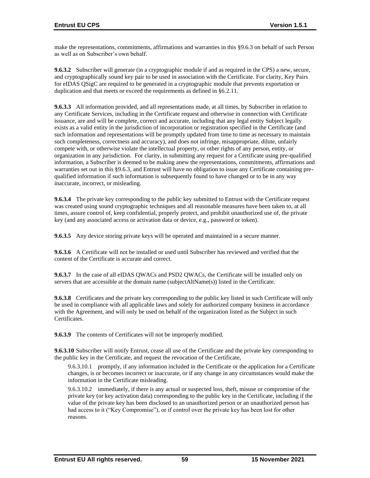make the representations, commitments, affirmations and warranties in this §9.6.3 on behalf of such Person as well as on Subscriber's own behalf.

**9.6.3.2** Subscriber will generate (in a cryptographic module if and as required in the CPS) a new, secure, and cryptographically sound key pair to be used in association with the Certificate. For clarity, Key Pairs for eIDAS QSigC are required to be generated in a cryptographic module that prevents exportation or duplication and that meets or exceed the requirements as defined in §6.2.11.

**9.6.3.3** All information provided, and all representations made, at all times, by Subscriber in relation to any Certificate Services, including in the Certificate request and otherwise in connection with Certificate issuance, are and will be complete, correct and accurate, including that any legal entity Subject legally exists as a valid entity in the jurisdiction of incorporation or registration specified in the Certificate (and such information and representations will be promptly updated from time to time as necessary to maintain such completeness, correctness and accuracy), and does not infringe, misappropriate, dilute, unfairly compete with, or otherwise violate the intellectual property, or other rights of any person, entity, or organization in any jurisdiction. For clarity, in submitting any request for a Certificate using pre-qualified information, a Subscriber is deemed to be making anew the representations, commitments, affirmations and warranties set out in this §9.6.3, and Entrust will have no obligation to issue any Certificate containing prequalified information if such information is subsequently found to have changed or to be in any way inaccurate, incorrect, or misleading.

**9.6.3.4** The private key corresponding to the public key submitted to Entrust with the Certificate request was created using sound cryptographic techniques and all reasonable measures have been taken to, at all times, assure control of, keep confidential, properly protect, and prohibit unauthorized use of, the private key (and any associated access or activation data or device, e.g., password or token).

**9.6.3.5** Any device storing private keys will be operated and maintained in a secure manner.

**9.6.3.6** A Certificate will not be installed or used until Subscriber has reviewed and verified that the content of the Certificate is accurate and correct.

**9.6.3.7** In the case of all eIDAS QWACs and PSD2 QWACs, the Certificate will be installed only on servers that are accessible at the domain name (subjectAltName(s)) listed in the Certificate.

**9.6.3.8** Certificates and the private key corresponding to the public key listed in such Certificate will only be used in compliance with all applicable laws and solely for authorized company business in accordance with the Agreement, and will only be used on behalf of the organization listed as the Subject in such Certificates.

**9.6.3.9** The contents of Certificates will not be improperly modified.

**9.6.3.10** Subscriber will notify Entrust, cease all use of the Certificate and the private key corresponding to the public key in the Certificate, and request the revocation of the Certificate,

9.6.3.10.1 promptly, if any information included in the Certificate or the application for a Certificate changes, is or becomes incorrect or inaccurate, or if any change in any circumstances would make the information in the Certificate misleading.

9.6.3.10.2 immediately, if there is any actual or suspected loss, theft, misuse or compromise of the private key (or key activation data) corresponding to the public key in the Certificate, including if the value of the private key has been disclosed to an unauthorized person or an unauthorized person has had access to it ("Key Compromise"), or if control over the private key has been lost for other reasons.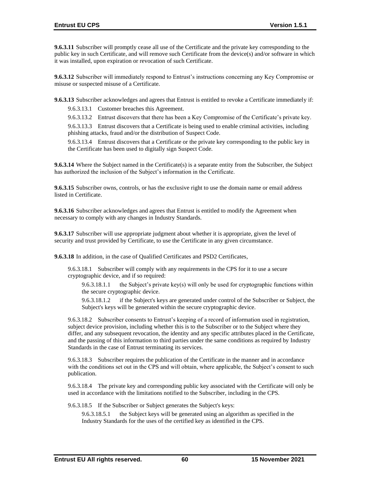**9.6.3.11** Subscriber will promptly cease all use of the Certificate and the private key corresponding to the public key in such Certificate, and will remove such Certificate from the device(s) and/or software in which it was installed, upon expiration or revocation of such Certificate.

**9.6.3.12** Subscriber will immediately respond to Entrust's instructions concerning any Key Compromise or misuse or suspected misuse of a Certificate.

**9.6.3.13** Subscriber acknowledges and agrees that Entrust is entitled to revoke a Certificate immediately if:

9.6.3.13.1 Customer breaches this Agreement.

9.6.3.13.2 Entrust discovers that there has been a Key Compromise of the Certificate's private key.

9.6.3.13.3 Entrust discovers that a Certificate is being used to enable criminal activities, including phishing attacks, fraud and/or the distribution of Suspect Code.

9.6.3.13.4 Entrust discovers that a Certificate or the private key corresponding to the public key in the Certificate has been used to digitally sign Suspect Code.

**9.6.3.14** Where the Subject named in the Certificate(s) is a separate entity from the Subscriber, the Subject has authorized the inclusion of the Subject's information in the Certificate.

**9.6.3.15** Subscriber owns, controls, or has the exclusive right to use the domain name or email address listed in Certificate.

**9.6.3.16** Subscriber acknowledges and agrees that Entrust is entitled to modify the Agreement when necessary to comply with any changes in Industry Standards.

**9.6.3.17** Subscriber will use appropriate judgment about whether it is appropriate, given the level of security and trust provided by Certificate, to use the Certificate in any given circumstance.

**9.6.3.18** In addition, in the case of Qualified Certificates and PSD2 Certificates,

9.6.3.18.1 Subscriber will comply with any requirements in the CPS for it to use a secure cryptographic device, and if so required:

9.6.3.18.1.1 the Subject's private key(s) will only be used for cryptographic functions within the secure cryptographic device.

9.6.3.18.1.2 if the Subject's keys are generated under control of the Subscriber or Subject, the Subject's keys will be generated within the secure cryptographic device.

9.6.3.18.2 Subscriber consents to Entrust's keeping of a record of information used in registration, subject device provision, including whether this is to the Subscriber or to the Subject where they differ, and any subsequent revocation, the identity and any specific attributes placed in the Certificate, and the passing of this information to third parties under the same conditions as required by Industry Standards in the case of Entrust terminating its services.

9.6.3.18.3 Subscriber requires the publication of the Certificate in the manner and in accordance with the conditions set out in the CPS and will obtain, where applicable, the Subject's consent to such publication.

9.6.3.18.4 The private key and corresponding public key associated with the Certificate will only be used in accordance with the limitations notified to the Subscriber, including in the CPS.

9.6.3.18.5 If the Subscriber or Subject generates the Subject's keys:

9.6.3.18.5.1 the Subject keys will be generated using an algorithm as specified in the Industry Standards for the uses of the certified key as identified in the CPS.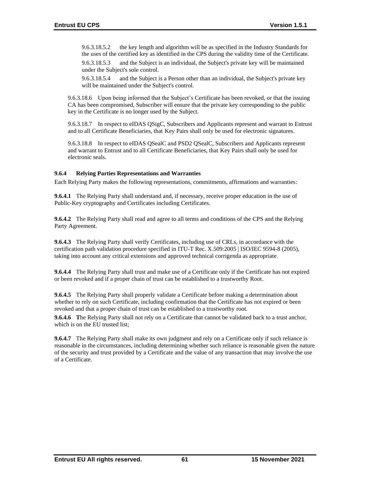9.6.3.18.5.2 the key length and algorithm will be as specified in the Industry Standards for the uses of the certified key as identified in the CPS during the validity time of the Certificate.

9.6.3.18.5.3 and the Subject is an individual, the Subject's private key will be maintained under the Subject's sole control.

9.6.3.18.5.4 and the Subject is a Person other than an individual, the Subject's private key will be maintained under the Subject's control.

9.6.3.18.6 Upon being informed that the Subject's Certificate has been revoked, or that the issuing CA has been compromised, Subscriber will ensure that the private key corresponding to the public key in the Certificate is no longer used by the Subject.

9.6.3.18.7 In respect to eIDAS QSigC, Subscribers and Applicants represent and warrant to Entrust and to all Certificate Beneficiaries, that Key Pairs shall only be used for electronic signatures.

9.6.3.18.8 In respect to eIDAS QSealC and PSD2 QSealC, Subscribers and Applicants represent and warrant to Entrust and to all Certificate Beneficiaries, that Key Pairs shall only be used for electronic seals.

### **9.6.4 Relying Parties Representations and Warranties**

Each Relying Party makes the following representations, commitments, affirmations and warranties:

**9.6.4.1** The Relying Party shall understand and, if necessary, receive proper education in the use of Public-Key cryptography and Certificates including Certificates.

**9.6.4.2** The Relying Party shall read and agree to all terms and conditions of the CPS and the Relying Party Agreement.

**9.6.4.3** The Relying Party shall verify Certificates, including use of CRLs, in accordance with the certification path validation procedure specified in ITU-T Rec. X.509:2005 | ISO/IEC 9594-8 (2005), taking into account any critical extensions and approved technical corrigenda as appropriate.

**9.6.4.4** The Relying Party shall trust and make use of a Certificate only if the Certificate has not expired or been revoked and if a proper chain of trust can be established to a trustworthy Root.

**9.6.4.5** The Relying Party shall properly validate a Certificate before making a determination about whether to rely on such Certificate, including confirmation that the Certificate has not expired or been revoked and that a proper chain of trust can be established to a trustworthy root.

**9.6.4.6 T**he Relying Party shall not rely on a Certificate that cannot be validated back to a trust anchor, which is on the EU trusted list;

**9.6.4.7** The Relying Party shall make its own judgment and rely on a Certificate only if such reliance is reasonable in the circumstances, including determining whether such reliance is reasonable given the nature of the security and trust provided by a Certificate and the value of any transaction that may involve the use of a Certificate.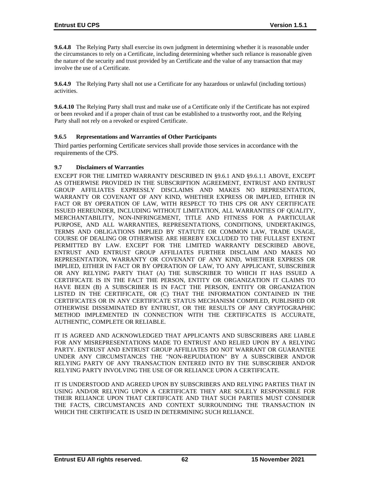**9.6.4.8** The Relying Party shall exercise its own judgment in determining whether it is reasonable under the circumstances to rely on a Certificate, including determining whether such reliance is reasonable given the nature of the security and trust provided by an Certificate and the value of any transaction that may involve the use of a Certificate.

**9.6.4.9** The Relying Party shall not use a Certificate for any hazardous or unlawful (including tortious) activities.

**9.6.4.10** The Relying Party shall trust and make use of a Certificate only if the Certificate has not expired or been revoked and if a proper chain of trust can be established to a trustworthy root, and the Relying Party shall not rely on a revoked or expired Certificate.

## **9.6.5 Representations and Warranties of Other Participants**

Third parties performing Certificate services shall provide those services in accordance with the requirements of the CPS.

### **9.7 Disclaimers of Warranties**

EXCEPT FOR THE LIMITED WARRANTY DESCRIBED IN §9.6.1 AND §9.6.1.1 ABOVE, EXCEPT AS OTHERWISE PROVIDED IN THE SUBSCRIPTION AGREEMENT, ENTRUST AND ENTRUST GROUP AFFILIATES EXPRESSLY DISCLAIMS AND MAKES NO REPRESENTATION, WARRANTY OR COVENANT OF ANY KIND, WHETHER EXPRESS OR IMPLIED, EITHER IN FACT OR BY OPERATION OF LAW, WITH RESPECT TO THIS CPS OR ANY CERTIFICATE ISSUED HEREUNDER, INCLUDING WITHOUT LIMITATION, ALL WARRANTIES OF QUALITY, MERCHANTABILITY, NON-INFRINGEMENT, TITLE AND FITNESS FOR A PARTICULAR PURPOSE, AND ALL WARRANTIES, REPRESENTATIONS, CONDITIONS, UNDERTAKINGS, TERMS AND OBLIGATIONS IMPLIED BY STATUTE OR COMMON LAW, TRADE USAGE, COURSE OF DEALING OR OTHERWISE ARE HEREBY EXCLUDED TO THE FULLEST EXTENT PERMITTED BY LAW. EXCEPT FOR THE LIMITED WARRANTY DESCRIBED ABOVE, ENTRUST AND ENTRUST GROUP AFFILIATES FURTHER DISCLAIM AND MAKES NO REPRESENTATION, WARRANTY OR COVENANT OF ANY KIND, WHETHER EXPRESS OR IMPLIED, EITHER IN FACT OR BY OPERATION OF LAW, TO ANY APPLICANT, SUBSCRIBER OR ANY RELYING PARTY THAT (A) THE SUBSCRIBER TO WHICH IT HAS ISSUED A CERTIFICATE IS IN THE FACT THE PERSON, ENTITY OR ORGANIZATION IT CLAIMS TO HAVE BEEN (B) A SUBSCRIBER IS IN FACT THE PERSON, ENTITY OR ORGANIZATION LISTED IN THE CERTIFICATE, OR (C) THAT THE INFORMATION CONTAINED IN THE CERTIFICATES OR IN ANY CERTIFICATE STATUS MECHANISM COMPILED, PUBLISHED OR OTHERWISE DISSEMINATED BY ENTRUST, OR THE RESULTS OF ANY CRYPTOGRAPHIC METHOD IMPLEMENTED IN CONNECTION WITH THE CERTIFICATES IS ACCURATE, AUTHENTIC, COMPLETE OR RELIABLE.

IT IS AGREED AND ACKNOWLEDGED THAT APPLICANTS AND SUBSCRIBERS ARE LIABLE FOR ANY MISREPRESENTATIONS MADE TO ENTRUST AND RELIED UPON BY A RELYING PARTY. ENTRUST AND ENTRUST GROUP AFFILIATES DO NOT WARRANT OR GUARANTEE UNDER ANY CIRCUMSTANCES THE "NON-REPUDIATION" BY A SUBSCRIBER AND/OR RELYING PARTY OF ANY TRANSACTION ENTERED INTO BY THE SUBSCRIBER AND/OR RELYING PARTY INVOLVING THE USE OF OR RELIANCE UPON A CERTIFICATE.

IT IS UNDERSTOOD AND AGREED UPON BY SUBSCRIBERS AND RELYING PARTIES THAT IN USING AND/OR RELYING UPON A CERTIFICATE THEY ARE SOLELY RESPONSIBLE FOR THEIR RELIANCE UPON THAT CERTIFICATE AND THAT SUCH PARTIES MUST CONSIDER THE FACTS, CIRCUMSTANCES AND CONTEXT SURROUNDING THE TRANSACTION IN WHICH THE CERTIFICATE IS USED IN DETERMINING SUCH RELIANCE.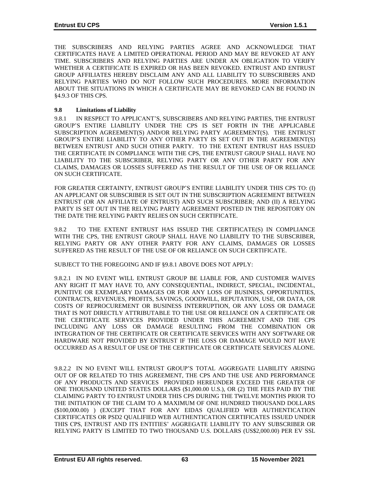THE SUBSCRIBERS AND RELYING PARTIES AGREE AND ACKNOWLEDGE THAT CERTIFICATES HAVE A LIMITED OPERATIONAL PERIOD AND MAY BE REVOKED AT ANY TIME. SUBSCRIBERS AND RELYING PARTIES ARE UNDER AN OBLIGATION TO VERIFY WHETHER A CERTIFICATE IS EXPIRED OR HAS BEEN REVOKED. ENTRUST AND ENTRUST GROUP AFFILIATES HEREBY DISCLAIM ANY AND ALL LIABILITY TO SUBSCRIBERS AND RELYING PARTIES WHO DO NOT FOLLOW SUCH PROCEDURES. MORE INFORMATION ABOUT THE SITUATIONS IN WHICH A CERTIFICATE MAY BE REVOKED CAN BE FOUND IN §4.9.3 OF THIS CPS.

### **9.8 Limitations of Liability**

9.8.1 IN RESPECT TO APPLICANT'S, SUBSCRIBERS AND RELYING PARTIES, THE ENTRUST GROUP'S ENTIRE LIABILITY UNDER THE CPS IS SET FORTH IN THE APPLICABLE SUBSCRIPTION AGREEMENT(S) AND/OR RELYING PARTY AGREEMENT(S). THE ENTRUST GROUP'S ENTIRE LIABILITY TO ANY OTHER PARTY IS SET OUT IN THE AGREEMENT(S) BETWEEN ENTRUST AND SUCH OTHER PARTY. TO THE EXTENT ENTRUST HAS ISSUED THE CERTIFICATE IN COMPLIANCE WITH THE CPS, THE ENTRUST GROUP SHALL HAVE NO LIABILITY TO THE SUBSCRIBER, RELYING PARTY OR ANY OTHER PARTY FOR ANY CLAIMS, DAMAGES OR LOSSES SUFFERED AS THE RESULT OF THE USE OF OR RELIANCE ON SUCH CERTIFICATE.

FOR GREATER CERTAINTY, ENTRUST GROUP'S ENTIRE LIABILITY UNDER THIS CPS TO: (I) AN APPLICANT OR SUBSCRIBER IS SET OUT IN THE SUBSCRIPTION AGREEMENT BETWEEN ENTRUST (OR AN AFFILIATE OF ENTRUST) AND SUCH SUBSCRIBER; AND (II) A RELYING PARTY IS SET OUT IN THE RELYING PARTY AGREEMENT POSTED IN THE REPOSITORY ON THE DATE THE RELYING PARTY RELIES ON SUCH CERTIFICATE.

9.8.2 TO THE EXTENT ENTRUST HAS ISSUED THE CERTIFICATE(S) IN COMPLIANCE WITH THE CPS, THE ENTRUST GROUP SHALL HAVE NO LIABILITY TO THE SUBSCRIBER, RELYING PARTY OR ANY OTHER PARTY FOR ANY CLAIMS, DAMAGES OR LOSSES SUFFERED AS THE RESULT OF THE USE OF OR RELIANCE ON SUCH CERTIFICATE.

SUBJECT TO THE FOREGOING AND IF §9.8.1 ABOVE DOES NOT APPLY:

9.8.2.1 IN NO EVENT WILL ENTRUST GROUP BE LIABLE FOR, AND CUSTOMER WAIVES ANY RIGHT IT MAY HAVE TO, ANY CONSEQUENTIAL, INDIRECT, SPECIAL, INCIDENTAL, PUNITIVE OR EXEMPLARY DAMAGES OR FOR ANY LOSS OF BUSINESS, OPPORTUNITIES, CONTRACTS, REVENUES, PROFITS, SAVINGS, GOODWILL, REPUTATION, USE, OR DATA, OR COSTS OF REPROCUREMENT OR BUSINESS INTERRUPTION, OR ANY LOSS OR DAMAGE THAT IS NOT DIRECTLY ATTRIBUTABLE TO THE USE OR RELIANCE ON A CERTIFICATE OR THE CERTIFICATE SERVICES PROVIDED UNDER THIS AGREEMENT AND THE CPS INCLUDING ANY LOSS OR DAMAGE RESULTING FROM THE COMBINATION OR INTEGRATION OF THE CERTIFICATE OR CERTIFICATE SERVICES WITH ANY SOFTWARE OR HARDWARE NOT PROVIDED BY ENTRUST IF THE LOSS OR DAMAGE WOULD NOT HAVE OCCURRED AS A RESULT OF USE OF THE CERTIFICATE OR CERTIFICATE SERVICES ALONE.

9.8.2.2 IN NO EVENT WILL ENTRUST GROUP'S TOTAL AGGREGATE LIABILITY ARISING OUT OF OR RELATED TO THIS AGREEMENT, THE CPS AND THE USE AND PERFORMANCE OF ANY PRODUCTS AND SERVICES PROVIDED HEREUNDER EXCEED THE GREATER OF ONE THOUSAND UNITED STATES DOLLARS (\$1,000.00 U.S.), OR (2) THE FEES PAID BY THE CLAIMING PARTY TO ENTRUST UNDER THIS CPS DURING THE TWELVE MONTHS PRIOR TO THE INITIATION OF THE CLAIM TO A MAXIMUM OF ONE HUNDRED THOUSAND DOLLARS (\$100,000.00) ) (EXCEPT THAT FOR ANY EIDAS QUALIFIED WEB AUTHENTICATION CERTIFICATES OR PSD2 QUALIFIED WEB AUTHENTICATION CERTIFICATES ISSUED UNDER THIS CPS, ENTRUST AND ITS ENTITIES' AGGREGATE LIABILITY TO ANY SUBSCRIBER OR RELYING PARTY IS LIMITED TO TWO THOUSAND U.S. DOLLARS (US\$2,000.00) PER EV SSL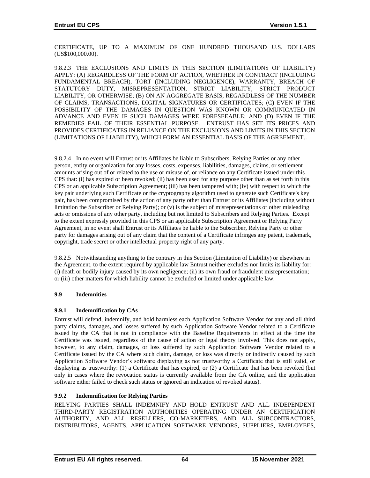CERTIFICATE, UP TO A MAXIMUM OF ONE HUNDRED THOUSAND U.S. DOLLARS (US\$100,000.00).

9.8.2.3 THE EXCLUSIONS AND LIMITS IN THIS SECTION (LIMITATIONS OF LIABILITY) APPLY: (A) REGARDLESS OF THE FORM OF ACTION, WHETHER IN CONTRACT (INCLUDING FUNDAMENTAL BREACH), TORT (INCLUDING NEGLIGENCE), WARRANTY, BREACH OF STATUTORY DUTY, MISREPRESENTATION, STRICT LIABILITY, STRICT PRODUCT LIABILITY, OR OTHERWISE; (B) ON AN AGGREGATE BASIS, REGARDLESS OF THE NUMBER OF CLAIMS, TRANSACTIONS, DIGITAL SIGNATURES OR CERTIFICATES; (C) EVEN IF THE POSSIBILITY OF THE DAMAGES IN QUESTION WAS KNOWN OR COMMUNICATED IN ADVANCE AND EVEN IF SUCH DAMAGES WERE FORESEEABLE; AND (D) EVEN IF THE REMEDIES FAIL OF THEIR ESSENTIAL PURPOSE. ENTRUST HAS SET ITS PRICES AND PROVIDES CERTIFICATES IN RELIANCE ON THE EXCLUSIONS AND LIMITS IN THIS SECTION (LIMITATIONS OF LIABILITY), WHICH FORM AN ESSENTIAL BASIS OF THE AGREEMENT..

9.8.2.4 In no event will Entrust or its Affiliates be liable to Subscribers, Relying Parties or any other person, entity or organization for any losses, costs, expenses, liabilities, damages, claims, or settlement amounts arising out of or related to the use or misuse of, or reliance on any Certificate issued under this CPS that: (i) has expired or been revoked; (ii) has been used for any purpose other than as set forth in this CPS or an applicable Subscription Agreement; (iii) has been tampered with; (iv) with respect to which the key pair underlying such Certificate or the cryptography algorithm used to generate such Certificate's key pair, has been compromised by the action of any party other than Entrust or its Affiliates (including without limitation the Subscriber or Relying Party); or (v) is the subject of misrepresentations or other misleading acts or omissions of any other party, including but not limited to Subscribers and Relying Parties. Except to the extent expressly provided in this CPS or an applicable Subscription Agreement or Relying Party Agreement, in no event shall Entrust or its Affiliates be liable to the Subscriber, Relying Party or other party for damages arising out of any claim that the content of a Certificate infringes any patent, trademark, copyright, trade secret or other intellectual property right of any party.

9.8.2.5 Notwithstanding anything to the contrary in this Section (Limitation of Liability) or elsewhere in the Agreement, to the extent required by applicable law Entrust neither excludes nor limits its liability for: (i) death or bodily injury caused by its own negligence; (ii) its own fraud or fraudulent misrepresentation; or (iii) other matters for which liability cannot be excluded or limited under applicable law.

## **9.9 Indemnities**

## **9.9.1 Indemnification by CAs**

Entrust will defend, indemnify, and hold harmless each Application Software Vendor for any and all third party claims, damages, and losses suffered by such Application Software Vendor related to a Certificate issued by the CA that is not in compliance with the Baseline Requirements in effect at the time the Certificate was issued, regardless of the cause of action or legal theory involved. This does not apply, however, to any claim, damages, or loss suffered by such Application Software Vendor related to a Certificate issued by the CA where such claim, damage, or loss was directly or indirectly caused by such Application Software Vendor's software displaying as not trustworthy a Certificate that is still valid, or displaying as trustworthy: (1) a Certificate that has expired, or (2) a Certificate that has been revoked (but only in cases where the revocation status is currently available from the CA online, and the application software either failed to check such status or ignored an indication of revoked status).

## **9.9.2 Indemnification for Relying Parties**

RELYING PARTIES SHALL INDEMNIFY AND HOLD ENTRUST AND ALL INDEPENDENT THIRD-PARTY REGISTRATION AUTHORITIES OPERATING UNDER AN CERTIFICATION AUTHORITY, AND ALL RESELLERS, CO-MARKETERS, AND ALL SUBCONTRACTORS, DISTRIBUTORS, AGENTS, APPLICATION SOFTWARE VENDORS, SUPPLIERS, EMPLOYEES,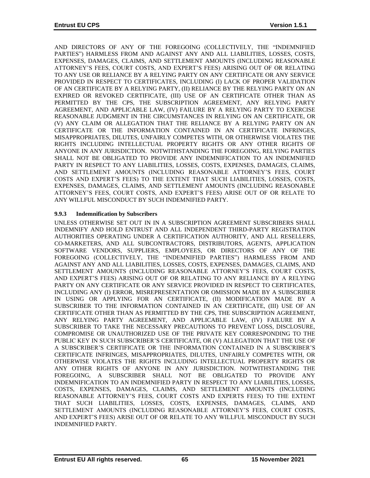AND DIRECTORS OF ANY OF THE FOREGOING (COLLECTIVELY, THE "INDEMNIFIED PARTIES") HARMLESS FROM AND AGAINST ANY AND ALL LIABILITIES, LOSSES, COSTS, EXPENSES, DAMAGES, CLAIMS, AND SETTLEMENT AMOUNTS (INCLUDING REASONABLE ATTORNEY'S FEES, COURT COSTS, AND EXPERT'S FEES) ARISING OUT OF OR RELATING TO ANY USE OR RELIANCE BY A RELYING PARTY ON ANY CERTIFICATE OR ANY SERVICE PROVIDED IN RESPECT TO CERTIFICATES, INCLUDING (I) LACK OF PROPER VALIDATION OF AN CERTIFICATE BY A RELYING PARTY, (II) RELIANCE BY THE RELYING PARTY ON AN EXPIRED OR REVOKED CERTIFICATE, (III) USE OF AN CERTIFICATE OTHER THAN AS PERMITTED BY THE CPS, THE SUBSCRIPTION AGREEMENT, ANY RELYING PARTY AGREEMENT, AND APPLICABLE LAW, (IV) FAILURE BY A RELYING PARTY TO EXERCISE REASONABLE JUDGMENT IN THE CIRCUMSTANCES IN RELYING ON AN CERTIFICATE, OR (V) ANY CLAIM OR ALLEGATION THAT THE RELIANCE BY A RELYING PARTY ON AN CERTIFICATE OR THE INFORMATION CONTAINED IN AN CERTIFICATE INFRINGES, MISAPPROPRIATES, DILUTES, UNFAIRLY COMPETES WITH, OR OTHERWISE VIOLATES THE RIGHTS INCLUDING INTELLECTUAL PROPERTY RIGHTS OR ANY OTHER RIGHTS OF ANYONE IN ANY JURISDICTION. NOTWITHSTANDING THE FOREGOING, RELYING PARTIES SHALL NOT BE OBLIGATED TO PROVIDE ANY INDEMNIFICATION TO AN INDEMNIFIED PARTY IN RESPECT TO ANY LIABILITIES, LOSSES, COSTS, EXPENSES, DAMAGES, CLAIMS, AND SETTLEMENT AMOUNTS (INCLUDING REASONABLE ATTORNEY'S FEES, COURT COSTS AND EXPERT'S FEES) TO THE EXTENT THAT SUCH LIABILITIES, LOSSES, COSTS, EXPENSES, DAMAGES, CLAIMS, AND SETTLEMENT AMOUNTS (INCLUDING REASONABLE ATTORNEY'S FEES, COURT COSTS, AND EXPERT'S FEES) ARISE OUT OF OR RELATE TO ANY WILLFUL MISCONDUCT BY SUCH INDEMNIFIED PARTY.

## **9.9.3 Indemnification by Subscribers**

UNLESS OTHERWISE SET OUT IN IN A SUBSCRIPTION AGREEMENT SUBSCRIBERS SHALL INDEMNIFY AND HOLD ENTRUST AND ALL INDEPENDENT THIRD-PARTY REGISTRATION AUTHORITIES OPERATING UNDER A CERTIFICATION AUTHORITY, AND ALL RESELLERS, CO-MARKETERS, AND ALL SUBCONTRACTORS, DISTRIBUTORS, AGENTS, APPLICATION SOFTWARE VENDORS, SUPPLIERS, EMPLOYEES, OR DIRECTORS OF ANY OF THE FOREGOING (COLLECTIVELY, THE "INDEMNIFIED PARTIES") HARMLESS FROM AND AGAINST ANY AND ALL LIABILITIES, LOSSES, COSTS, EXPENSES, DAMAGES, CLAIMS, AND SETTLEMENT AMOUNTS (INCLUDING REASONABLE ATTORNEY'S FEES, COURT COSTS, AND EXPERT'S FEES) ARISING OUT OF OR RELATING TO ANY RELIANCE BY A RELYING PARTY ON ANY CERTIFICATE OR ANY SERVICE PROVIDED IN RESPECT TO CERTIFICATES, INCLUDING ANY (I) ERROR, MISREPRESENTATION OR OMISSION MADE BY A SUBSCRIBER IN USING OR APPLYING FOR AN CERTIFICATE, (II) MODIFICATION MADE BY A SUBSCRIBER TO THE INFORMATION CONTAINED IN AN CERTIFICATE, (III) USE OF AN CERTIFICATE OTHER THAN AS PERMITTED BY THE CPS, THE SUBSCRIPTION AGREEMENT, ANY RELYING PARTY AGREEMENT, AND APPLICABLE LAW, (IV) FAILURE BY A SUBSCRIBER TO TAKE THE NECESSARY PRECAUTIONS TO PREVENT LOSS, DISCLOSURE, COMPROMISE OR UNAUTHORIZED USE OF THE PRIVATE KEY CORRESPONDING TO THE PUBLIC KEY IN SUCH SUBSCRIBER'S CERTIFICATE, OR (V) ALLEGATION THAT THE USE OF A SUBSCRIBER'S CERTIFICATE OR THE INFORMATION CONTAINED IN A SUBSCRIBER'S CERTIFICATE INFRINGES, MISAPPROPRIATES, DILUTES, UNFAIRLY COMPETES WITH, OR OTHERWISE VIOLATES THE RIGHTS INCLUDING INTELLECTUAL PROPERTY RIGHTS OR ANY OTHER RIGHTS OF ANYONE IN ANY JURISDICTION. NOTWITHSTANDING THE FOREGOING, A SUBSCRIBER SHALL NOT BE OBLIGATED TO PROVIDE ANY INDEMNIFICATION TO AN INDEMNIFIED PARTY IN RESPECT TO ANY LIABILITIES, LOSSES, COSTS, EXPENSES, DAMAGES, CLAIMS, AND SETTLEMENT AMOUNTS (INCLUDING REASONABLE ATTORNEY'S FEES, COURT COSTS AND EXPERTS FEES) TO THE EXTENT THAT SUCH LIABILITIES, LOSSES, COSTS, EXPENSES, DAMAGES, CLAIMS, AND SETTLEMENT AMOUNTS (INCLUDING REASONABLE ATTORNEY'S FEES, COURT COSTS, AND EXPERT'S FEES) ARISE OUT OF OR RELATE TO ANY WILLFUL MISCONDUCT BY SUCH INDEMNIFIED PARTY.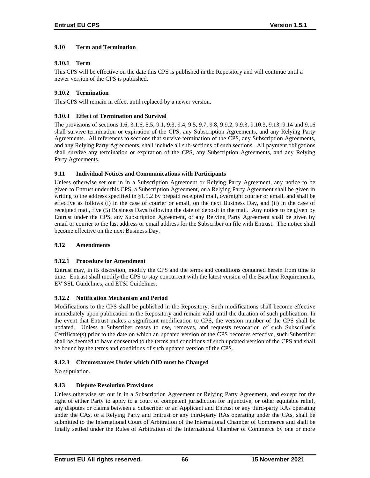## **9.10 Term and Termination**

## **9.10.1 Term**

This CPS will be effective on the date this CPS is published in the Repository and will continue until a newer version of the CPS is published.

## **9.10.2 Termination**

This CPS will remain in effect until replaced by a newer version.

## **9.10.3 Effect of Termination and Survival**

The provisions of sections 1.6, 3.1.6, 5.5, 9.1, 9.3, 9.4, 9.5, 9.7, 9.8, 9.9.2, 9.9.3, 9.10.3, 9.13, 9.14 and 9.16 shall survive termination or expiration of the CPS, any Subscription Agreements, and any Relying Party Agreements. All references to sections that survive termination of the CPS, any Subscription Agreements, and any Relying Party Agreements, shall include all sub-sections of such sections. All payment obligations shall survive any termination or expiration of the CPS, any Subscription Agreements, and any Relying Party Agreements.

## **9.11 Individual Notices and Communications with Participants**

Unless otherwise set out in in a Subscription Agreement or Relying Party Agreement, any notice to be given to Entrust under this CPS, a Subscription Agreement, or a Relying Party Agreement shall be given in writing to the address specified in §1.5.2 by prepaid receipted mail, overnight courier or email, and shall be effective as follows (i) in the case of courier or email, on the next Business Day, and (ii) in the case of receipted mail, five (5) Business Days following the date of deposit in the mail. Any notice to be given by Entrust under the CPS, any Subscription Agreement, or any Relying Party Agreement shall be given by email or courier to the last address or email address for the Subscriber on file with Entrust. The notice shall become effective on the next Business Day.

## **9.12 Amendments**

## **9.12.1 Procedure for Amendment**

Entrust may, in its discretion, modify the CPS and the terms and conditions contained herein from time to time. Entrust shall modify the CPS to stay concurrent with the latest version of the Baseline Requirements, EV SSL Guidelines, and ETSI Guidelines.

## **9.12.2 Notification Mechanism and Period**

Modifications to the CPS shall be published in the Repository. Such modifications shall become effective immediately upon publication in the Repository and remain valid until the duration of such publication. In the event that Entrust makes a significant modification to CPS, the version number of the CPS shall be updated. Unless a Subscriber ceases to use, removes, and requests revocation of such Subscriber's Certificate(s) prior to the date on which an updated version of the CPS becomes effective, such Subscriber shall be deemed to have consented to the terms and conditions of such updated version of the CPS and shall be bound by the terms and conditions of such updated version of the CPS.

## **9.12.3 Circumstances Under which OID must be Changed**

No stipulation.

## **9.13 Dispute Resolution Provisions**

Unless otherwise set out in in a Subscription Agreement or Relying Party Agreement, and except for the right of either Party to apply to a court of competent jurisdiction for injunctive, or other equitable relief, any disputes or claims between a Subscriber or an Applicant and Entrust or any third-party RAs operating under the CAs, or a Relying Party and Entrust or any third-party RAs operating under the CAs, shall be submitted to the International Court of Arbitration of the International Chamber of Commerce and shall be finally settled under the Rules of Arbitration of the International Chamber of Commerce by one or more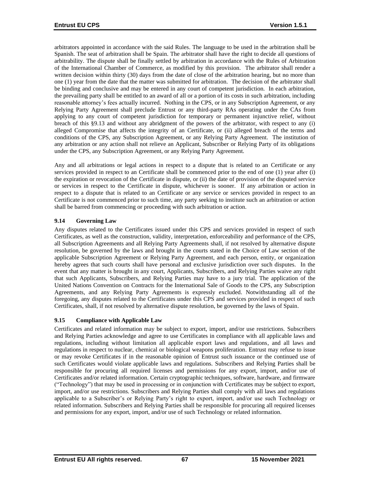arbitrators appointed in accordance with the said Rules. The language to be used in the arbitration shall be Spanish. The seat of arbitration shall be Spain. The arbitrator shall have the right to decide all questions of arbitrability. The dispute shall be finally settled by arbitration in accordance with the Rules of Arbitration of the International Chamber of Commerce, as modified by this provision. The arbitrator shall render a written decision within thirty (30) days from the date of close of the arbitration hearing, but no more than one (1) year from the date that the matter was submitted for arbitration. The decision of the arbitrator shall be binding and conclusive and may be entered in any court of competent jurisdiction. In each arbitration, the prevailing party shall be entitled to an award of all or a portion of its costs in such arbitration, including reasonable attorney's fees actually incurred. Nothing in the CPS, or in any Subscription Agreement, or any Relying Party Agreement shall preclude Entrust or any third-party RAs operating under the CAs from applying to any court of competent jurisdiction for temporary or permanent injunctive relief, without breach of this §9.13 and without any abridgment of the powers of the arbitrator, with respect to any (i) alleged Compromise that affects the integrity of an Certificate, or (ii) alleged breach of the terms and conditions of the CPS, any Subscription Agreement, or any Relying Party Agreement. The institution of any arbitration or any action shall not relieve an Applicant, Subscriber or Relying Party of its obligations under the CPS, any Subscription Agreement, or any Relying Party Agreement.

Any and all arbitrations or legal actions in respect to a dispute that is related to an Certificate or any services provided in respect to an Certificate shall be commenced prior to the end of one (1) year after (i) the expiration or revocation of the Certificate in dispute, or (ii) the date of provision of the disputed service or services in respect to the Certificate in dispute, whichever is sooner. If any arbitration or action in respect to a dispute that is related to an Certificate or any service or services provided in respect to an Certificate is not commenced prior to such time, any party seeking to institute such an arbitration or action shall be barred from commencing or proceeding with such arbitration or action.

## **9.14 Governing Law**

Any disputes related to the Certificates issued under this CPS and services provided in respect of such Certificates, as well as the construction, validity, interpretation, enforceability and performance of the CPS, all Subscription Agreements and all Relying Party Agreements shall, if not resolved by alternative dispute resolution, be governed by the laws and brought in the courts stated in the Choice of Law section of the applicable Subscription Agreement or Relying Party Agreement, and each person, entity, or organization hereby agrees that such courts shall have personal and exclusive jurisdiction over such disputes. In the event that any matter is brought in any court, Applicants, Subscribers, and Relying Parties waive any right that such Applicants, Subscribers, and Relying Parties may have to a jury trial. The application of the United Nations Convention on Contracts for the International Sale of Goods to the CPS, any Subscription Agreements, and any Relying Party Agreements is expressly excluded. Notwithstanding all of the foregoing, any disputes related to the Certificates under this CPS and services provided in respect of such Certificates, shall, if not resolved by alternative dispute resolution, be governed by the laws of Spain.

## **9.15 Compliance with Applicable Law**

Certificates and related information may be subject to export, import, and/or use restrictions. Subscribers and Relying Parties acknowledge and agree to use Certificates in compliance with all applicable laws and regulations, including without limitation all applicable export laws and regulations, and all laws and regulations in respect to nuclear, chemical or biological weapons proliferation. Entrust may refuse to issue or may revoke Certificates if in the reasonable opinion of Entrust such issuance or the continued use of such Certificates would violate applicable laws and regulations. Subscribers and Relying Parties shall be responsible for procuring all required licenses and permissions for any export, import, and/or use of Certificates and/or related information. Certain cryptographic techniques, software, hardware, and firmware ("Technology") that may be used in processing or in conjunction with Certificates may be subject to export, import, and/or use restrictions. Subscribers and Relying Parties shall comply with all laws and regulations applicable to a Subscriber's or Relying Party's right to export, import, and/or use such Technology or related information. Subscribers and Relying Parties shall be responsible for procuring all required licenses and permissions for any export, import, and/or use of such Technology or related information.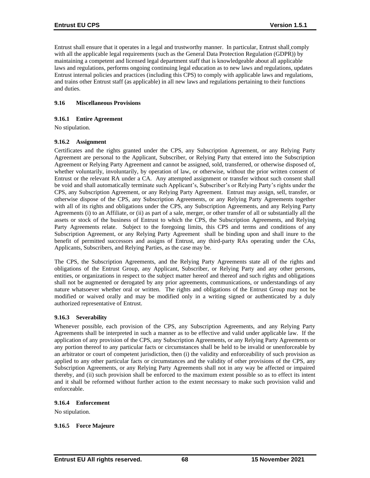Entrust shall ensure that it operates in a legal and trustworthy manner. In particular, Entrust shall comply with all the applicable legal requirements (such as the General Data Protection Regulation (GDPR)) by maintaining a competent and licensed legal department staff that is knowledgeable about all applicable laws and regulations, performs ongoing continuing legal education as to new laws and regulations, updates Entrust internal policies and practices (including this CPS) to comply with applicable laws and regulations, and trains other Entrust staff (as applicable) in all new laws and regulations pertaining to their functions and duties.

## **9.16 Miscellaneous Provisions**

### **9.16.1 Entire Agreement**

No stipulation.

### **9.16.2 Assignment**

Certificates and the rights granted under the CPS, any Subscription Agreement, or any Relying Party Agreement are personal to the Applicant, Subscriber, or Relying Party that entered into the Subscription Agreement or Relying Party Agreement and cannot be assigned, sold, transferred, or otherwise disposed of, whether voluntarily, involuntarily, by operation of law, or otherwise, without the prior written consent of Entrust or the relevant RA under a CA. Any attempted assignment or transfer without such consent shall be void and shall automatically terminate such Applicant's, Subscriber's or Relying Party's rights under the CPS, any Subscription Agreement, or any Relying Party Agreement. Entrust may assign, sell, transfer, or otherwise dispose of the CPS, any Subscription Agreements, or any Relying Party Agreements together with all of its rights and obligations under the CPS, any Subscription Agreements, and any Relying Party Agreements (i) to an Affiliate, or (ii) as part of a sale, merger, or other transfer of all or substantially all the assets or stock of the business of Entrust to which the CPS, the Subscription Agreements, and Relying Party Agreements relate. Subject to the foregoing limits, this CPS and terms and conditions of any Subscription Agreement, or any Relying Party Agreement shall be binding upon and shall inure to the benefit of permitted successors and assigns of Entrust, any third-party RAs operating under the CAs, Applicants, Subscribers, and Relying Parties, as the case may be.

The CPS, the Subscription Agreements, and the Relying Party Agreements state all of the rights and obligations of the Entrust Group, any Applicant, Subscriber, or Relying Party and any other persons, entities, or organizations in respect to the subject matter hereof and thereof and such rights and obligations shall not be augmented or derogated by any prior agreements, communications, or understandings of any nature whatsoever whether oral or written. The rights and obligations of the Entrust Group may not be modified or waived orally and may be modified only in a writing signed or authenticated by a duly authorized representative of Entrust.

#### **9.16.3 Severability**

Whenever possible, each provision of the CPS, any Subscription Agreements, and any Relying Party Agreements shall be interpreted in such a manner as to be effective and valid under applicable law. If the application of any provision of the CPS, any Subscription Agreements, or any Relying Party Agreements or any portion thereof to any particular facts or circumstances shall be held to be invalid or unenforceable by an arbitrator or court of competent jurisdiction, then (i) the validity and enforceability of such provision as applied to any other particular facts or circumstances and the validity of other provisions of the CPS, any Subscription Agreements, or any Relying Party Agreements shall not in any way be affected or impaired thereby, and (ii) such provision shall be enforced to the maximum extent possible so as to effect its intent and it shall be reformed without further action to the extent necessary to make such provision valid and enforceable.

#### **9.16.4 Enforcement**

No stipulation.

#### **9.16.5 Force Majeure**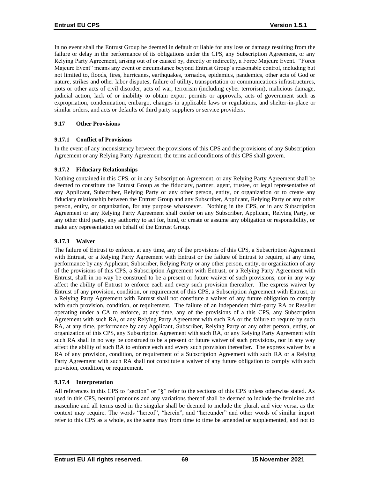In no event shall the Entrust Group be deemed in default or liable for any loss or damage resulting from the failure or delay in the performance of its obligations under the CPS, any Subscription Agreement, or any Relying Party Agreement, arising out of or caused by, directly or indirectly, a Force Majeure Event. "Force Majeure Event" means any event or circumstance beyond Entrust Group's reasonable control, including but not limited to, floods, fires, hurricanes, earthquakes, tornados, epidemics, pandemics, other acts of God or nature, strikes and other labor disputes, failure of utility, transportation or communications infrastructures, riots or other acts of civil disorder, acts of war, terrorism (including cyber terrorism), malicious damage, judicial action, lack of or inability to obtain export permits or approvals, acts of government such as expropriation, condemnation, embargo, changes in applicable laws or regulations, and shelter-in-place or similar orders, and acts or defaults of third party suppliers or service providers.

## **9.17 Other Provisions**

### **9.17.1 Conflict of Provisions**

In the event of any inconsistency between the provisions of this CPS and the provisions of any Subscription Agreement or any Relying Party Agreement, the terms and conditions of this CPS shall govern.

### **9.17.2 Fiduciary Relationships**

Nothing contained in this CPS, or in any Subscription Agreement, or any Relying Party Agreement shall be deemed to constitute the Entrust Group as the fiduciary, partner, agent, trustee, or legal representative of any Applicant, Subscriber, Relying Party or any other person, entity, or organization or to create any fiduciary relationship between the Entrust Group and any Subscriber, Applicant, Relying Party or any other person, entity, or organization, for any purpose whatsoever. Nothing in the CPS, or in any Subscription Agreement or any Relying Party Agreement shall confer on any Subscriber, Applicant, Relying Party, or any other third party, any authority to act for, bind, or create or assume any obligation or responsibility, or make any representation on behalf of the Entrust Group.

### **9.17.3 Waiver**

The failure of Entrust to enforce, at any time, any of the provisions of this CPS, a Subscription Agreement with Entrust, or a Relying Party Agreement with Entrust or the failure of Entrust to require, at any time, performance by any Applicant, Subscriber, Relying Party or any other person, entity, or organization of any of the provisions of this CPS, a Subscription Agreement with Entrust, or a Relying Party Agreement with Entrust, shall in no way be construed to be a present or future waiver of such provisions, nor in any way affect the ability of Entrust to enforce each and every such provision thereafter. The express waiver by Entrust of any provision, condition, or requirement of this CPS, a Subscription Agreement with Entrust, or a Relying Party Agreement with Entrust shall not constitute a waiver of any future obligation to comply with such provision, condition, or requirement. The failure of an independent third-party RA or Reseller operating under a CA to enforce, at any time, any of the provisions of a this CPS, any Subscription Agreement with such RA, or any Relying Party Agreement with such RA or the failure to require by such RA, at any time, performance by any Applicant, Subscriber, Relying Party or any other person, entity, or organization of this CPS, any Subscription Agreement with such RA, or any Relying Party Agreement with such RA shall in no way be construed to be a present or future waiver of such provisions, nor in any way affect the ability of such RA to enforce each and every such provision thereafter. The express waiver by a RA of any provision, condition, or requirement of a Subscription Agreement with such RA or a Relying Party Agreement with such RA shall not constitute a waiver of any future obligation to comply with such provision, condition, or requirement.

## **9.17.4 Interpretation**

All references in this CPS to "section" or "§" refer to the sections of this CPS unless otherwise stated. As used in this CPS, neutral pronouns and any variations thereof shall be deemed to include the feminine and masculine and all terms used in the singular shall be deemed to include the plural, and vice versa, as the context may require. The words "hereof", "herein", and "hereunder" and other words of similar import refer to this CPS as a whole, as the same may from time to time be amended or supplemented, and not to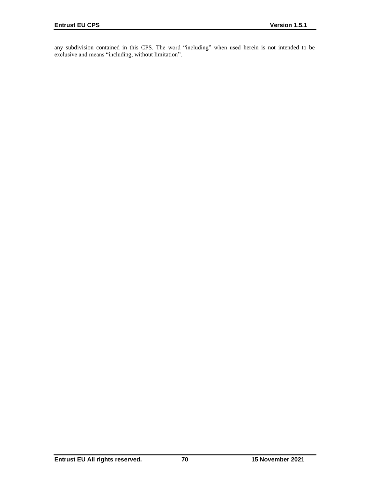any subdivision contained in this CPS. The word "including" when used herein is not intended to be exclusive and means "including, without limitation".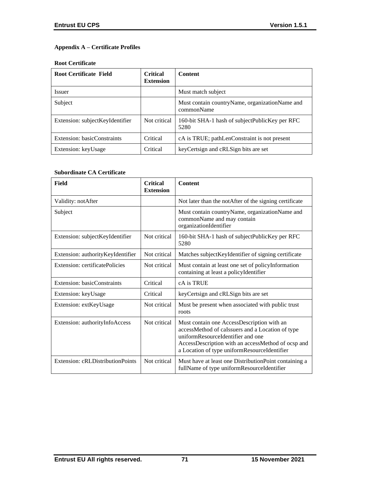# **Appendix A – Certificate Profiles**

## **Root Certificate**

| <b>Root Certificate Field</b>   | <b>Critical</b><br><b>Extension</b> | <b>Content</b>                                                 |
|---------------------------------|-------------------------------------|----------------------------------------------------------------|
| <i>Issuer</i>                   |                                     | Must match subject                                             |
| Subject                         |                                     | Must contain country Name, organization Name and<br>commonName |
| Extension: subjectKeyIdentifier | Not critical                        | 160-bit SHA-1 hash of subjectPublicKey per RFC<br>5280         |
| Extension: basicConstraints     | Critical                            | cA is TRUE; pathLenConstraint is not present                   |
| Extension: keyUsage             | Critical                            | keyCertsign and cRLSign bits are set                           |

# **Subordinate CA Certificate**

| Field                             | <b>Critical</b><br><b>Extension</b> | <b>Content</b>                                                                                                                                                                                                                            |
|-----------------------------------|-------------------------------------|-------------------------------------------------------------------------------------------------------------------------------------------------------------------------------------------------------------------------------------------|
| Validity: notAfter                |                                     | Not later than the notAfter of the signing certificate                                                                                                                                                                                    |
| Subject                           |                                     | Must contain countryName, organizationName and<br>commonName and may contain<br>organizationIdentifier                                                                                                                                    |
| Extension: subjectKeyIdentifier   | Not critical                        | 160-bit SHA-1 hash of subjectPublicKey per RFC<br>5280                                                                                                                                                                                    |
| Extension: authorityKeyIdentifier | Not critical                        | Matches subject KeyIdentifier of signing certificate                                                                                                                                                                                      |
| Extension: certificatePolicies    | Not critical                        | Must contain at least one set of policyInformation<br>containing at least a policyIdentifier                                                                                                                                              |
| Extension: basicConstraints       | Critical                            | cA is TRUE                                                                                                                                                                                                                                |
| Extension: keyUsage               | Critical                            | keyCertsign and cRLSign bits are set                                                                                                                                                                                                      |
| Extension: extKeyUsage            | Not critical                        | Must be present when associated with public trust<br>roots                                                                                                                                                                                |
| Extension: authorityInfoAccess    | Not critical                        | Must contain one AccessDescription with an<br>accessMethod of caIssuers and a Location of type<br>uniformResourceIdentifier and one<br>AccessDescription with an accessMethod of ocsp and<br>a Location of type uniformResourceIdentifier |
| Extension: cRLDistributionPoints  | Not critical                        | Must have at least one DistributionPoint containing a<br>fullName of type uniformResourceIdentifier                                                                                                                                       |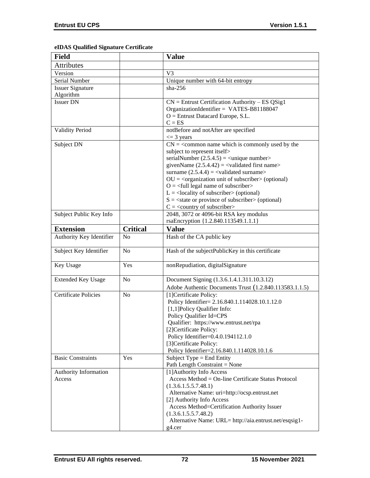# **eIDAS Qualified Signature Certificate**

| <b>Field</b>                    |                 | <b>Value</b>                                                                                                                                                                                                                                                                                                                                                                                                                                                                                                                                                                                                           |
|---------------------------------|-----------------|------------------------------------------------------------------------------------------------------------------------------------------------------------------------------------------------------------------------------------------------------------------------------------------------------------------------------------------------------------------------------------------------------------------------------------------------------------------------------------------------------------------------------------------------------------------------------------------------------------------------|
| Attributes                      |                 |                                                                                                                                                                                                                                                                                                                                                                                                                                                                                                                                                                                                                        |
| Version                         |                 | V <sub>3</sub>                                                                                                                                                                                                                                                                                                                                                                                                                                                                                                                                                                                                         |
| Serial Number                   |                 | Unique number with 64-bit entropy                                                                                                                                                                                                                                                                                                                                                                                                                                                                                                                                                                                      |
| <b>Issuer Signature</b>         |                 | $sha-256$                                                                                                                                                                                                                                                                                                                                                                                                                                                                                                                                                                                                              |
| Algorithm                       |                 |                                                                                                                                                                                                                                                                                                                                                                                                                                                                                                                                                                                                                        |
| <b>Issuer DN</b>                |                 | $CN =$ Entrust Certification Authority – ES QSig1<br>OrganizationIdentifier = VATES-B81188047<br>$O =$ Entrust Datacard Europe, S.L.<br>$C = ES$                                                                                                                                                                                                                                                                                                                                                                                                                                                                       |
| <b>Validity Period</b>          |                 | notBefore and notAfter are specified<br>$\leq$ 3 years                                                                                                                                                                                                                                                                                                                                                                                                                                                                                                                                                                 |
| Subject DN                      |                 | $CN =$ < common name which is commonly used by the<br>subject to represent itself><br>serialNumber $(2.5.4.5)$ = $\langle$ unique number $\rangle$<br>givenName $(2.5.4.42) = \langle$ validated first name><br>surname $(2.5.4.4) =$ <validated surname=""><br/><math>OU = corganization unit of subscripter &gt; (optional)</math><br/><math>O = \frac{1}{2}</math> legal name of subscriber<br/><math>L =</math><locality of="" subscriber=""> (optional)<br/><math>S = \text{state}</math> or province of subscriber &gt; (optional)<br/><math>C = \langle</math> country of subscriber&gt;</locality></validated> |
| Subject Public Key Info         |                 | 2048, 3072 or 4096-bit RSA key modulus<br>rsaEncryption {1.2.840.113549.1.1.1}                                                                                                                                                                                                                                                                                                                                                                                                                                                                                                                                         |
| <b>Extension</b>                | <b>Critical</b> | <b>Value</b>                                                                                                                                                                                                                                                                                                                                                                                                                                                                                                                                                                                                           |
| Authority Key Identifier        | N <sub>o</sub>  | Hash of the CA public key                                                                                                                                                                                                                                                                                                                                                                                                                                                                                                                                                                                              |
| Subject Key Identifier          | N <sub>o</sub>  | Hash of the subjectPublicKey in this certificate                                                                                                                                                                                                                                                                                                                                                                                                                                                                                                                                                                       |
| Key Usage                       | Yes             | nonRepudiation, digitalSignature                                                                                                                                                                                                                                                                                                                                                                                                                                                                                                                                                                                       |
| <b>Extended Key Usage</b>       | N <sub>o</sub>  | Document Signing (1.3.6.1.4.1.311.10.3.12)                                                                                                                                                                                                                                                                                                                                                                                                                                                                                                                                                                             |
| <b>Certificate Policies</b>     | N <sub>o</sub>  | Adobe Authentic Documents Trust (1.2.840.113583.1.1.5)<br>[1]Certificate Policy:<br>Policy Identifier= 2.16.840.1.114028.10.1.12.0<br>[1,1] Policy Qualifier Info:<br>Policy Qualifier Id=CPS<br>Qualifier: https://www.entrust.net/rpa<br>[2] Certificate Policy:<br>Policy Identifier=0.4.0.194112.1.0<br>[3]Certificate Policy:<br>Policy Identifier=2.16.840.1.114028.10.1.6                                                                                                                                                                                                                                       |
| <b>Basic Constraints</b>        | Yes             | Subject Type = End Entity<br>Path Length Constraint = None                                                                                                                                                                                                                                                                                                                                                                                                                                                                                                                                                             |
| Authority Information<br>Access |                 | [1] Authority Info Access<br>Access Method = On-line Certificate Status Protocol<br>(1.3.6.1.5.5.7.48.1)<br>Alternative Name: uri=http://ocsp.entrust.net<br>[2] Authority Info Access<br>Access Method=Certification Authority Issuer<br>(1.3.6.1.5.5.7.48.2)<br>Alternative Name: URL= http://aia.entrust.net/esqsig1-<br>g4.cer                                                                                                                                                                                                                                                                                     |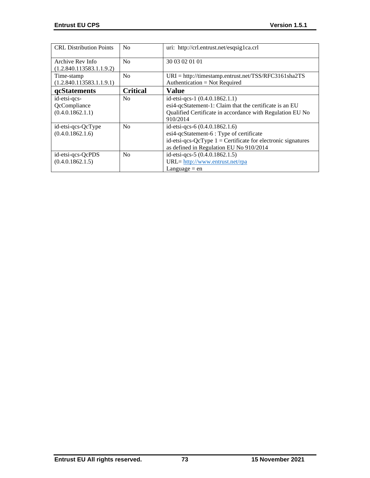| <b>CRL</b> Distribution Points                   | No              | uri: http://crl.entrust.net/esqsig1ca.crl                                                                                                                                               |
|--------------------------------------------------|-----------------|-----------------------------------------------------------------------------------------------------------------------------------------------------------------------------------------|
| Archive Rev Info<br>(1.2.840.113583.1.1.9.2)     | N <sub>0</sub>  | 30 03 02 01 01                                                                                                                                                                          |
| Time-stamp<br>(1.2.840.113583.1.1.9.1)           | N <sub>0</sub>  | $URI = \frac{http://timestamp.entrust.net/TSS/RFC3161sha2TS}{$<br>Authentication = Not Required                                                                                         |
| qcStatements                                     | <b>Critical</b> | <b>Value</b>                                                                                                                                                                            |
| id-etsi-qcs-<br>QcCompliance<br>(0.4.0.1862.1.1) | N <sub>0</sub>  | id-etsi-qcs-1 $(0.4.0.1862.1.1)$<br>esi4-qcStatement-1: Claim that the certificate is an EU<br>Qualified Certificate in accordance with Regulation EU No<br>910/2014                    |
| id-etsi-qcs-QcType<br>(0.4.0.1862.1.6)           | N <sub>0</sub>  | id-etsi-qcs-6 (0.4.0.1862.1.6)<br>esi4-qcStatement-6 : Type of certificate<br>id-etsi-qcs-QcType $1 =$ Certificate for electronic signatures<br>as defined in Regulation EU No 910/2014 |
| id-etsi-qcs-QcPDS<br>(0.4.0.1862.1.5)            | No              | id-etsi-qcs-5 (0.4.0.1862.1.5)<br>URL= http://www.entrust.net/rpa<br>Language $=$ en                                                                                                    |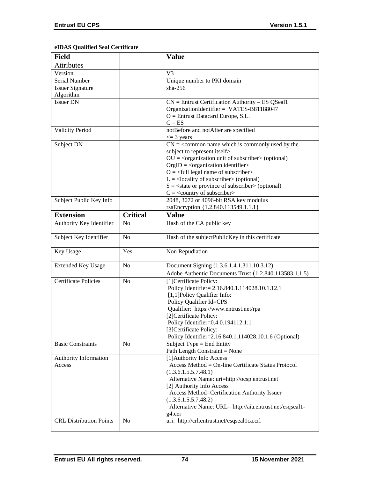# **eIDAS Qualified Seal Certificate**

| <b>Field</b>                   |                 | <b>Value</b>                                                                                                   |
|--------------------------------|-----------------|----------------------------------------------------------------------------------------------------------------|
| <b>Attributes</b>              |                 |                                                                                                                |
| Version                        |                 | V <sub>3</sub>                                                                                                 |
| Serial Number                  |                 | Unique number to PKI domain                                                                                    |
| <b>Issuer Signature</b>        |                 | $sha-256$                                                                                                      |
| Algorithm                      |                 |                                                                                                                |
| <b>Issuer DN</b>               |                 | $CN =$ Entrust Certification Authority – ES QSeal1                                                             |
|                                |                 | OrganizationIdentifier = VATES-B81188047                                                                       |
|                                |                 | $O =$ Entrust Datacard Europe, S.L.                                                                            |
|                                |                 | $C = ES$                                                                                                       |
| <b>Validity Period</b>         |                 | notBefore and notAfter are specified                                                                           |
|                                |                 | $\leq$ 3 years                                                                                                 |
| Subject DN                     |                 | $CN =$ < common name which is commonly used by the                                                             |
|                                |                 | subject to represent itself>                                                                                   |
|                                |                 | $OU = coganization unit of subscripts (optional)$                                                              |
|                                |                 | $OrgID = <$ organization identifier><br>$O = \left\langle \text{full legal name of subscripter} \right\rangle$ |
|                                |                 | $L =$ <locality of="" subscriber=""> (optional)</locality>                                                     |
|                                |                 | $S = \text{state}$ or province of subscriber > (optional)                                                      |
|                                |                 | $C = \langle country\ of\ subscript\ c$                                                                        |
| Subject Public Key Info        |                 | 2048, 3072 or 4096-bit RSA key modulus                                                                         |
|                                |                 | rsaEncryption {1.2.840.113549.1.1.1}                                                                           |
| <b>Extension</b>               | <b>Critical</b> | <b>Value</b>                                                                                                   |
| Authority Key Identifier       | N <sub>o</sub>  | Hash of the CA public key                                                                                      |
|                                |                 |                                                                                                                |
| Subject Key Identifier         | N <sub>o</sub>  | Hash of the subjectPublicKey in this certificate                                                               |
|                                |                 |                                                                                                                |
| Key Usage                      | Yes             | Non Repudiation                                                                                                |
| <b>Extended Key Usage</b>      | N <sub>o</sub>  | Document Signing (1.3.6.1.4.1.311.10.3.12)                                                                     |
|                                |                 | Adobe Authentic Documents Trust (1.2.840.113583.1.1.5)                                                         |
| <b>Certificate Policies</b>    | No              | [1] Certificate Policy:                                                                                        |
|                                |                 | Policy Identifier= 2.16.840.1.114028.10.1.12.1                                                                 |
|                                |                 | [1,1]Policy Qualifier Info:                                                                                    |
|                                |                 | Policy Qualifier Id=CPS                                                                                        |
|                                |                 | Qualifier: https://www.entrust.net/rpa                                                                         |
|                                |                 | [2]Certificate Policy:                                                                                         |
|                                |                 | Policy Identifier=0.4.0.194112.1.1                                                                             |
|                                |                 | [3] Certificate Policy:                                                                                        |
|                                |                 | Policy Identifier=2.16.840.1.114028.10.1.6 (Optional)                                                          |
| <b>Basic Constraints</b>       | N <sub>o</sub>  | Subject Type = End Entity                                                                                      |
|                                |                 | Path Length Constraint = None                                                                                  |
| Authority Information          |                 | [1] Authority Info Access                                                                                      |
| Access                         |                 | Access Method = On-line Certificate Status Protocol                                                            |
|                                |                 | (1.3.6.1.5.5.7.48.1)                                                                                           |
|                                |                 | Alternative Name: uri=http://ocsp.entrust.net                                                                  |
|                                |                 | [2] Authority Info Access                                                                                      |
|                                |                 | Access Method=Certification Authority Issuer                                                                   |
|                                |                 | (1.3.6.1.5.5.7.48.2)                                                                                           |
|                                |                 | Alternative Name: URL= http://aia.entrust.net/esqseal1-                                                        |
| <b>CRL Distribution Points</b> | No              | g4.cer<br>uri: http://crl.entrust.net/esqseal1ca.crl                                                           |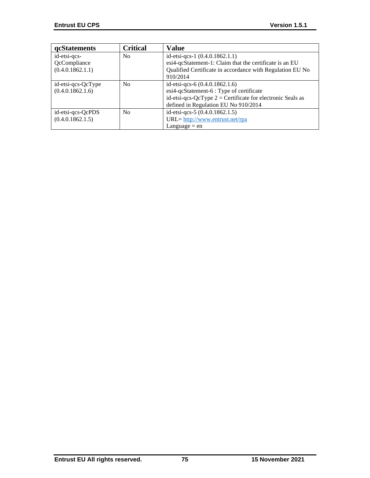| qcStatements       | <b>Critical</b> | <b>Value</b>                                                 |
|--------------------|-----------------|--------------------------------------------------------------|
| id-etsi-qcs-       | N <sub>0</sub>  | id-etsi-qcs-1 (0.4.0.1862.1.1)                               |
| QcCompliance       |                 | esi4-qcStatement-1: Claim that the certificate is an EU      |
| (0.4.0.1862.1.1)   |                 | Qualified Certificate in accordance with Regulation EU No    |
|                    |                 | 910/2014                                                     |
| id-etsi-qcs-QcType | No              | id-etsi-qcs-6 $(0.4.0.1862.1.6)$                             |
| (0.4.0.1862.1.6)   |                 | esi4-qcStatement-6 : Type of certificate                     |
|                    |                 | id-etsi-qcs-QcType $2$ = Certificate for electronic Seals as |
|                    |                 | defined in Regulation EU No 910/2014                         |
| id-etsi-qcs-QcPDS  | N <sub>o</sub>  | id-etsi-qcs-5 (0.4.0.1862.1.5)                               |
| (0.4.0.1862.1.5)   |                 | URL= http://www.entrust.net/rpa                              |
|                    |                 | $L$ anguage = en                                             |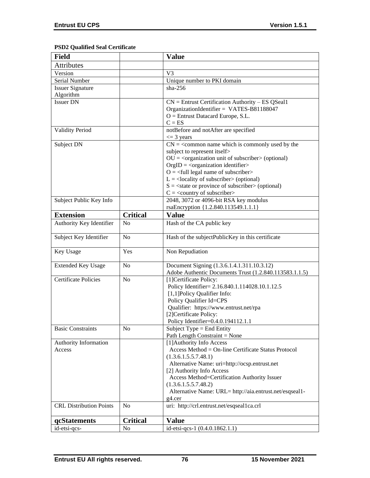# **PSD2 Qualified Seal Certificate**

| <b>Field</b>                   |                 | <b>Value</b>                                                                                                                         |
|--------------------------------|-----------------|--------------------------------------------------------------------------------------------------------------------------------------|
| <b>Attributes</b>              |                 |                                                                                                                                      |
| Version                        |                 | V <sub>3</sub>                                                                                                                       |
| Serial Number                  |                 | Unique number to PKI domain                                                                                                          |
| <b>Issuer Signature</b>        |                 | $sha-256$                                                                                                                            |
| Algorithm                      |                 |                                                                                                                                      |
| <b>Issuer DN</b>               |                 | $CN =$ Entrust Certification Authority – ES QSeal1                                                                                   |
|                                |                 | OrganizationIdentifier = VATES-B81188047                                                                                             |
|                                |                 | $O =$ Entrust Datacard Europe, S.L.                                                                                                  |
|                                |                 | $C = ES$                                                                                                                             |
| <b>Validity Period</b>         |                 | notBefore and notAfter are specified                                                                                                 |
|                                |                 | $\leq$ 3 years                                                                                                                       |
| Subject DN                     |                 | $CN =$ < common name which is commonly used by the                                                                                   |
|                                |                 | subject to represent itself>                                                                                                         |
|                                |                 | $OU = coganization unit of subscripter > (optional)$                                                                                 |
|                                |                 | $OrgID = <$ organization identifier>                                                                                                 |
|                                |                 | $O = \left\langle \text{full legal name of subscripter} \right\rangle$<br>$L =$ <locality of="" subscriber=""> (optional)</locality> |
|                                |                 | $S = \text{state}$ or province of subscriber > (optional)                                                                            |
|                                |                 | $C = \langle$ country of subscriber $>$                                                                                              |
| Subject Public Key Info        |                 | 2048, 3072 or 4096-bit RSA key modulus                                                                                               |
|                                |                 | rsaEncryption {1.2.840.113549.1.1.1}                                                                                                 |
| <b>Extension</b>               | <b>Critical</b> | <b>Value</b>                                                                                                                         |
| Authority Key Identifier       | N <sub>o</sub>  | Hash of the CA public key                                                                                                            |
|                                |                 |                                                                                                                                      |
| Subject Key Identifier         | N <sub>o</sub>  | Hash of the subjectPublicKey in this certificate                                                                                     |
|                                |                 |                                                                                                                                      |
| Key Usage                      | Yes             | Non Repudiation                                                                                                                      |
|                                |                 |                                                                                                                                      |
| <b>Extended Key Usage</b>      | N <sub>o</sub>  | Document Signing (1.3.6.1.4.1.311.10.3.12)                                                                                           |
| <b>Certificate Policies</b>    | N <sub>o</sub>  | Adobe Authentic Documents Trust (1.2.840.113583.1.1.5)<br>[1] Certificate Policy:                                                    |
|                                |                 | Policy Identifier= 2.16.840.1.114028.10.1.12.5                                                                                       |
|                                |                 | [1,1] Policy Qualifier Info:                                                                                                         |
|                                |                 | Policy Qualifier Id=CPS                                                                                                              |
|                                |                 | Qualifier: https://www.entrust.net/rpa                                                                                               |
|                                |                 | [2]Certificate Policy:                                                                                                               |
|                                |                 | Policy Identifier=0.4.0.194112.1.1                                                                                                   |
| <b>Basic Constraints</b>       | N <sub>o</sub>  | Subject Type = End Entity                                                                                                            |
|                                |                 | Path Length Constraint = None                                                                                                        |
| Authority Information          |                 | [1] Authority Info Access                                                                                                            |
| Access                         |                 | Access Method = On-line Certificate Status Protocol                                                                                  |
|                                |                 | (1.3.6.1.5.5.7.48.1)                                                                                                                 |
|                                |                 | Alternative Name: uri=http://ocsp.entrust.net                                                                                        |
|                                |                 | [2] Authority Info Access                                                                                                            |
|                                |                 | Access Method=Certification Authority Issuer                                                                                         |
|                                |                 | (1.3.6.1.5.5.7.48.2)                                                                                                                 |
|                                |                 | Alternative Name: URL= http://aia.entrust.net/esqseal1-                                                                              |
|                                |                 | g4.cer                                                                                                                               |
| <b>CRL Distribution Points</b> | N <sub>o</sub>  | uri: http://crl.entrust.net/esqseal1ca.crl                                                                                           |
| qcStatements                   | <b>Critical</b> | <b>Value</b>                                                                                                                         |
| id-etsi-qcs-                   | N <sub>0</sub>  | id-etsi-qcs-1 (0.4.0.1862.1.1)                                                                                                       |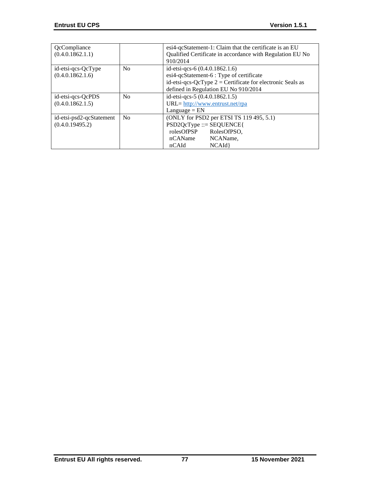| QcCompliance<br>(0.4.0.1862.1.1)            |                | esi4-qcStatement-1: Claim that the certificate is an EU<br>Qualified Certificate in accordance with Regulation EU No<br>910/2014                                                   |
|---------------------------------------------|----------------|------------------------------------------------------------------------------------------------------------------------------------------------------------------------------------|
| id-etsi-qcs-QcType<br>(0.4.0.1862.1.6)      | No             | id-etsi-qcs-6 (0.4.0.1862.1.6)<br>esi4-qcStatement-6 : Type of certificate<br>id-etsi-qcs-QcType $2$ = Certificate for electronic Seals as<br>defined in Regulation EU No 910/2014 |
| id-etsi-qcs-QcPDS<br>(0.4.0.1862.1.5)       | No             | id-etsi-qcs-5 (0.4.0.1862.1.5)<br>$URL = \frac{http://www.entrust.net/rpa}{$<br>$L$ anguage = $EN$                                                                                 |
| id-etsi-psd2-qcStatement<br>(0.4.0.19495.2) | N <sub>0</sub> | (ONLY for PSD2 per ETSI TS 119 495, 5.1)<br>$PSD2QcType ::= SEQUENCE$<br>rolesOfPSP<br>RolesOfPSO,<br>nCAName<br>NCAName,<br>nCAId<br>NCAId                                        |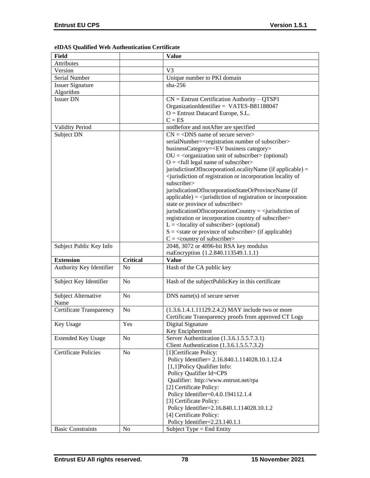# **eIDAS Qualified Web Authentication Certificate**

| <b>Field</b>              |                 | <b>Value</b>                                                                                        |
|---------------------------|-----------------|-----------------------------------------------------------------------------------------------------|
| Attributes                |                 |                                                                                                     |
| Version                   |                 | V <sub>3</sub>                                                                                      |
| Serial Number             |                 | Unique number to PKI domain                                                                         |
| <b>Issuer Signature</b>   |                 | $sha-256$                                                                                           |
| Algorithm                 |                 |                                                                                                     |
| <b>Issuer DN</b>          |                 | $CN =$ Entrust Certification Authority – QTSP1                                                      |
|                           |                 | OrganizationIdentifier = VATES-B81188047                                                            |
|                           |                 | $O =$ Entrust Datacard Europe, S.L.                                                                 |
|                           |                 | $C = ES$                                                                                            |
| Validity Period           |                 | notBefore and notAfter are specified                                                                |
| Subject DN                |                 | $CN = <$ DNS name of secure server>                                                                 |
|                           |                 | serialNumber= <registration number="" of="" subscriber=""></registration>                           |
|                           |                 | businessCategory= <ev business="" category=""></ev>                                                 |
|                           |                 | $OU = corganization unit of subscripter > (optional)$                                               |
|                           |                 | $O = \left\langle \text{full legal name of subscriber} \right\rangle$                               |
|                           |                 | jurisdictionOfIncorporationLocalityName (if applicable) =                                           |
|                           |                 | <jurisdiction incorporation="" locality="" of="" of<="" or="" registration="" td=""></jurisdiction> |
|                           |                 | subscriber>                                                                                         |
|                           |                 | jurisdicationOfIncorporationStateOrProvinceName (if                                                 |
|                           |                 | $applicable) =$ invisible $i$ = $i$ invisible $i$ of registration or incorporation                  |
|                           |                 | state or province of subscriber>                                                                    |
|                           |                 | jurisdicationOfIncorporationCountry = $\langle$ jurisdiction of                                     |
|                           |                 | registration or incorporation country of subscriber>                                                |
|                           |                 | $L =$ <locality of="" subscriber=""> (optional)</locality>                                          |
|                           |                 | $S = \text{state}$ or province of subscriber (if applicable)                                        |
|                           |                 | $C = \langle$ country of subscriber>                                                                |
| Subject Public Key Info   |                 | 2048, 3072 or 4096-bit RSA key modulus                                                              |
|                           |                 | rsaEncryption {1.2.840.113549.1.1.1}                                                                |
| <b>Extension</b>          |                 |                                                                                                     |
|                           |                 |                                                                                                     |
|                           | <b>Critical</b> | <b>Value</b>                                                                                        |
| Authority Key Identifier  | No              | Hash of the CA public key                                                                           |
|                           |                 |                                                                                                     |
| Subject Key Identifier    | No              | Hash of the subjectPublicKey in this certificate                                                    |
|                           |                 |                                                                                                     |
| Subject Alternative       | N <sub>0</sub>  | DNS name(s) of secure server                                                                        |
| Name                      |                 |                                                                                                     |
| Certificate Transparency  | $\rm No$        | (1.3.6.1.4.1.11129.2.4.2) MAY include two or more                                                   |
|                           |                 | Certificate Transparency proofs from approved CT Logs                                               |
| Key Usage                 | Yes             | Digital Signature                                                                                   |
|                           |                 | Key Encipherment                                                                                    |
| <b>Extended Key Usage</b> | No              | Server Authentication (1.3.6.1.5.5.7.3.1)                                                           |
|                           |                 | Client Authentication (1.3.6.1.5.5.7.3.2)                                                           |
| Certificate Policies      | N <sub>o</sub>  | [1] Certificate Policy:                                                                             |
|                           |                 | Policy Identifier= 2.16.840.1.114028.10.1.12.4                                                      |
|                           |                 | [1,1] Policy Qualifier Info:                                                                        |
|                           |                 | Policy Qualifier Id=CPS                                                                             |
|                           |                 | Qualifier: http://www.entrust.net/rpa                                                               |
|                           |                 | [2] Certificate Policy:                                                                             |
|                           |                 | Policy Identifier=0.4.0.194112.1.4                                                                  |
|                           |                 | [3] Certificate Policy:                                                                             |
|                           |                 | Policy Identifier=2.16.840.1.114028.10.1.2                                                          |
|                           |                 | [4] Certificate Policy:                                                                             |
| <b>Basic Constraints</b>  | No              | Policy Identifier=2.23.140.1.1<br>Subject Type = End Entity                                         |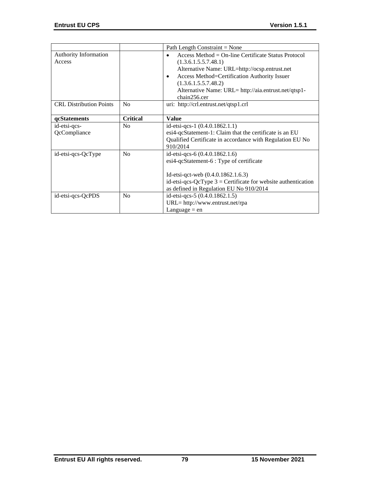|                                |                 | Path Length Constraint = None                                   |
|--------------------------------|-----------------|-----------------------------------------------------------------|
| Authority Information          |                 | Access Method = $On$ -line Certificate Status Protocol          |
| Access                         |                 | (1.3.6.1.5.5.7.48.1)                                            |
|                                |                 | Alternative Name: URL=http://ocsp.entrust.net                   |
|                                |                 | Access Method=Certification Authority Issuer<br>$\bullet$       |
|                                |                 | (1.3.6.1.5.5.7.48.2)                                            |
|                                |                 | Alternative Name: URL= http://aia.entrust.net/qtsp1-            |
|                                |                 | chain256.cer                                                    |
| <b>CRL Distribution Points</b> | N <sub>o</sub>  | uri: http://crl.entrust.net/qtsp1.crl                           |
|                                |                 |                                                                 |
| qcStatements                   | <b>Critical</b> | <b>Value</b>                                                    |
| id-etsi-qcs-                   | N <sub>o</sub>  | id-etsi-qcs-1 $(0.4.0.1862.1.1)$                                |
| QcCompliance                   |                 | esi4-qcStatement-1: Claim that the certificate is an EU         |
|                                |                 | Qualified Certificate in accordance with Regulation EU No       |
|                                |                 | 910/2014                                                        |
| id-etsi-qcs-QcType             | N <sub>0</sub>  | id-etsi-qcs-6 (0.4.0.1862.1.6)                                  |
|                                |                 | esi4-qcStatement-6 : Type of certificate                        |
|                                |                 |                                                                 |
|                                |                 | Id-etsi-qct-web $(0.4.0.1862.1.6.3)$                            |
|                                |                 | id-etsi-qcs-QcType $3$ = Certificate for website authentication |
|                                |                 | as defined in Regulation EU No 910/2014                         |
| id-etsi-qcs-QcPDS              | N <sub>o</sub>  | id-etsi-qcs-5 (0.4.0.1862.1.5)                                  |
|                                |                 | $URL = http://www.entrust.net/rpa$                              |
|                                |                 | Language $=$ en                                                 |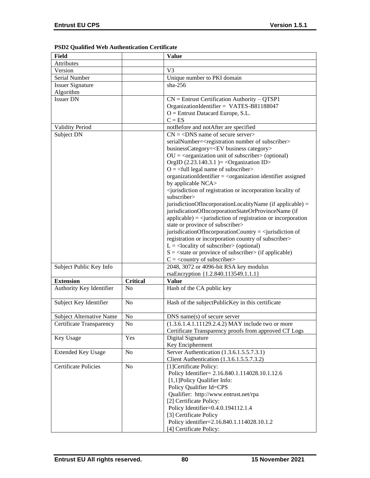|  |  |  | PSD2 Qualified Web Authentication Certificate |  |
|--|--|--|-----------------------------------------------|--|
|--|--|--|-----------------------------------------------|--|

| Field                           |                 | <b>Value</b>                                                                                                  |
|---------------------------------|-----------------|---------------------------------------------------------------------------------------------------------------|
| Attributes                      |                 |                                                                                                               |
| Version                         |                 | V3                                                                                                            |
| Serial Number                   |                 | Unique number to PKI domain                                                                                   |
| <b>Issuer Signature</b>         |                 | $sha-256$                                                                                                     |
| Algorithm                       |                 |                                                                                                               |
| <b>Issuer DN</b>                |                 | $CN =$ Entrust Certification Authority – QTSP1                                                                |
|                                 |                 | OrganizationIdentifier = VATES-B81188047                                                                      |
|                                 |                 | $O =$ Entrust Datacard Europe, S.L.                                                                           |
|                                 |                 | $C = ES$                                                                                                      |
| Validity Period                 |                 | notBefore and notAfter are specified                                                                          |
| Subject DN                      |                 | $CN = <$ DNS name of secure server>                                                                           |
|                                 |                 | serialNumber= <registration number="" of="" subscriber=""></registration>                                     |
|                                 |                 | businessCategory= <ev business="" category=""></ev>                                                           |
|                                 |                 | $OU = corganization unit of subscripter > (optional)$                                                         |
|                                 |                 | OrgID $(2.23.140.3.1)$ = < Organization ID>                                                                   |
|                                 |                 | $O = \frac{1}{2}$ legal name of subscriber                                                                    |
|                                 |                 | organizationIdentifier = <organization assigned<="" identifier="" td=""></organization>                       |
|                                 |                 |                                                                                                               |
|                                 |                 | by applicable NCA>                                                                                            |
|                                 |                 | <jurisdiction incorporation="" locality="" of="" of<br="" or="" registration="">subscriber&gt;</jurisdiction> |
|                                 |                 | jurisdictionOfIncorporationLocalityName (if applicable) =                                                     |
|                                 |                 | jurisdicationOfIncorporationStateOrProvinceName (if                                                           |
|                                 |                 | $applicable) = \langle$ invisible $\langle$ intervalse of registration or incorporation                       |
|                                 |                 | state or province of subscriber>                                                                              |
|                                 |                 | jurisdicationOfIncorporationCountry = $\le$ jurisdiction of                                                   |
|                                 |                 | registration or incorporation country of subscriber>                                                          |
|                                 |                 | $L =$ <locality of="" subscriber=""> (optional)</locality>                                                    |
|                                 |                 | $S = \text{state}$ or province of subscriber $\text{in}$ (if applicable)                                      |
|                                 |                 | $C = \langle$ country of subscriber>                                                                          |
| Subject Public Key Info         |                 | 2048, 3072 or 4096-bit RSA key modulus                                                                        |
|                                 |                 | rsaEncryption {1.2.840.113549.1.1.1}                                                                          |
| <b>Extension</b>                | <b>Critical</b> | <b>Value</b>                                                                                                  |
| Authority Key Identifier        | N <sub>o</sub>  | Hash of the CA public key                                                                                     |
|                                 |                 |                                                                                                               |
| Subject Key Identifier          | N <sub>o</sub>  | Hash of the subjectPublicKey in this certificate                                                              |
|                                 |                 |                                                                                                               |
| <b>Subject Alternative Name</b> | No              | $DNS$ name $(s)$ of secure server                                                                             |
| Certificate Transparency        | N <sub>0</sub>  | $(1.3.6.1.4.1.11129.2.4.2)$ MAY include two or more                                                           |
|                                 |                 | Certificate Transparency proofs from approved CT Logs                                                         |
| Key Usage                       | Yes             | Digital Signature                                                                                             |
|                                 |                 | Key Encipherment                                                                                              |
| <b>Extended Key Usage</b>       | No              | Server Authentication (1.3.6.1.5.5.7.3.1)                                                                     |
|                                 |                 | Client Authentication (1.3.6.1.5.5.7.3.2)                                                                     |
| <b>Certificate Policies</b>     | N <sub>o</sub>  | [1] Certificate Policy:                                                                                       |
|                                 |                 | Policy Identifier= 2.16.840.1.114028.10.1.12.6                                                                |
|                                 |                 | [1,1] Policy Qualifier Info:                                                                                  |
|                                 |                 | Policy Qualifier Id=CPS                                                                                       |
|                                 |                 | Qualifier: http://www.entrust.net/rpa                                                                         |
|                                 |                 | [2] Certificate Policy:                                                                                       |
|                                 |                 | Policy Identifier=0.4.0.194112.1.4                                                                            |
|                                 |                 | [3] Certificate Policy                                                                                        |
|                                 |                 | Policy identifier=2.16.840.1.114028.10.1.2                                                                    |
|                                 |                 | [4] Certificate Policy:                                                                                       |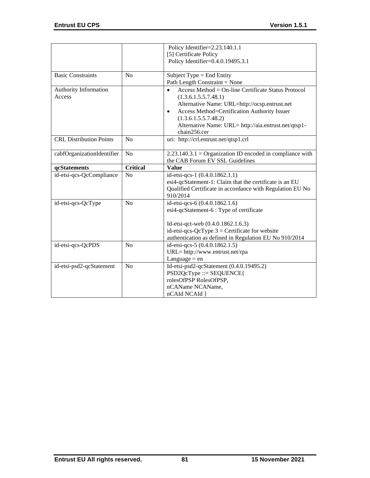|                                        |                 | Policy Identifier=2.23.140.1.1                                                                                                                                                                                                                                                                         |
|----------------------------------------|-----------------|--------------------------------------------------------------------------------------------------------------------------------------------------------------------------------------------------------------------------------------------------------------------------------------------------------|
|                                        |                 | [5] Certificate Policy<br>Policy Identifier=0.4.0.19495.3.1                                                                                                                                                                                                                                            |
| <b>Basic Constraints</b>               | N <sub>o</sub>  | Subject Type = End Entity<br>Path Length Constraint = None                                                                                                                                                                                                                                             |
| <b>Authority Information</b><br>Access |                 | Access Method = On-line Certificate Status Protocol<br>$\bullet$<br>(1.3.6.1.5.5.7.48.1)<br>Alternative Name: URL=http://ocsp.entrust.net<br>Access Method=Certification Authority Issuer<br>$\bullet$<br>(1.3.6.1.5.5.7.48.2)<br>Alternative Name: URL= http://aia.entrust.net/qtsp1-<br>chain256.cer |
| <b>CRL</b> Distribution Points         | N <sub>o</sub>  | uri: http://crl.entrust.net/qtsp1.crl                                                                                                                                                                                                                                                                  |
| cabfOrganizationIdentifier             | N <sub>o</sub>  | $2.23.140.3.1 =$ Organization ID encoded in compliance with<br>the CAB Forum EV SSL Guidelines                                                                                                                                                                                                         |
| qcStatements                           | <b>Critical</b> | <b>Value</b>                                                                                                                                                                                                                                                                                           |
| id-etsi-qcs-QcCompliance               | N <sub>o</sub>  | id-etsi-qcs-1 (0.4.0.1862.1.1)<br>esi4-qcStatement-1: Claim that the certificate is an EU<br>Qualified Certificate in accordance with Regulation EU No<br>910/2014                                                                                                                                     |
| id-etsi-qcs-QcType                     | N <sub>o</sub>  | id-etsi-qcs-6 (0.4.0.1862.1.6)<br>esi4-qcStatement-6 : Type of certificate<br>Id-etsi-qct-web (0.4.0.1862.1.6.3)<br>id-etsi-qcs-QcType $3$ = Certificate for website<br>authentication as defined in Regulation EU No 910/2014                                                                         |
| id-etsi-qcs-QcPDS                      | N <sub>0</sub>  | id-etsi-qcs-5 (0.4.0.1862.1.5)<br>URL= http://www.entrust.net/rpa<br>Language $=$ en                                                                                                                                                                                                                   |
| id-etsi-psd2-qcStatement               | N <sub>o</sub>  | Id-etsi-psd2-qcStatement (0.4.0.19495.2)<br>$PSD2QcType ::= SEQUENCE$<br>rolesOfPSP RolesOfPSP,<br>nCAName NCAName,<br>nCAId NCAId }                                                                                                                                                                   |